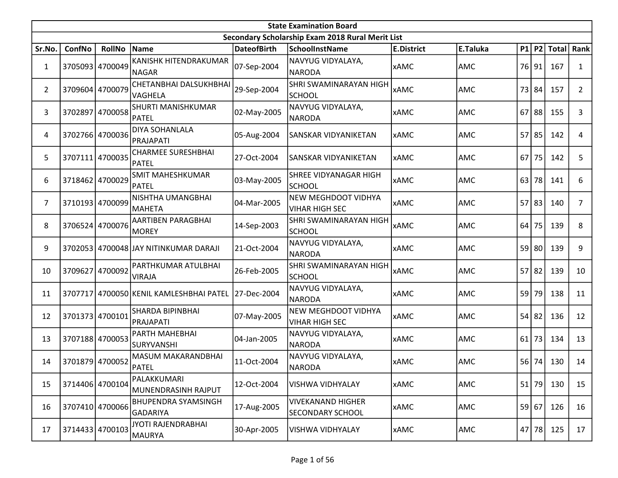|                | <b>State Examination Board</b> |                 |                                               |                    |                                                  |                   |          |    |         |              |                |  |  |
|----------------|--------------------------------|-----------------|-----------------------------------------------|--------------------|--------------------------------------------------|-------------------|----------|----|---------|--------------|----------------|--|--|
|                |                                |                 |                                               |                    | Secondary Scholarship Exam 2018 Rural Merit List |                   |          |    |         |              |                |  |  |
| Sr.No.         | ConfNo                         | <b>RollNo</b>   | Name                                          | <b>DateofBirth</b> | <b>SchoolInstName</b>                            | <b>E.District</b> | E.Taluka |    | P1 P2   | <b>Total</b> | Rank           |  |  |
| $\mathbf{1}$   | 3705093 4700049                |                 | KANISHK HITENDRAKUMAR<br><b>NAGAR</b>         | 07-Sep-2004        | NAVYUG VIDYALAYA,<br><b>NARODA</b>               | <b>xAMC</b>       | AMC      | 76 | 91      | 167          | 1              |  |  |
| $\overline{2}$ |                                | 3709604 4700079 | CHETANBHAI DALSUKHBHAI<br><b>VAGHELA</b>      | 29-Sep-2004        | SHRI SWAMINARAYAN HIGH<br><b>SCHOOL</b>          | <b>xAMC</b>       | AMC      | 73 | 84      | 157          | $\overline{2}$ |  |  |
| 3              |                                | 3702897 4700058 | SHURTI MANISHKUMAR<br><b>PATEL</b>            | 02-May-2005        | NAVYUG VIDYALAYA,<br><b>NARODA</b>               | <b>xAMC</b>       | AMC      | 67 | 88      | 155          | 3              |  |  |
| 4              |                                | 3702766 4700036 | <b>DIYA SOHANLALA</b><br>PRAJAPATI            | 05-Aug-2004        | SANSKAR VIDYANIKETAN                             | <b>xAMC</b>       | AMC      | 57 | 85      | 142          | 4              |  |  |
| 5              | 3707111                        | 4700035         | <b>CHARMEE SURESHBHAI</b><br><b>PATEL</b>     | 27-Oct-2004        | SANSKAR VIDYANIKETAN                             | <b>xAMC</b>       | AMC      | 67 | 75      | 142          | 5              |  |  |
| 6              | 3718462 4700029                |                 | <b>SMIT MAHESHKUMAR</b><br><b>PATEL</b>       | 03-May-2005        | SHREE VIDYANAGAR HIGH<br><b>SCHOOL</b>           | <b>xAMC</b>       | AMC      | 63 | 78      | 141          | 6              |  |  |
| 7              | 3710193 4700099                |                 | NISHTHA UMANGBHAI<br><b>MAHETA</b>            | 04-Mar-2005        | NEW MEGHDOOT VIDHYA<br><b>VIHAR HIGH SEC</b>     | <b>xAMC</b>       | AMC      | 57 | 83      | 140          | $\overline{7}$ |  |  |
| 8              |                                | 3706524 4700076 | AARTIBEN PARAGBHAI<br>MOREY                   | 14-Sep-2003        | <b>SHRI SWAMINARAYAN HIGH</b><br><b>SCHOOL</b>   | <b>xAMC</b>       | AMC      | 64 | 75      | 139          | 8              |  |  |
| 9              |                                |                 | 3702053 4700048 JJAY NITINKUMAR DARAJI        | 21-Oct-2004        | NAVYUG VIDYALAYA,<br><b>NARODA</b>               | <b>xAMC</b>       | AMC      | 59 | 80      | 139          | 9              |  |  |
| 10             | 3709627                        | 4700092         | PARTHKUMAR ATULBHAI<br><b>VIRAJA</b>          | 26-Feb-2005        | SHRI SWAMINARAYAN HIGH<br><b>SCHOOL</b>          | <b>xAMC</b>       | AMC      | 57 | 82      | 139          | 10             |  |  |
| 11             | 3707717                        |                 | 4700050 KENIL KAMLESHBHAI PATEL 27-Dec-2004   |                    | NAVYUG VIDYALAYA,<br><b>NARODA</b>               | <b>xAMC</b>       | AMC      |    | 59 79   | 138          | 11             |  |  |
| 12             | 3701373 4700101                |                 | SHARDA BIPINBHAI<br>PRAJAPATI                 | 07-May-2005        | NEW MEGHDOOT VIDHYA<br><b>VIHAR HIGH SEC</b>     | <b>xAMC</b>       | AMC      | 54 | 82      | 136          | 12             |  |  |
| 13             | 3707188 4700053                |                 | PARTH MAHEBHAI<br><b>SURYVANSHI</b>           | 04-Jan-2005        | NAVYUG VIDYALAYA,<br><b>NARODA</b>               | <b>xAMC</b>       | AMC      | 61 | 73      | 134          | 13             |  |  |
| 14             | 3701879 4700052                |                 | MASUM MAKARANDBHAI<br>PATEL                   | 11-Oct-2004        | NAVYUG VIDYALAYA,<br>NARODA                      | <b>xAMC</b>       | AMC      | 56 | 74      | 130          | 14             |  |  |
| 15             | 3714406 4700104                |                 | PALAKKUMARI<br>MUNENDRASINH RAJPUT            | 12-Oct-2004        | VISHWA VIDHYALAY                                 | <b>xAMC</b>       | AMC      |    | $51$ 79 | 130          | 15             |  |  |
| 16             |                                | 3707410 4700066 | <b>BHUPENDRA SYAMSINGH</b><br><b>GADARIYA</b> | 17-Aug-2005        | <b>VIVEKANAND HIGHER</b><br>SECONDARY SCHOOL     | <b>xAMC</b>       | AMC      |    | 59 67   | 126          | 16             |  |  |
| 17             | 3714433 4700103                |                 | JYOTI RAJENDRABHAI<br>MAURYA                  | 30-Apr-2005        | VISHWA VIDHYALAY                                 | <b>XAMC</b>       | AMC      |    | 47 78   | 125          | 17             |  |  |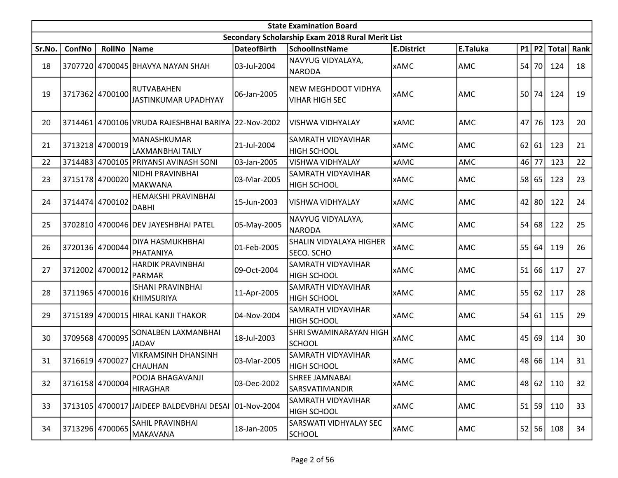|        | <b>State Examination Board</b> |                 |                                                      |                    |                                                     |                   |            |    |       |             |      |  |  |
|--------|--------------------------------|-----------------|------------------------------------------------------|--------------------|-----------------------------------------------------|-------------------|------------|----|-------|-------------|------|--|--|
|        |                                |                 |                                                      |                    | Secondary Scholarship Exam 2018 Rural Merit List    |                   |            |    |       |             |      |  |  |
| Sr.No. | ConfNo                         | <b>RollNo</b>   | Name                                                 | <b>DateofBirth</b> | <b>SchoolInstName</b>                               | <b>E.District</b> | E.Taluka   |    |       | P1 P2 Total | Rank |  |  |
| 18     |                                |                 | 3707720 4700045 BHAVYA NAYAN SHAH                    | 03-Jul-2004        | NAVYUG VIDYALAYA,<br>NARODA                         | <b>xAMC</b>       | AMC        | 54 | 70    | 124         | 18   |  |  |
| 19     |                                | 3717362 4700100 | RUTVABAHEN<br>JASTINKUMAR UPADHYAY                   | 06-Jan-2005        | <b>NEW MEGHDOOT VIDHYA</b><br><b>VIHAR HIGH SEC</b> | <b>xAMC</b>       | <b>AMC</b> | 50 | 74    | 124         | 19   |  |  |
| 20     |                                |                 | 3714461 4700106 VRUDA RAJESHBHAI BARIYA 22-Nov-2002  |                    | <b>VISHWA VIDHYALAY</b>                             | <b>xAMC</b>       | AMC        | 47 | 76    | 123         | 20   |  |  |
| 21     |                                | 3713218 4700019 | MANASHKUMAR<br>LAXMANBHAI TAILY                      | 21-Jul-2004        | <b>SAMRATH VIDYAVIHAR</b><br><b>HIGH SCHOOL</b>     | <b>xAMC</b>       | AMC        | 62 | 61    | 123         | 21   |  |  |
| 22     |                                |                 | 3714483 4700105 PRIYANSI AVINASH SONI                | 03-Jan-2005        | <b>VISHWA VIDHYALAY</b>                             | <b>xAMC</b>       | AMC        | 46 | 77    | 123         | 22   |  |  |
| 23     |                                | 3715178 4700020 | NIDHI PRAVINBHAI<br><b>MAKWANA</b>                   | 03-Mar-2005        | SAMRATH VIDYAVIHAR<br><b>HIGH SCHOOL</b>            | <b>xAMC</b>       | <b>AMC</b> | 58 | 65    | 123         | 23   |  |  |
| 24     |                                | 3714474 4700102 | HEMAKSHI PRAVINBHAI<br><b>DABHI</b>                  | 15-Jun-2003        | VISHWA VIDHYALAY                                    | <b>xAMC</b>       | AMC        | 42 | 80    | 122         | 24   |  |  |
| 25     |                                |                 | 3702810 4700046 DEV JAYESHBHAI PATEL                 | 05-May-2005        | NAVYUG VIDYALAYA,<br><b>NARODA</b>                  | <b>xAMC</b>       | <b>AMC</b> | 54 | 68    | 122         | 25   |  |  |
| 26     |                                | 3720136 4700044 | DIYA HASMUKHBHAI<br>PHATANIYA                        | 01-Feb-2005        | SHALIN VIDYALAYA HIGHER<br>SECO. SCHO               | <b>xAMC</b>       | AMC        | 55 | 64    | 119         | 26   |  |  |
| 27     |                                | 3712002 4700012 | HARDIK PRAVINBHAI<br><b>PARMAR</b>                   | 09-Oct-2004        | <b>SAMRATH VIDYAVIHAR</b><br><b>HIGH SCHOOL</b>     | <b>xAMC</b>       | <b>AMC</b> | 51 | 66    | 117         | 27   |  |  |
| 28     |                                | 3711965 4700016 | <b>ISHANI PRAVINBHAI</b><br><b>KHIMSURIYA</b>        | 11-Apr-2005        | <b>SAMRATH VIDYAVIHAR</b><br><b>HIGH SCHOOL</b>     | <b>xAMC</b>       | <b>AMC</b> |    | 55 62 | 117         | 28   |  |  |
| 29     |                                |                 | 3715189 4700015 HIRAL KANJI THAKOR                   | 04-Nov-2004        | <b>SAMRATH VIDYAVIHAR</b><br><b>HIGH SCHOOL</b>     | <b>xAMC</b>       | AMC        | 54 | 61    | 115         | 29   |  |  |
| 30     |                                | 3709568 4700095 | SONALBEN LAXMANBHAI<br><b>JADAV</b>                  | 18-Jul-2003        | <b>SHRI SWAMINARAYAN HIGH</b><br><b>SCHOOL</b>      | <b>xAMC</b>       | <b>AMC</b> | 45 | 69    | 114         | 30   |  |  |
| 31     | 3716619 4700027                |                 | <b>VIKRAMSINH DHANSINH</b><br>CHAUHAN                | 03-Mar-2005        | <b>SAMRATH VIDYAVIHAR</b><br><b>HIGH SCHOOL</b>     | <b>xAMC</b>       | AMC        | 48 | 66    | 114         | 31   |  |  |
| 32     |                                | 3716158 4700004 | POOJA BHAGAVANJI<br>HIRAGHAR                         | 03-Dec-2002        | <b>SHREE JAMNABAI</b><br>SARSVATIMANDIR             | <b>xAMC</b>       | <b>AMC</b> |    | 48 62 | 110         | 32   |  |  |
| 33     |                                |                 | 3713105 4700017 JAIDEEP BALDEVBHAI DESAI 01-Nov-2004 |                    | <b>SAMRATH VIDYAVIHAR</b><br><b>HIGH SCHOOL</b>     | <b>xAMC</b>       | <b>AMC</b> | 51 | 59    | 110         | 33   |  |  |
| 34     |                                | 3713296 4700065 | SAHIL PRAVINBHAI<br>MAKAVANA                         | 18-Jan-2005        | <b>SARSWATI VIDHYALAY SEC</b><br><b>SCHOOL</b>      | <b>xAMC</b>       | <b>AMC</b> |    | 52 56 | 108         | 34   |  |  |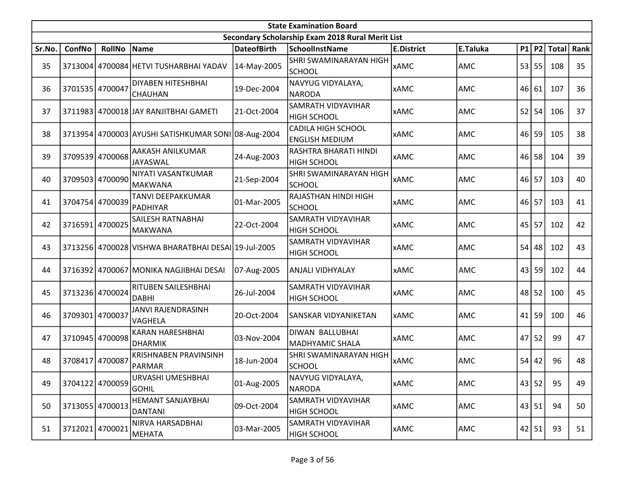|        | <b>State Examination Board</b> |                 |                                                     |                    |                                                    |                   |            |    |           |             |      |  |  |
|--------|--------------------------------|-----------------|-----------------------------------------------------|--------------------|----------------------------------------------------|-------------------|------------|----|-----------|-------------|------|--|--|
|        |                                |                 |                                                     |                    | Secondary Scholarship Exam 2018 Rural Merit List   |                   |            |    |           |             |      |  |  |
| Sr.No. | ConfNo                         | <b>RollNo</b>   | Name                                                | <b>DateofBirth</b> | <b>SchoolInstName</b>                              | <b>E.District</b> | E.Taluka   |    |           | P1 P2 Total | Rank |  |  |
| 35     |                                |                 | 3713004 4700084 HETVI TUSHARBHAI YADAV              | 14-May-2005        | SHRI SWAMINARAYAN HIGH<br>SCHOOL                   | <b>xAMC</b>       | AMC        |    | 53 55     | 108         | 35   |  |  |
| 36     | 3701535 4700047                |                 | <b>DIYABEN HITESHBHAI</b><br><b>CHAUHAN</b>         | 19-Dec-2004        | NAVYUG VIDYALAYA,<br><b>NARODA</b>                 | <b>xAMC</b>       | <b>AMC</b> |    | 46 61     | 107         | 36   |  |  |
| 37     |                                |                 | 3711983 4700018 JAY RANJITBHAI GAMETI               | 21-Oct-2004        | <b>SAMRATH VIDYAVIHAR</b><br><b>HIGH SCHOOL</b>    | <b>xAMC</b>       | AMC        | 52 | 54        | 106         | 37   |  |  |
| 38     |                                |                 | 3713954 4700003 AYUSHI SATISHKUMAR SONI 08-Aug-2004 |                    | <b>CADILA HIGH SCHOOL</b><br><b>ENGLISH MEDIUM</b> | <b>xAMC</b>       | AMC        |    | 46 59     | 105         | 38   |  |  |
| 39     |                                | 3709539 4700068 | AAKASH ANILKUMAR<br>JAYASWAL                        | 24-Aug-2003        | RASHTRA BHARATI HINDI<br><b>HIGH SCHOOL</b>        | <b>xAMC</b>       | <b>AMC</b> |    | 46 58     | 104         | 39   |  |  |
| 40     |                                | 3709503 4700090 | NIYATI VASANTKUMAR<br>MAKWANA                       | 21-Sep-2004        | SHRI SWAMINARAYAN HIGH<br><b>SCHOOL</b>            | <b>xAMC</b>       | AMC        |    | 46 57     | 103         | 40   |  |  |
| 41     |                                | 3704754 4700039 | TANVI DEEPAKKUMAR<br>PADHIYAR                       | 01-Mar-2005        | RAJASTHAN HINDI HIGH<br><b>SCHOOL</b>              | <b>xAMC</b>       | AMC        |    | 46 57     | 103         | 41   |  |  |
| 42     |                                | 3716591 4700025 | SAILESH RATNABHAI<br><b>MAKWANA</b>                 | 22-Oct-2004        | SAMRATH VIDYAVIHAR<br><b>HIGH SCHOOL</b>           | <b>xAMC</b>       | AMC        |    | $45$   57 | 102         | 42   |  |  |
| 43     |                                |                 | 3713256 4700028 VISHWA BHARATBHAI DESAI 19-Jul-2005 |                    | SAMRATH VIDYAVIHAR<br><b>HIGH SCHOOL</b>           | <b>xAMC</b>       | AMC        | 54 | 48        | 102         | 43   |  |  |
| 44     |                                |                 | 3716392 4700067 MONIKA NAGJIBHAI DESAI              | 07-Aug-2005        | <b>ANJALI VIDHYALAY</b>                            | <b>xAMC</b>       | AMC        |    | 43 59     | 102         | 44   |  |  |
| 45     |                                | 3713236 4700024 | RITUBEN SAILESHBHAI<br><b>DABHI</b>                 | 26-Jul-2004        | SAMRATH VIDYAVIHAR<br><b>HIGH SCHOOL</b>           | <b>xAMC</b>       | AMC        |    | 48 52     | 100         | 45   |  |  |
| 46     | 3709301 4700037                |                 | <b>JANVI RAJENDRASINH</b><br>VAGHELA                | 20-Oct-2004        | SANSKAR VIDYANIKETAN                               | <b>xAMC</b>       | AMC        | 41 | 59        | 100         | 46   |  |  |
| 47     |                                | 3710945 4700098 | <b>KARAN HARESHBHAI</b><br><b>DHARMIK</b>           | 03-Nov-2004        | DIWAN BALLUBHAI<br>MADHYAMIC SHALA                 | <b>xAMC</b>       | AMC        | 47 | 52        | 99          | 47   |  |  |
| 48     | 3708417 4700087                |                 | <b>KRISHNABEN PRAVINSINH</b><br>PARMAR              | 18-Jun-2004        | <b>SHRI SWAMINARAYAN HIGH</b><br>SCHOOL            | <b>xAMC</b>       | AMC        | 54 | 42        | 96          | 48   |  |  |
| 49     |                                | 3704122 4700059 | URVASHI UMESHBHAI<br><b>GOHIL</b>                   | 01-Aug-2005        | NAVYUG VIDYALAYA,<br><b>NARODA</b>                 | <b>xAMC</b>       | AMC        |    | 43 52     | 95          | 49   |  |  |
| 50     | 3713055 4700013                |                 | HEMANT SANJAYBHAI<br><b>DANTANI</b>                 | 09-Oct-2004        | SAMRATH VIDYAVIHAR<br><b>HIGH SCHOOL</b>           | <b>xAMC</b>       | AMC        |    | 43 51     | 94          | 50   |  |  |
| 51     |                                | 3712021 4700021 | NIRVA HARSADBHAI<br>MEHATA                          | 03-Mar-2005        | SAMRATH VIDYAVIHAR<br><b>HIGH SCHOOL</b>           | <b>xAMC</b>       | <b>AMC</b> |    | 42 51     | 93          | 51   |  |  |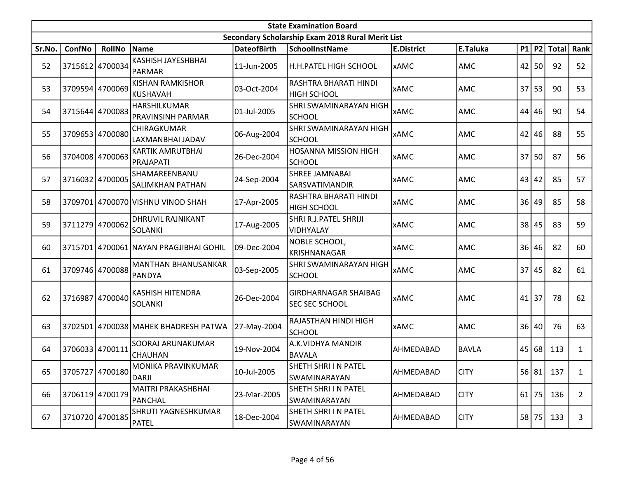|        | <b>State Examination Board</b><br>Secondary Scholarship Exam 2018 Rural Merit List |                 |                                            |                    |                                                |                   |              |    |           |             |                |  |  |  |
|--------|------------------------------------------------------------------------------------|-----------------|--------------------------------------------|--------------------|------------------------------------------------|-------------------|--------------|----|-----------|-------------|----------------|--|--|--|
|        |                                                                                    |                 |                                            |                    |                                                |                   |              |    |           |             |                |  |  |  |
| Sr.No. | <b>ConfNo</b>                                                                      | <b>RollNo</b>   | Name                                       | <b>DateofBirth</b> | <b>SchoolInstName</b>                          | <b>E.District</b> | E.Taluka     |    |           | P1 P2 Total | Rank           |  |  |  |
| 52     |                                                                                    | 3715612 4700034 | KASHISH JAYESHBHAI<br>PARMAR               | 11-Jun-2005        | H.H.PATEL HIGH SCHOOL                          | <b>xAMC</b>       | AMC          |    | $42$   50 | 92          | 52             |  |  |  |
| 53     |                                                                                    | 3709594 4700069 | <b>KISHAN RAMKISHOR</b><br><b>KUSHAVAH</b> | 03-Oct-2004        | RASHTRA BHARATI HINDI<br><b>HIGH SCHOOL</b>    | <b>xAMC</b>       | AMC          |    | 37 53     | 90          | 53             |  |  |  |
| 54     |                                                                                    | 3715644 4700083 | HARSHILKUMAR<br><b>PRAVINSINH PARMAR</b>   | 01-Jul-2005        | SHRI SWAMINARAYAN HIGH<br><b>SCHOOL</b>        | <b>xAMC</b>       | AMC          | 44 | 46        | 90          | 54             |  |  |  |
| 55     |                                                                                    | 3709653 4700080 | CHIRAGKUMAR<br>LAXMANBHAI JADAV            | 06-Aug-2004        | SHRI SWAMINARAYAN HIGH<br> SCHOOL              | <b>xAMC</b>       | <b>AMC</b>   | 42 | 46        | 88          | 55             |  |  |  |
| 56     |                                                                                    | 3704008 4700063 | KARTIK AMRUTBHAI<br>PRAJAPATI              | 26-Dec-2004        | <b>HOSANNA MISSION HIGH</b><br><b>SCHOOL</b>   | <b>xAMC</b>       | AMC          |    | $37$ 50   | 87          | 56             |  |  |  |
| 57     |                                                                                    | 3716032 4700005 | SHAMAREENBANU<br><b>SALIMKHAN PATHAN</b>   | 24-Sep-2004        | <b>SHREE JAMNABAI</b><br><b>SARSVATIMANDIR</b> | <b>xAMC</b>       | <b>AMC</b>   | 43 | 42        | 85          | 57             |  |  |  |
| 58     |                                                                                    |                 | 3709701 4700070 VISHNU VINOD SHAH          | 17-Apr-2005        | RASHTRA BHARATI HINDI<br><b>HIGH SCHOOL</b>    | <b>xAMC</b>       | AMC          | 36 | 49        | 85          | 58             |  |  |  |
| 59     |                                                                                    | 3711279 4700062 | DHRUVIL RAJNIKANT<br>SOLANKI               | 17-Aug-2005        | SHRI R.J.PATEL SHRIJI<br>VIDHYALAY             | <b>xAMC</b>       | AMC          | 38 | 45        | 83          | 59             |  |  |  |
| 60     |                                                                                    |                 | 3715701 4700061 NAYAN PRAGJIBHAI GOHIL     | 09-Dec-2004        | NOBLE SCHOOL,<br><b>KRISHNANAGAR</b>           | <b>xAMC</b>       | AMC          | 36 | 46        | 82          | 60             |  |  |  |
| 61     |                                                                                    | 3709746 4700088 | <b>MANTHAN BHANUSANKAR</b><br>PANDYA       | 03-Sep-2005        | SHRI SWAMINARAYAN HIGH<br>SCHOOL               | <b>xAMC</b>       | AMC          | 37 | 45        | 82          | 61             |  |  |  |
| 62     | 3716987                                                                            | 4700040         | <b>KASHISH HITENDRA</b><br><b>SOLANKI</b>  | 26-Dec-2004        | GIRDHARNAGAR SHAIBAG<br><b>SEC SEC SCHOOL</b>  | <b>xAMC</b>       | AMC          | 41 | 37        | 78          | 62             |  |  |  |
| 63     | 3702501                                                                            |                 | 4700038 MAHEK BHADRESH PATWA               | 27-May-2004        | RAJASTHAN HINDI HIGH<br><b>SCHOOL</b>          | <b>xAMC</b>       | AMC          |    | 36 40     | 76          | 63             |  |  |  |
| 64     |                                                                                    | 3706033 4700111 | SOORAJ ARUNAKUMAR<br>CHAUHAN               | 19-Nov-2004        | A.K.VIDHYA MANDIR<br><b>BAVALA</b>             | AHMEDABAD         | <b>BAVLA</b> |    | 45 68     | 113         | 1              |  |  |  |
| 65     |                                                                                    | 3705727 4700180 | MONIKA PRAVINKUMAR<br>DARJI                | 10-Jul-2005        | SHETH SHRI I N PATEL<br><b>SWAMINARAYAN</b>    | AHMEDABAD         | <b>CITY</b>  |    |           | 56 81 137   | $\mathbf{1}$   |  |  |  |
| 66     |                                                                                    | 3706119 4700179 | MAITRI PRAKASHBHAI<br>PANCHAL              | 23-Mar-2005        | SHETH SHRI I N PATEL<br><b>SWAMINARAYAN</b>    | AHMEDABAD         | <b>CITY</b>  |    | $61$ 75   | 136         | $\overline{2}$ |  |  |  |
| 67     |                                                                                    | 3710720 4700185 | SHRUTI YAGNESHKUMAR<br>PATEL               | 18-Dec-2004        | SHETH SHRI I N PATEL<br>SWAMINARAYAN           | AHMEDABAD         | <b>CITY</b>  |    | 58 75     | 133         | 3              |  |  |  |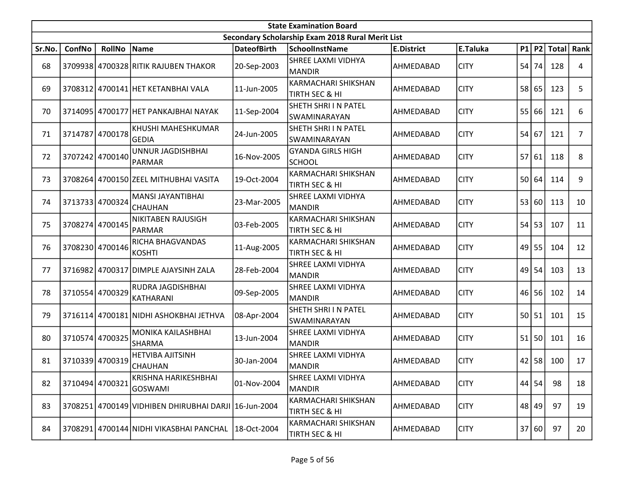|        | <b>State Examination Board</b> |                 |                                                      |                    |                                                  |                   |             |    |           |             |                |  |  |
|--------|--------------------------------|-----------------|------------------------------------------------------|--------------------|--------------------------------------------------|-------------------|-------------|----|-----------|-------------|----------------|--|--|
|        |                                |                 |                                                      |                    | Secondary Scholarship Exam 2018 Rural Merit List |                   |             |    |           |             |                |  |  |
| Sr.No. | ConfNo                         | <b>RollNo</b>   | Name                                                 | <b>DateofBirth</b> | <b>SchoolInstName</b>                            | <b>E.District</b> | E.Taluka    |    |           | P1 P2 Total | Rank           |  |  |
| 68     |                                |                 | 3709938 4700328 RITIK RAJUBEN THAKOR                 | 20-Sep-2003        | <b>SHREE LAXMI VIDHYA</b><br><b>MANDIR</b>       | AHMEDABAD         | <b>CITY</b> | 54 | 74        | 128         | 4              |  |  |
| 69     |                                |                 | 3708312 4700141 HET KETANBHAI VALA                   | 11-Jun-2005        | KARMACHARI SHIKSHAN<br>TIRTH SEC & HI            | AHMEDABAD         | <b>CITY</b> |    | 58 65     | 123         | 5              |  |  |
| 70     |                                |                 | 3714095 4700177 HET PANKAJBHAI NAYAK                 | 11-Sep-2004        | SHETH SHRI I N PATEL<br><b>SWAMINARAYAN</b>      | AHMEDABAD         | <b>CITY</b> | 55 | 66        | 121         | 6              |  |  |
| 71     | 3714787                        | 4700178         | KHUSHI MAHESHKUMAR<br><b>GEDIA</b>                   | 24-Jun-2005        | SHETH SHRI I N PATEL<br>SWAMINARAYAN             | AHMEDABAD         | <b>CITY</b> | 54 | 67        | 121         | $\overline{7}$ |  |  |
| 72     |                                | 3707242 4700140 | UNNUR JAGDISHBHAI<br><b>PARMAR</b>                   | 16-Nov-2005        | <b>GYANDA GIRLS HIGH</b><br><b>SCHOOL</b>        | AHMEDABAD         | <b>CITY</b> |    | 57 61     | 118         | 8              |  |  |
| 73     |                                |                 | 3708264 4700150 ZEEL MITHUBHAI VASITA                | 19-Oct-2004        | <b>KARMACHARI SHIKSHAN</b><br>TIRTH SEC & HI     | AHMEDABAD         | <b>CITY</b> | 50 | 64        | 114         | 9              |  |  |
| 74     |                                | 3713733 4700324 | <b>MANSI JAYANTIBHAI</b><br><b>CHAUHAN</b>           | 23-Mar-2005        | SHREE LAXMI VIDHYA<br><b>MANDIR</b>              | AHMEDABAD         | <b>CITY</b> | 53 | 60        | 113         | 10             |  |  |
| 75     |                                | 3708274 4700145 | NIKITABEN RAJUSIGH<br>PARMAR                         | 03-Feb-2005        | KARMACHARI SHIKSHAN<br>TIRTH SEC & HI            | AHMEDABAD         | <b>CITY</b> |    | $54$ 53   | 107         | 11             |  |  |
| 76     |                                | 3708230 4700146 | RICHA BHAGVANDAS<br><b>KOSHTI</b>                    | 11-Aug-2005        | KARMACHARI SHIKSHAN<br>TIRTH SEC & HI            | AHMEDABAD         | <b>CITY</b> |    | $49$ 55   | 104         | 12             |  |  |
| 77     | 3716982                        |                 | 4700317 DIMPLE AJAYSINH ZALA                         | 28-Feb-2004        | <b>SHREE LAXMI VIDHYA</b><br><b>MANDIR</b>       | AHMEDABAD         | <b>CITY</b> |    | $49$ 54   | 103         | 13             |  |  |
| 78     |                                | 3710554 4700329 | RUDRA JAGDISHBHAI<br>KATHARANI                       | 09-Sep-2005        | SHREE LAXMI VIDHYA<br><b>MANDIR</b>              | AHMEDABAD         | <b>CITY</b> |    | $46$   56 | 102         | 14             |  |  |
| 79     |                                |                 | 3716114 4700181 NIDHI ASHOKBHAI JETHVA               | 08-Apr-2004        | <b>SHETH SHRI I N PATEL</b><br>SWAMINARAYAN      | AHMEDABAD         | <b>CITY</b> |    | 50 51     | 101         | 15             |  |  |
| 80     |                                | 3710574 4700325 | MONIKA KAILASHBHAI<br><b>SHARMA</b>                  | 13-Jun-2004        | <b>SHREE LAXMI VIDHYA</b><br><b>MANDIR</b>       | AHMEDABAD         | <b>CITY</b> | 51 | 50        | 101         | 16             |  |  |
| 81     |                                | 3710339 4700319 | <b>HETVIBA AJITSINH</b><br><b>CHAUHAN</b>            | 30-Jan-2004        | <b>SHREE LAXMI VIDHYA</b><br>MANDIR              | AHMEDABAD         | <b>CITY</b> |    | $42$ 58   | 100         | 17             |  |  |
| 82     | 3710494 4700321                |                 | KRISHNA HARIKESHBHAI<br>GOSWAMI                      | 01-Nov-2004        | SHREE LAXMI VIDHYA<br><b>MANDIR</b>              | AHMEDABAD         | <b>CITY</b> |    | $44$ 54   | 98          | 18             |  |  |
| 83     |                                |                 | 3708251 4700149 VIDHIBEN DHIRUBHAI DARJI 16-Jun-2004 |                    | KARMACHARI SHIKSHAN<br>TIRTH SEC & HI            | AHMEDABAD         | <b>CITY</b> |    | 48 49     | 97          | 19             |  |  |
| 84     |                                |                 | 3708291 4700144 NIDHI VIKASBHAI PANCHAL              | 18-Oct-2004        | KARMACHARI SHIKSHAN<br>TIRTH SEC & HI            | AHMEDABAD         | <b>CITY</b> |    | 37 60     | 97          | 20             |  |  |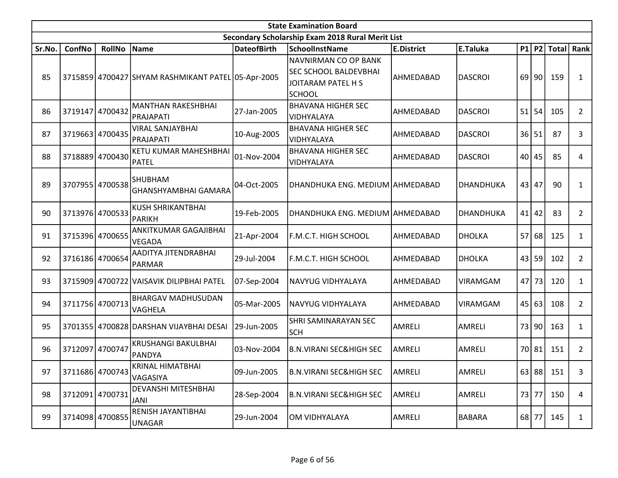|        | <b>State Examination Board</b><br>Secondary Scholarship Exam 2018 Rural Merit List |                 |                                                    |                    |                                                                                             |                   |                 |    |           |              |                |  |  |  |
|--------|------------------------------------------------------------------------------------|-----------------|----------------------------------------------------|--------------------|---------------------------------------------------------------------------------------------|-------------------|-----------------|----|-----------|--------------|----------------|--|--|--|
|        |                                                                                    |                 |                                                    |                    |                                                                                             |                   |                 |    |           |              |                |  |  |  |
| Sr.No. | ConfNo                                                                             | <b>RollNo</b>   | Name                                               | <b>DateofBirth</b> | <b>SchoolInstName</b>                                                                       | <b>E.District</b> | E.Taluka        |    | $P1$ $P2$ | <b>Total</b> | Rank           |  |  |  |
| 85     |                                                                                    |                 | 3715859 4700427 SHYAM RASHMIKANT PATEL 05-Apr-2005 |                    | NAVNIRMAN CO OP BANK<br><b>SEC SCHOOL BALDEVBHAI</b><br>JOITARAM PATEL H S<br><b>SCHOOL</b> | AHMEDABAD         | <b>DASCROI</b>  | 69 | 90        | 159          | $\mathbf{1}$   |  |  |  |
| 86     | 3719147                                                                            | 4700432         | <b>MANTHAN RAKESHBHAI</b><br>PRAJAPATI             | 27-Jan-2005        | <b>BHAVANA HIGHER SEC</b><br>VIDHYALAYA                                                     | AHMEDABAD         | <b>DASCROI</b>  |    | $51$ 54   | 105          | $\overline{2}$ |  |  |  |
| 87     | 3719663                                                                            | 4700435         | <b>VIRAL SANJAYBHAI</b><br>PRAJAPATI               | 10-Aug-2005        | <b>BHAVANA HIGHER SEC</b><br>VIDHYALAYA                                                     | AHMEDABAD         | <b>DASCROI</b>  |    | 36 51     | 87           | 3              |  |  |  |
| 88     |                                                                                    | 3718889 4700430 | KETU KUMAR MAHESHBHAI<br>PATEL                     | 01-Nov-2004        | <b>BHAVANA HIGHER SEC</b><br>VIDHYALAYA                                                     | AHMEDABAD         | <b>DASCROI</b>  |    | 40 45     | 85           | 4              |  |  |  |
| 89     |                                                                                    | 3707955 4700538 | <b>SHUBHAM</b><br>GHANSHYAMBHAI GAMARA             | 04-Oct-2005        | DHANDHUKA ENG. MEDIUM AHMEDABAD                                                             |                   | DHANDHUKA       |    | 43 47     | 90           | 1              |  |  |  |
| 90     |                                                                                    | 3713976 4700533 | <b>KUSH SHRIKANTBHAI</b><br><b>PARIKH</b>          | 19-Feb-2005        | DHANDHUKA ENG. MEDIUM AHMEDABAD                                                             |                   | DHANDHUKA       |    | $41$ 42   | 83           | $\overline{2}$ |  |  |  |
| 91     |                                                                                    | 3715396 4700655 | ANKITKUMAR GAGAJIBHAI<br><b>VEGADA</b>             | 21-Apr-2004        | <b>F.M.C.T. HIGH SCHOOL</b>                                                                 | AHMEDABAD         | <b>DHOLKA</b>   |    | 57 68     | 125          | $\mathbf{1}$   |  |  |  |
| 92     | 3716186 4700654                                                                    |                 | AADITYA JITENDRABHAI<br><b>PARMAR</b>              | 29-Jul-2004        | F.M.C.T. HIGH SCHOOL                                                                        | AHMEDABAD         | <b>DHOLKA</b>   |    | 43 59     | 102          | $\overline{2}$ |  |  |  |
| 93     |                                                                                    |                 | 3715909 4700722 VAISAVIK DILIPBHAI PATEL           | 07-Sep-2004        | NAVYUG VIDHYALAYA                                                                           | AHMEDABAD         | <b>VIRAMGAM</b> |    | 47 73     | 120          | $\mathbf{1}$   |  |  |  |
| 94     |                                                                                    | 3711756 4700713 | <b>BHARGAV MADHUSUDAN</b><br>VAGHELA               | 05-Mar-2005        | NAVYUG VIDHYALAYA                                                                           | AHMEDABAD         | <b>VIRAMGAM</b> |    | 45 63     | 108          | $\overline{2}$ |  |  |  |
| 95     |                                                                                    |                 | 3701355 4700828 DARSHAN VIJAYBHAI DESAI            | 29-Jun-2005        | SHRI SAMINARAYAN SEC<br><b>SCH</b>                                                          | <b>AMRELI</b>     | <b>AMRELI</b>   |    | 73 90     | 163          | $\mathbf{1}$   |  |  |  |
| 96     | 3712097                                                                            | 4700747         | <b>KRUSHANGI BAKULBHAI</b><br><b>PANDYA</b>        | 03-Nov-2004        | <b>B.N.VIRANI SEC&amp;HIGH SEC</b>                                                          | <b>AMRELI</b>     | AMRELI          |    | 70 81     | 151          | $\overline{2}$ |  |  |  |
| 97     |                                                                                    | 3711686 4700743 | KRINAL HIMATBHAI<br>VAGASIYA                       | 09-Jun-2005        | <b>B.N.VIRANI SEC&amp;HIGH SEC</b>                                                          | AMRELI            | AMRELI          |    |           | 63 88 151    | 3              |  |  |  |
| 98     | 3712091 4700731                                                                    |                 | DEVANSHI MITESHBHAI<br>JANI                        | 28-Sep-2004        | <b>B.N.VIRANI SEC&amp;HIGH SEC</b>                                                          | <b>AMRELI</b>     | AMRELI          |    | 73 77     | 150          | 4              |  |  |  |
| 99     |                                                                                    | 3714098 4700855 | RENISH JAYANTIBHAI<br><b>UNAGAR</b>                | 29-Jun-2004        | OM VIDHYALAYA                                                                               | AMRELI            | <b>BABARA</b>   |    | 68 77     | 145          | $\mathbf{1}$   |  |  |  |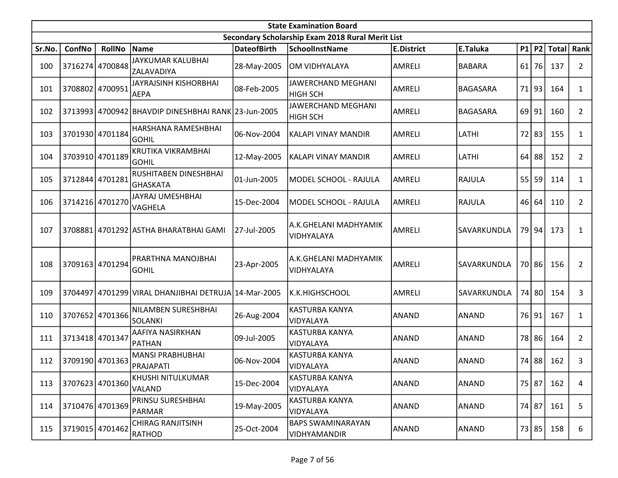|        | <b>State Examination Board</b> |                 |                                                      |                    |                                                  |                   |                 |    |           |                  |                       |  |  |
|--------|--------------------------------|-----------------|------------------------------------------------------|--------------------|--------------------------------------------------|-------------------|-----------------|----|-----------|------------------|-----------------------|--|--|
|        |                                |                 |                                                      |                    | Secondary Scholarship Exam 2018 Rural Merit List |                   |                 |    |           |                  |                       |  |  |
| Sr.No. | ConfNo                         | <b>RollNo</b>   | Name                                                 | <b>DateofBirth</b> | <b>SchoolInstName</b>                            | <b>E.District</b> | E.Taluka        |    |           | $P1$   P2  Total | Rank                  |  |  |
| 100    |                                | 3716274 4700848 | JAYKUMAR KALUBHAI<br><b>ZALAVADIYA</b>               | 28-May-2005        | OM VIDHYALAYA                                    | AMRELI            | <b>BABARA</b>   | 61 | 76        | 137              | $\mathbf{2}$          |  |  |
| 101    |                                | 3708802 4700951 | <b>JAYRAJSINH KISHORBHAI</b><br><b>AEPA</b>          | 08-Feb-2005        | JAWERCHAND MEGHANI<br><b>HIGH SCH</b>            | AMRELI            | BAGASARA        |    | 71 93     | 164              | 1                     |  |  |
| 102    |                                |                 | 3713993 4700942 BHAVDIP DINESHBHAI RANK 23-Jun-2005  |                    | JAWERCHAND MEGHANI<br>HIGH SCH                   | AMRELI            | <b>BAGASARA</b> |    | $69$   91 | 160              | $\overline{2}$        |  |  |
| 103    |                                | 3701930 4701184 | HARSHANA RAMESHBHAI<br>GOHIL                         | 06-Nov-2004        | KALAPI VINAY MANDIR                              | <b>AMRELI</b>     | LATHI           |    | 72 83     | 155              | $\mathbf{1}$          |  |  |
| 104    |                                | 3703910 4701189 | KRUTIKA VIKRAMBHAI<br><b>GOHIL</b>                   | 12-May-2005        | KALAPI VINAY MANDIR                              | <b>AMRELI</b>     | LATHI           |    | $64$ 88   | 152              | $\mathbf{2}$          |  |  |
| 105    | 3712844                        | 4701281         | RUSHITABEN DINESHBHAI<br>lGHASKATA                   | 01-Jun-2005        | MODEL SCHOOL - RAJULA                            | <b>AMRELI</b>     | RAJULA          | 55 | 59        | 114              | $\mathbf{1}$          |  |  |
| 106    |                                | 3714216 4701270 | JAYRAJ UMESHBHAI<br><b>VAGHELA</b>                   | 15-Dec-2004        | MODEL SCHOOL - RAJULA                            | <b>AMRELI</b>     | <b>RAJULA</b>   | 46 | 64        | 110              | $\mathbf{2}$          |  |  |
| 107    |                                |                 | 3708881 4701292 ASTHA BHARATBHAI GAMI                | 27-Jul-2005        | A.K.GHELANI MADHYAMIK<br>VIDHYALAYA              | AMRELI            | SAVARKUNDLA     |    | 79 94     | 173              | 1                     |  |  |
| 108    |                                | 3709163 4701294 | PRARTHNA MANOJBHAI<br><b>GOHIL</b>                   | 23-Apr-2005        | A.K.GHELANI MADHYAMIK<br>VIDHYALAYA              | AMRELI            | SAVARKUNDLA     |    | 70 86     | 156              | $\mathbf{2}^{\prime}$ |  |  |
| 109    |                                |                 | 3704497 4701299 VIRAL DHANJIBHAI DETRUJA 14-Mar-2005 |                    | K.K.HIGHSCHOOL                                   | <b>AMRELI</b>     | SAVARKUNDLA     |    | 74 80     | 154              | 3                     |  |  |
| 110    |                                | 3707652 4701366 | NILAMBEN SURESHBHAI<br><b>SOLANKI</b>                | 26-Aug-2004        | KASTURBA KANYA<br>VIDYALAYA                      | ANAND             | ANAND           |    | 76 91     | 167              | $\mathbf{1}$          |  |  |
| 111    |                                | 3713418 4701347 | AAFIYA NASIRKHAN<br>PATHAN                           | 09-Jul-2005        | <b>KASTURBA KANYA</b><br>VIDYALAYA               | <b>ANAND</b>      | ANAND           | 78 | 86        | 164              | $\overline{2}$        |  |  |
| 112    |                                | 3709190 4701363 | <b>MANSI PRABHUBHAI</b><br>PRAJAPATI                 | 06-Nov-2004        | <b>KASTURBA KANYA</b><br>VIDYALAYA               | <b>ANAND</b>      | ANAND           |    | 74 88     | 162              | 3                     |  |  |
| 113    |                                | 3707623 4701360 | KHUSHI NITULKUMAR<br><b>VALAND</b>                   | 15-Dec-2004        | KASTURBA KANYA<br>VIDYALAYA                      | ANAND             | ANAND           |    | 75 87     | 162              | $\overline{4}$        |  |  |
| 114    |                                | 3710476 4701369 | PRINSU SURESHBHAI<br>PARMAR                          | 19-May-2005        | KASTURBA KANYA<br>VIDYALAYA                      | ANAND             | ANAND           |    | 74 87     | 161              | 5                     |  |  |
| 115    |                                | 3719015 4701462 | <b>CHIRAG RANJITSINH</b><br>RATHOD                   | 25-Oct-2004        | <b>BAPS SWAMINARAYAN</b><br>VIDHYAMANDIR         | ANAND             | ANAND           |    | 73   85   | 158              | 6                     |  |  |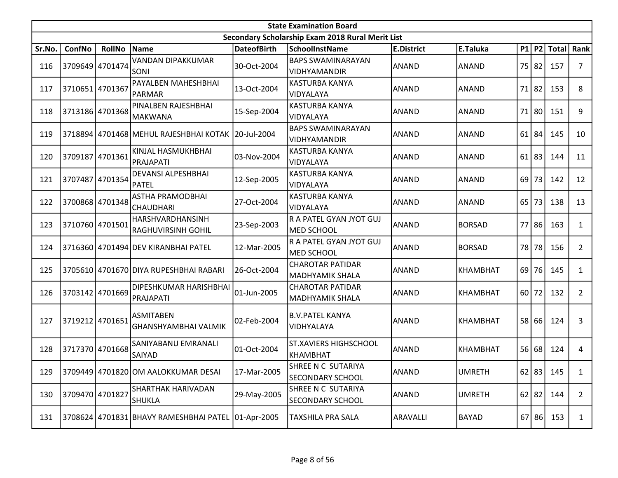|        | <b>State Examination Board</b> |                 |                                                      |                    |                                                  |                   |               |    |           |              |                |  |  |
|--------|--------------------------------|-----------------|------------------------------------------------------|--------------------|--------------------------------------------------|-------------------|---------------|----|-----------|--------------|----------------|--|--|
|        |                                |                 |                                                      |                    | Secondary Scholarship Exam 2018 Rural Merit List |                   |               |    |           |              |                |  |  |
| Sr.No. | ConfNo                         | <b>RollNo</b>   | Name                                                 | <b>DateofBirth</b> | <b>SchoolInstName</b>                            | <b>E.District</b> | E.Taluka      |    | $P1$ P2   | <b>Total</b> | Rank           |  |  |
| 116    |                                | 3709649 4701474 | <b>VANDAN DIPAKKUMAR</b><br>SONI                     | 30-Oct-2004        | <b>BAPS SWAMINARAYAN</b><br><b>VIDHYAMANDIR</b>  | ANAND             | <b>ANAND</b>  | 75 | 82        | 157          | 7              |  |  |
| 117    | 3710651                        | 4701367         | PAYALBEN MAHESHBHAI<br><b>PARMAR</b>                 | 13-Oct-2004        | KASTURBA KANYA<br>VIDYALAYA                      | ANAND             | <b>ANAND</b>  | 71 | 82        | 153          | 8              |  |  |
| 118    |                                | 3713186 4701368 | PINALBEN RAJESHBHAI<br><b>MAKWANA</b>                | 15-Sep-2004        | <b>KASTURBA KANYA</b><br>VIDYALAYA               | ANAND             | ANAND         | 71 | 80        | 151          | 9              |  |  |
| 119    |                                |                 | 3718894 4701468 MEHUL RAJESHBHAI KOTAK   20-Jul-2004 |                    | <b>BAPS SWAMINARAYAN</b><br>VIDHYAMANDIR         | ANAND             | <b>ANAND</b>  | 61 | 84        | 145          | 10             |  |  |
| 120    | 3709187                        | 4701361         | KINJAL HASMUKHBHAI<br>PRAJAPATI                      | 03-Nov-2004        | KASTURBA KANYA<br>VIDYALAYA                      | ANAND             | <b>ANAND</b>  | 61 | 83        | 144          | 11             |  |  |
| 121    | 3707487                        | 4701354         | <b>DEVANSI ALPESHBHAI</b><br><b>PATEL</b>            | 12-Sep-2005        | <b>KASTURBA KANYA</b><br>VIDYALAYA               | ANAND             | <b>ANAND</b>  | 69 | 73        | 142          | 12             |  |  |
| 122    |                                | 3700868 4701348 | <b>ASTHA PRAMODBHAI</b><br><b>CHAUDHARI</b>          | 27-Oct-2004        | KASTURBA KANYA<br>VIDYALAYA                      | <b>ANAND</b>      | <b>ANAND</b>  | 65 | 73        | 138          | 13             |  |  |
| 123    | 3710760 4701501                |                 | HARSHVARDHANSINH<br><b>RAGHUVIRSINH GOHIL</b>        | 23-Sep-2003        | R A PATEL GYAN JYOT GUJ<br><b>MED SCHOOL</b>     | ANAND             | <b>BORSAD</b> |    | 77 86     | 163          | $\mathbf{1}$   |  |  |
| 124    |                                |                 | 3716360 4701494 DEV KIRANBHAI PATEL                  | 12-Mar-2005        | R A PATEL GYAN JYOT GUJ<br><b>MED SCHOOL</b>     | ANAND             | <b>BORSAD</b> |    | 78 78     | 156          | $\overline{2}$ |  |  |
| 125    |                                |                 | 3705610 4701670 DIYA RUPESHBHAI RABARI               | 26-Oct-2004        | <b>CHAROTAR PATIDAR</b><br>MADHYAMIK SHALA       | ANAND             | KHAMBHAT      | 69 | 76        | 145          | $\mathbf{1}$   |  |  |
| 126    | 3703142                        | 4701669         | DIPESHKUMAR HARISHBHAI<br>PRAJAPATI                  | 01-Jun-2005        | <b>CHAROTAR PATIDAR</b><br>MADHYAMIK SHALA       | ANAND             | KHAMBHAT      |    | $60$   72 | 132          | $\overline{2}$ |  |  |
| 127    | 3719212 4701651                |                 | <b>ASMITABEN</b><br>GHANSHYAMBHAI VALMIK             | 02-Feb-2004        | <b>B.V.PATEL KANYA</b><br>VIDHYALAYA             | ANAND             | KHAMBHAT      |    | 58 66     | 124          | 3              |  |  |
| 128    | 3717370 4701668                |                 | SANIYABANU EMRANALI<br>SAIYAD                        | 01-Oct-2004        | <b>ST.XAVIERS HIGHSCHOOL</b><br>KHAMBHAT         | ANAND             | KHAMBHAT      |    | 56 68     | 124          | 4              |  |  |
| 129    |                                |                 | 3709449 4701820 OM AALOKKUMAR DESAI                  | 17-Mar-2005        | SHREE N C SUTARIYA<br><b>SECONDARY SCHOOL</b>    | ANAND             | <b>UMRETH</b> |    |           | 62 83 145    | 1              |  |  |
| 130    | 3709470 4701827                |                 | SHARTHAK HARIVADAN<br><b>SHUKLA</b>                  | 29-May-2005        | SHREE N C SUTARIYA<br><b>SECONDARY SCHOOL</b>    | ANAND             | <b>UMRETH</b> |    | $62$   82 | 144          | $\mathbf{2}$   |  |  |
| 131    |                                |                 | 3708624 4701831 BHAVY RAMESHBHAI PATEL 01-Apr-2005   |                    | TAXSHILA PRA SALA                                | ARAVALLI          | <b>BAYAD</b>  |    | $67$   86 | 153          | $\mathbf{1}$   |  |  |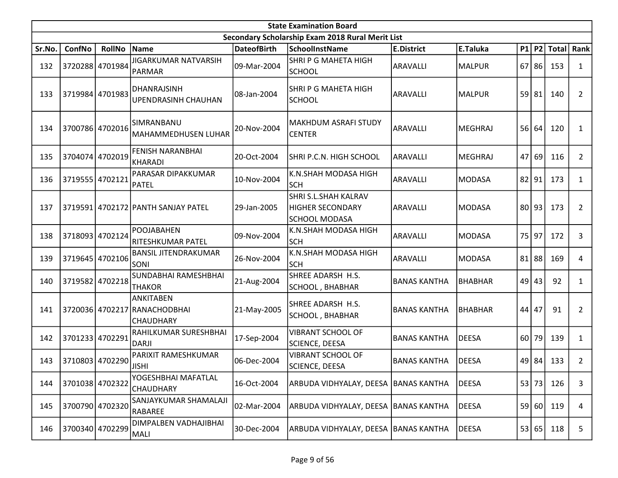|        | <b>State Examination Board</b> |                 |                                               |                    |                                                                                |                     |                |    |           |              |                |  |  |
|--------|--------------------------------|-----------------|-----------------------------------------------|--------------------|--------------------------------------------------------------------------------|---------------------|----------------|----|-----------|--------------|----------------|--|--|
|        |                                |                 |                                               |                    | Secondary Scholarship Exam 2018 Rural Merit List                               |                     |                |    |           |              |                |  |  |
| Sr.No. | ConfNo                         | <b>RollNo</b>   | Name                                          | <b>DateofBirth</b> | <b>SchoolInstName</b>                                                          | <b>E.District</b>   | E.Taluka       |    | $P1$ $P2$ | <b>Total</b> | Rank           |  |  |
| 132    | 3720288                        | 4701984         | <b>JIGARKUMAR NATVARSIH</b><br><b>PARMAR</b>  | 09-Mar-2004        | <b>SHRI P G MAHETA HIGH</b><br><b>SCHOOL</b>                                   | ARAVALLI            | MALPUR         |    | $67$ 86   | 153          | 1              |  |  |
| 133    |                                | 3719984 4701983 | DHANRAJSINH<br>UPENDRASINH CHAUHAN            | 08-Jan-2004        | SHRI P G MAHETA HIGH<br><b>SCHOOL</b>                                          | ARAVALLI            | MALPUR         |    | 59 81     | 140          | $\overline{2}$ |  |  |
| 134    |                                | 3700786 4702016 | SIMRANBANU<br>MAHAMMEDHUSEN LUHAR             | 20-Nov-2004        | MAKHDUM ASRAFI STUDY <br><b>CENTER</b>                                         | ARAVALLI            | MEGHRAJ        |    | 56 64     | 120          | 1              |  |  |
| 135    |                                | 3704074 4702019 | FENISH NARANBHAI<br><b>KHARADI</b>            | 20-Oct-2004        | SHRI P.C.N. HIGH SCHOOL                                                        | <b>ARAVALLI</b>     | MEGHRAJ        |    | 47 69     | 116          | $\overline{2}$ |  |  |
| 136    | 3719555 4702121                |                 | PARASAR DIPAKKUMAR<br><b>PATEL</b>            | 10-Nov-2004        | K.N.SHAH MODASA HIGH<br><b>SCH</b>                                             | ARAVALLI            | MODASA         |    | 82 91     | 173          | $\mathbf{1}$   |  |  |
| 137    | 3719591                        |                 | 4702172 PANTH SANJAY PATEL                    | 29-Jan-2005        | <b>SHRI S.L.SHAH KALRAV</b><br><b>HIGHER SECONDARY</b><br><b>SCHOOL MODASA</b> | ARAVALLI            | MODASA         |    | 80 93     | 173          | $\overline{2}$ |  |  |
| 138    |                                | 3718093 4702124 | <b>POOJABAHEN</b><br>RITESHKUMAR PATEL        | 09-Nov-2004        | K.N.SHAH MODASA HIGH<br><b>SCH</b>                                             | ARAVALLI            | MODASA         |    | 75 97     | 172          | 3              |  |  |
| 139    |                                | 3719645 4702106 | <b>BANSIL JITENDRAKUMAR</b><br>SONI           | 26-Nov-2004        | K.N.SHAH MODASA HIGH<br><b>SCH</b>                                             | ARAVALLI            | MODASA         | 81 | 88        | 169          | 4              |  |  |
| 140    |                                | 3719582 4702218 | SUNDABHAI RAMESHBHAI<br><b>THAKOR</b>         | 21-Aug-2004        | SHREE ADARSH H.S.<br>SCHOOL, BHABHAR                                           | <b>BANAS KANTHA</b> | <b>BHABHAR</b> |    | $49$ 43   | 92           | 1              |  |  |
| 141    |                                | 3720036 4702217 | ANKITABEN<br>RANACHODBHAI<br><b>CHAUDHARY</b> | 21-May-2005        | SHREE ADARSH H.S.<br><b>SCHOOL, BHABHAR</b>                                    | <b>BANAS KANTHA</b> | <b>BHABHAR</b> | 44 | 47        | 91           | $\overline{2}$ |  |  |
| 142    |                                | 3701233 4702291 | RAHILKUMAR SURESHBHAI<br><b>DARJI</b>         | 17-Sep-2004        | <b>VIBRANT SCHOOL OF</b><br><b>SCIENCE, DEESA</b>                              | <b>BANAS KANTHA</b> | <b>DEESA</b>   | 60 | 79        | 139          | $\mathbf{1}$   |  |  |
| 143    |                                | 3710803 4702290 | PARIXIT RAMESHKUMAR<br><b>JISHI</b>           | 06-Dec-2004        | <b>VIBRANT SCHOOL OF</b><br>SCIENCE, DEESA                                     | <b>BANAS KANTHA</b> | DEESA          |    | 49 84     | 133          | $\overline{2}$ |  |  |
| 144    |                                | 3701038 4702322 | YOGESHBHAI MAFATLAL<br>CHAUDHARY              | 16-Oct-2004        | ARBUDA VIDHYALAY, DEESA BANAS KANTHA                                           |                     | <b>DEESA</b>   |    | 53 73     | 126          | 3              |  |  |
| 145    |                                | 3700790 4702320 | SANJAYKUMAR SHAMALAJI<br><b>RABAREE</b>       | 02-Mar-2004        | ARBUDA VIDHYALAY, DEESA   BANAS KANTHA                                         |                     | <b>DEESA</b>   |    | 59 60     | 119          | 4              |  |  |
| 146    |                                | 3700340 4702299 | DIMPALBEN VADHAJIBHAI<br>MALI                 | 30-Dec-2004        | ARBUDA VIDHYALAY, DEESA   BANAS KANTHA                                         |                     | <b>DEESA</b>   |    | 53 65     | 118          | 5              |  |  |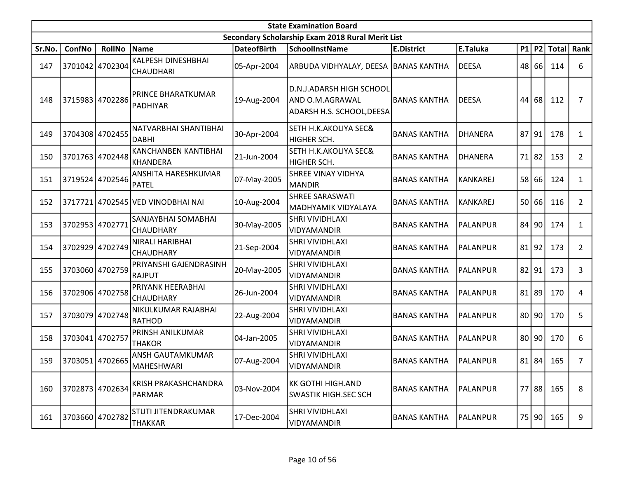|        | <b>State Examination Board</b><br>Secondary Scholarship Exam 2018 Rural Merit List |                 |                                                |                    |                                                                          |                     |                |    |           |              |                |  |  |  |
|--------|------------------------------------------------------------------------------------|-----------------|------------------------------------------------|--------------------|--------------------------------------------------------------------------|---------------------|----------------|----|-----------|--------------|----------------|--|--|--|
|        |                                                                                    |                 |                                                |                    |                                                                          |                     |                |    |           |              |                |  |  |  |
| Sr.No. | <b>ConfNo</b>                                                                      | <b>RollNo</b>   | Name                                           | <b>DateofBirth</b> | <b>SchoolInstName</b>                                                    | <b>E.District</b>   | E.Taluka       |    | P1 P2     | <b>Total</b> | Rank           |  |  |  |
| 147    |                                                                                    | 3701042 4702304 | <b>KALPESH DINESHBHAI</b><br><b>CHAUDHARI</b>  | 05-Apr-2004        | ARBUDA VIDHYALAY, DEESA BANAS KANTHA                                     |                     | <b>DEESA</b>   | 48 | 66        | 114          | 6              |  |  |  |
| 148    |                                                                                    | 3715983 4702286 | PRINCE BHARATKUMAR<br>PADHIYAR                 | 19-Aug-2004        | D.N.J.ADARSH HIGH SCHOOL<br>AND O.M.AGRAWAL<br>ADARSH H.S. SCHOOL, DEESA | <b>BANAS KANTHA</b> | <b>DEESA</b>   | 44 | 68        | 112          | 7              |  |  |  |
| 149    |                                                                                    | 3704308 4702455 | NATVARBHAI SHANTIBHAI<br><b>DABHI</b>          | 30-Apr-2004        | <b>SETH H.K.AKOLIYA SEC&amp;</b><br><b>HIGHER SCH.</b>                   | <b>BANAS KANTHA</b> | <b>DHANERA</b> | 87 | 91        | 178          | $\mathbf{1}$   |  |  |  |
| 150    |                                                                                    | 3701763 4702448 | <b>KANCHANBEN KANTIBHAI</b><br><b>KHANDERA</b> | 21-Jun-2004        | <b>SETH H.K.AKOLIYA SEC&amp;</b><br>HIGHER SCH.                          | <b>BANAS KANTHA</b> | <b>DHANERA</b> | 71 | 82        | 153          | $\overline{2}$ |  |  |  |
| 151    |                                                                                    | 3719524 4702546 | ANSHITA HARESHKUMAR<br><b>PATEL</b>            | 07-May-2005        | <b>SHREE VINAY VIDHYA</b><br>MANDIR                                      | <b>BANAS KANTHA</b> | KANKAREJ       | 58 | 66        | 124          | $\mathbf{1}$   |  |  |  |
| 152    |                                                                                    |                 | 3717721 4702545 VED VINODBHAI NAI              | 10-Aug-2004        | <b>SHREE SARASWATI</b><br>MADHYAMIK VIDYALAYA                            | <b>BANAS KANTHA</b> | KANKAREJ       | 50 | 66        | 116          | $\overline{2}$ |  |  |  |
| 153    | 3702953 4702771                                                                    |                 | SANJAYBHAI SOMABHAI<br><b>CHAUDHARY</b>        | 30-May-2005        | <b>SHRI VIVIDHLAXI</b><br>VIDYAMANDIR                                    | <b>BANAS KANTHA</b> | PALANPUR       | 84 | 90        | 174          | 1              |  |  |  |
| 154    |                                                                                    | 3702929 4702749 | NIRALI HARIBHAI<br>CHAUDHARY                   | 21-Sep-2004        | SHRI VIVIDHLAXI<br>VIDYAMANDIR                                           | <b>BANAS KANTHA</b> | PALANPUR       |    | $81$   92 | 173          | $\overline{2}$ |  |  |  |
| 155    |                                                                                    | 3703060 4702759 | PRIYANSHI GAJENDRASINH<br><b>RAJPUT</b>        | 20-May-2005        | <b>SHRI VIVIDHLAXI</b><br>VIDYAMANDIR                                    | <b>BANAS KANTHA</b> | PALANPUR       | 82 | 91        | 173          | 3              |  |  |  |
| 156    |                                                                                    | 3702906 4702758 | PRIYANK HEERABHAI<br>CHAUDHARY                 | 26-Jun-2004        | <b>SHRI VIVIDHLAXI</b><br><b>VIDYAMANDIR</b>                             | <b>BANAS KANTHA</b> | PALANPUR       | 81 | 89        | 170          | 4              |  |  |  |
| 157    |                                                                                    | 3703079 4702748 | NIKULKUMAR RAJABHAI<br><b>RATHOD</b>           | 22-Aug-2004        | <b>SHRI VIVIDHLAXI</b><br>VIDYAMANDIR                                    | <b>BANAS KANTHA</b> | PALANPUR       |    | $80$  90  | 170          | 5              |  |  |  |
| 158    | 3703041 4702757                                                                    |                 | PRINSH ANILKUMAR<br><b>THAKOR</b>              | 04-Jan-2005        | <b>SHRI VIVIDHLAXI</b><br>VIDYAMANDIR                                    | <b>BANAS KANTHA</b> | PALANPUR       | 80 | 90        | 170          | 6              |  |  |  |
| 159    |                                                                                    | 3703051 4702665 | ANSH GAUTAMKUMAR<br>MAHESHWARI                 | 07-Aug-2004        | <b>SHRI VIVIDHLAXI</b><br><b>VIDYAMANDIR</b>                             | <b>BANAS KANTHA</b> | PALANPUR       | 81 | 84        | 165          | $\overline{7}$ |  |  |  |
| 160    |                                                                                    | 3702873 4702634 | KRISH PRAKASHCHANDRA<br><b>PARMAR</b>          | 03-Nov-2004        | KK GOTHI HIGH.AND<br>SWASTIK HIGH.SEC SCH                                | <b>BANAS KANTHA</b> | PALANPUR       | 77 | 88        | 165          | 8              |  |  |  |
| 161    |                                                                                    | 3703660 4702782 | STUTI JITENDRAKUMAR<br><b>THAKKAR</b>          | 17-Dec-2004        | <b>SHRI VIVIDHLAXI</b><br>VIDYAMANDIR                                    | <b>BANAS KANTHA</b> | PALANPUR       |    | 75 90     | 165          | 9              |  |  |  |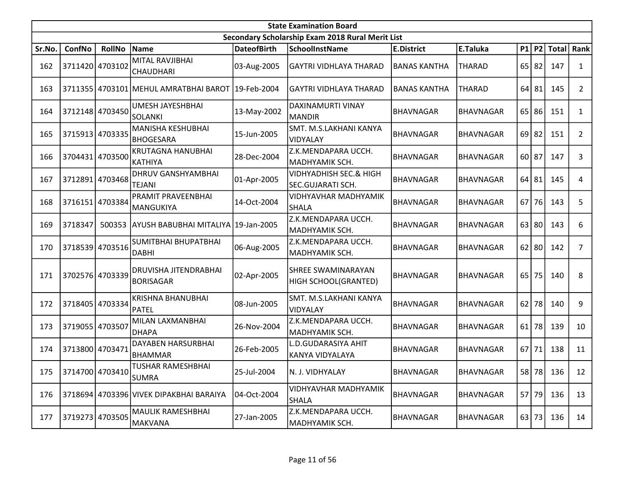|        | <b>State Examination Board</b> |                 |                                                   |                    |                                                   |                     |                  |    |           |              |                |  |  |
|--------|--------------------------------|-----------------|---------------------------------------------------|--------------------|---------------------------------------------------|---------------------|------------------|----|-----------|--------------|----------------|--|--|
|        |                                |                 |                                                   |                    | Secondary Scholarship Exam 2018 Rural Merit List  |                     |                  |    |           |              |                |  |  |
| Sr.No. | ConfNo                         | <b>RollNo</b>   | Name                                              | <b>DateofBirth</b> | <b>SchoolInstName</b>                             | <b>E.District</b>   | E.Taluka         |    | $P1$ P2   | <b>Total</b> | Rank           |  |  |
| 162    | 3711420 4703102                |                 | MITAL RAVJIBHAI<br><b>CHAUDHARI</b>               | 03-Aug-2005        | <b>GAYTRI VIDHLAYA THARAD</b>                     | <b>BANAS KANTHA</b> | <b>THARAD</b>    | 65 | 82        | 147          | $\mathbf{1}$   |  |  |
| 163    |                                |                 | 3711355 4703101 MEHUL AMRATBHAI BAROT 19-Feb-2004 |                    | <b>GAYTRI VIDHLAYA THARAD</b>                     | <b>BANAS KANTHA</b> | <b>THARAD</b>    |    | $64$   81 | 145          | $\overline{2}$ |  |  |
| 164    |                                | 3712148 4703450 | UMESH JAYESHBHAI<br><b>SOLANKI</b>                | 13-May-2002        | DAXINAMURTI VINAY<br><b>MANDIR</b>                | <b>BHAVNAGAR</b>    | <b>BHAVNAGAR</b> |    | 65 86     | 151          | $\mathbf{1}$   |  |  |
| 165    |                                | 3715913 4703335 | MANISHA KESHUBHAI<br><b>BHOGESARA</b>             | 15-Jun-2005        | SMT. M.S.LAKHANI KANYA<br>VIDYALAY                | <b>BHAVNAGAR</b>    | <b>BHAVNAGAR</b> |    | $69$   82 | 151          | $\overline{2}$ |  |  |
| 166    |                                | 3704431 4703500 | KRUTAGNA HANUBHAI<br><b>KATHIYA</b>               | 28-Dec-2004        | Z.K.MENDAPARA UCCH.<br>MADHYAMIK SCH.             | <b>BHAVNAGAR</b>    | <b>BHAVNAGAR</b> |    | $60$   87 | 147          | 3              |  |  |
| 167    | 3712891                        | 4703468         | <b>DHRUV GANSHYAMBHAI</b><br><b>TEJANI</b>        | 01-Apr-2005        | VIDHYADHISH SEC.& HIGH<br>SEC.GUJARATI SCH.       | <b>BHAVNAGAR</b>    | BHAVNAGAR        |    | $64$ 81   | 145          | 4              |  |  |
| 168    | 3716151                        | 4703384         | PRAMIT PRAVEENBHAI<br><b>MANGUKIYA</b>            | 14-Oct-2004        | VIDHYAVHAR MADHYAMIK<br>SHALA                     | <b>BHAVNAGAR</b>    | <b>BHAVNAGAR</b> | 67 | 76        | 143          | 5              |  |  |
| 169    | 3718347                        |                 | 500353 AYUSH BABUBHAI MITALIYA 19-Jan-2005        |                    | Z.K.MENDAPARA UCCH.<br>MADHYAMIK SCH.             | <b>BHAVNAGAR</b>    | <b>BHAVNAGAR</b> |    | $63$ 80   | 143          | 6              |  |  |
| 170    |                                | 3718539 4703516 | SUMITBHAI BHUPATBHAI<br><b>DABHI</b>              | 06-Aug-2005        | Z.K.MENDAPARA UCCH.<br>MADHYAMIK SCH.             | <b>BHAVNAGAR</b>    | <b>BHAVNAGAR</b> |    | $62$   80 | 142          | $\overline{7}$ |  |  |
| 171    | 3702576 4703339                |                 | DRUVISHA JITENDRABHAI<br><b>BORISAGAR</b>         | 02-Apr-2005        | <b>SHREE SWAMINARAYAN</b><br>HIGH SCHOOL(GRANTED) | <b>BHAVNAGAR</b>    | <b>BHAVNAGAR</b> |    | $65$ 75   | 140          | 8              |  |  |
| 172    | 3718405 4703334                |                 | KRISHNA BHANUBHAI<br><b>PATEL</b>                 | 08-Jun-2005        | SMT. M.S.LAKHANI KANYA<br>VIDYALAY                | <b>BHAVNAGAR</b>    | <b>BHAVNAGAR</b> |    | $62$ 78   | 140          | 9              |  |  |
| 173    | 3719055                        | 4703507         | MILAN LAXMANBHAI<br><b>DHAPA</b>                  | 26-Nov-2004        | Z.K.MENDAPARA UCCH.<br>MADHYAMIK SCH.             | <b>BHAVNAGAR</b>    | <b>BHAVNAGAR</b> | 61 | 78        | 139          | 10             |  |  |
| 174    | 3713800                        | 4703471         | DAYABEN HARSURBHAI<br><b>BHAMMAR</b>              | 26-Feb-2005        | L.D.GUDARASIYA AHIT<br>KANYA VIDYALAYA            | <b>BHAVNAGAR</b>    | <b>BHAVNAGAR</b> | 67 | 71        | 138          | 11             |  |  |
| 175    |                                | 3714700 4703410 | <b>TUSHAR RAMESHBHAI</b><br><b>SUMRA</b>          | 25-Jul-2004        | N. J. VIDHYALAY                                   | <b>BHAVNAGAR</b>    | BHAVNAGAR        |    | 58 78     | 136          | 12             |  |  |
| 176    |                                |                 | 3718694 4703396 VIVEK DIPAKBHAI BARAIYA           | 04-Oct-2004        | <b>VIDHYAVHAR MADHYAMIK</b><br><b>SHALA</b>       | <b>BHAVNAGAR</b>    | BHAVNAGAR        |    | $57$ 79   | 136          | 13             |  |  |
| 177    | 3719273 4703505                |                 | <b>MAULIK RAMESHBHAI</b><br>MAKVANA               | 27-Jan-2005        | Z.K.MENDAPARA UCCH.<br>MADHYAMIK SCH.             | <b>BHAVNAGAR</b>    | <b>BHAVNAGAR</b> |    | 63 73     | 136          | 14             |  |  |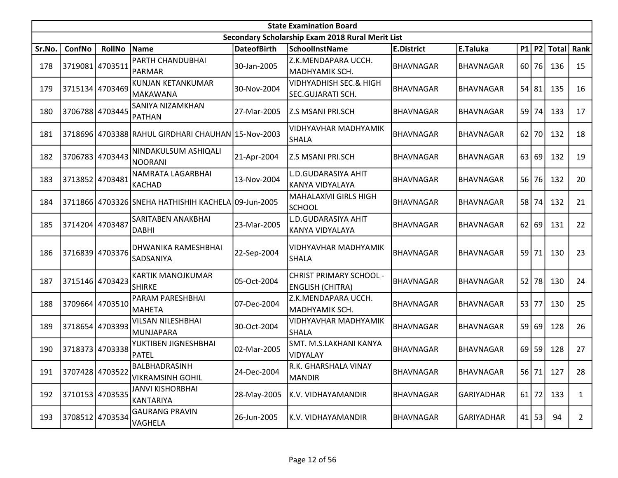|        | <b>State Examination Board</b><br>Secondary Scholarship Exam 2018 Rural Merit List |                 |                                                     |                    |                                                           |                   |                  |    |           |              |                |  |  |
|--------|------------------------------------------------------------------------------------|-----------------|-----------------------------------------------------|--------------------|-----------------------------------------------------------|-------------------|------------------|----|-----------|--------------|----------------|--|--|
|        |                                                                                    |                 |                                                     |                    |                                                           |                   |                  |    |           |              |                |  |  |
| Sr.No. | ConfNo                                                                             | <b>RollNo</b>   | Name                                                | <b>DateofBirth</b> | <b>SchoolInstName</b>                                     | <b>E.District</b> | E.Taluka         |    | $P1$ $P2$ | <b>Total</b> | Rank           |  |  |
| 178    | 3719081 4703511                                                                    |                 | PARTH CHANDUBHAI<br>PARMAR                          | 30-Jan-2005        | Z.K.MENDAPARA UCCH.<br>MADHYAMIK SCH.                     | <b>BHAVNAGAR</b>  | <b>BHAVNAGAR</b> |    | 60 76     | 136          | 15             |  |  |
| 179    |                                                                                    | 3715134 4703469 | KUNJAN KETANKUMAR<br>MAKAWANA                       | 30-Nov-2004        | <b>VIDHYADHISH SEC.&amp; HIGH</b><br>SEC.GUJARATI SCH.    | <b>BHAVNAGAR</b>  | <b>BHAVNAGAR</b> |    | $54$ 81   | 135          | 16             |  |  |
| 180    | 3706788 4703445                                                                    |                 | SANIYA NIZAMKHAN<br>PATHAN                          | 27-Mar-2005        | <b>Z.S MSANI PRI.SCH</b>                                  | <b>BHAVNAGAR</b>  | <b>BHAVNAGAR</b> |    | 59 74     | 133          | 17             |  |  |
| 181    |                                                                                    |                 | 3718696 4703388 RAHUL GIRDHARI CHAUHAN 15-Nov-2003  |                    | <b>VIDHYAVHAR MADHYAMIK</b><br>SHALA                      | <b>BHAVNAGAR</b>  | <b>BHAVNAGAR</b> | 62 | 70        | 132          | 18             |  |  |
| 182    |                                                                                    | 3706783 4703443 | NINDAKULSUM ASHIQALI<br><b>NOORANI</b>              | 21-Apr-2004        | <b>Z.S MSANI PRI.SCH</b>                                  | BHAVNAGAR         | <b>BHAVNAGAR</b> |    | 63 69     | 132          | 19             |  |  |
| 183    | 3713852 4703481                                                                    |                 | NAMRATA LAGARBHAI<br><b>KACHAD</b>                  | 13-Nov-2004        | L.D.GUDARASIYA AHIT<br>KANYA VIDYALAYA                    | <b>BHAVNAGAR</b>  | BHAVNAGAR        |    | 56 76     | 132          | 20             |  |  |
| 184    |                                                                                    |                 | 3711866 4703326 SNEHA HATHISHIH KACHELA 09-Jun-2005 |                    | <b>MAHALAXMI GIRLS HIGH</b><br><b>SCHOOL</b>              | BHAVNAGAR         | <b>BHAVNAGAR</b> |    | 58 74     | 132          | 21             |  |  |
| 185    | 3714204 4703487                                                                    |                 | SARITABEN ANAKBHAI<br><b>DABHI</b>                  | 23-Mar-2005        | L.D.GUDARASIYA AHIT<br>KANYA VIDYALAYA                    | <b>BHAVNAGAR</b>  | <b>BHAVNAGAR</b> |    | 62 69     | 131          | 22             |  |  |
| 186    |                                                                                    | 3716839 4703376 | DHWANIKA RAMESHBHAI<br>SADSANIYA                    | 22-Sep-2004        | VIDHYAVHAR MADHYAMIK<br><b>SHALA</b>                      | <b>BHAVNAGAR</b>  | <b>BHAVNAGAR</b> |    | 59 71     | 130          | 23             |  |  |
| 187    |                                                                                    | 3715146 4703423 | <b>KARTIK MANOJKUMAR</b><br><b>SHIRKE</b>           | 05-Oct-2004        | <b>CHRIST PRIMARY SCHOOL -</b><br><b>ENGLISH (CHITRA)</b> | <b>BHAVNAGAR</b>  | <b>BHAVNAGAR</b> | 52 | 78        | 130          | 24             |  |  |
| 188    |                                                                                    | 3709664 4703510 | PARAM PARESHBHAI<br><b>MAHETA</b>                   | 07-Dec-2004        | Z.K.MENDAPARA UCCH.<br>MADHYAMIK SCH.                     | <b>BHAVNAGAR</b>  | <b>BHAVNAGAR</b> |    | 53 77     | 130          | 25             |  |  |
| 189    | 3718654 4703393                                                                    |                 | <b>VILSAN NILESHBHAI</b><br><b>MUNJAPARA</b>        | 30-Oct-2004        | <b>VIDHYAVHAR MADHYAMIK</b><br><b>SHALA</b>               | BHAVNAGAR         | <b>BHAVNAGAR</b> |    | 59 69     | 128          | 26             |  |  |
| 190    |                                                                                    | 3718373 4703338 | YUKTIBEN JIGNESHBHAI<br><b>PATEL</b>                | 02-Mar-2005        | SMT. M.S.LAKHANI KANYA<br>VIDYALAY                        | <b>BHAVNAGAR</b>  | <b>BHAVNAGAR</b> |    | $69$   59 | 128          | 27             |  |  |
| 191    |                                                                                    | 3707428 4703522 | BALBHADRASINH<br><b>VIKRAMSINH GOHIL</b>            | 24-Dec-2004        | R.K. GHARSHALA VINAY<br><b>MANDIR</b>                     | BHAVNAGAR         | BHAVNAGAR        |    | 56 71     | 127          | 28             |  |  |
| 192    |                                                                                    | 3710153 4703535 | <b>JANVI KISHORBHAI</b><br>KANTARIYA                | 28-May-2005        | K.V. VIDHAYAMANDIR                                        | BHAVNAGAR         | GARIYADHAR       |    | $61$ 72   | 133          | $\mathbf{1}$   |  |  |
| 193    |                                                                                    | 3708512 4703534 | <b>GAURANG PRAVIN</b><br>VAGHELA                    | 26-Jun-2005        | K.V. VIDHAYAMANDIR                                        | <b>BHAVNAGAR</b>  | GARIYADHAR       |    | $41$   53 | 94           | $\overline{2}$ |  |  |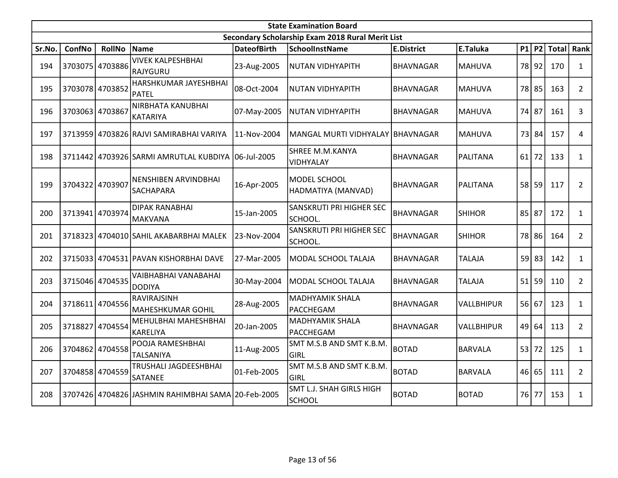|        | <b>State Examination Board</b> |                 |                                                    |                    |                                                  |                   |                   |    |           |              |                |  |  |
|--------|--------------------------------|-----------------|----------------------------------------------------|--------------------|--------------------------------------------------|-------------------|-------------------|----|-----------|--------------|----------------|--|--|
|        |                                |                 |                                                    |                    | Secondary Scholarship Exam 2018 Rural Merit List |                   |                   |    |           |              |                |  |  |
| Sr.No. | <b>ConfNo</b>                  | <b>RollNo</b>   | Name                                               | <b>DateofBirth</b> | <b>SchoolInstName</b>                            | <b>E.District</b> | E.Taluka          | P1 | <b>P2</b> | <b>Total</b> | Rank           |  |  |
| 194    |                                | 3703075 4703886 | <b>VIVEK KALPESHBHAI</b><br>RAJYGURU               | 23-Aug-2005        | NUTAN VIDHYAPITH                                 | <b>BHAVNAGAR</b>  | <b>MAHUVA</b>     |    | 78 92     | 170          | $\mathbf{1}$   |  |  |
| 195    | 3703078 4703852                |                 | HARSHKUMAR JAYESHBHAI<br><b>PATEL</b>              | 08-Oct-2004        | NUTAN VIDHYAPITH                                 | <b>BHAVNAGAR</b>  | MAHUVA            |    | 78 85     | 163          | $\overline{2}$ |  |  |
| 196    | 3703063 4703867                |                 | NIRBHATA KANUBHAI<br><b>KATARIYA</b>               | 07-May-2005        | <b>NUTAN VIDHYAPITH</b>                          | BHAVNAGAR         | MAHUVA            |    | 74 87     | 161          | 3              |  |  |
| 197    |                                |                 | 3713959 4703826 RAJVI SAMIRABHAI VARIYA            | 11-Nov-2004        | MANGAL MURTI VIDHYALAY IBHAVNAGAR                |                   | MAHUVA            |    | 73 84     | 157          | 4              |  |  |
| 198    | 3711442                        |                 | 4703926 SARMI AMRUTLAL KUBDIYA 106-Jul-2005        |                    | SHREE M.M.KANYA<br>VIDHYALAY                     | BHAVNAGAR         | PALITANA          | 61 | 72        | 133          | $\mathbf{1}$   |  |  |
| 199    | 3704322                        | 4703907         | NENSHIBEN ARVINDBHAI<br>SACHAPARA                  | 16-Apr-2005        | MODEL SCHOOL<br>HADMATIYA (MANVAD)               | <b>BHAVNAGAR</b>  | PALITANA          | 58 | 59        | 117          | $\overline{2}$ |  |  |
| 200    | 3713941                        | 4703974         | <b>DIPAK RANABHAI</b><br><b>MAKVANA</b>            | 15-Jan-2005        | SANSKRUTI PRI HIGHER SEC<br>SCHOOL.              | BHAVNAGAR         | <b>SHIHOR</b>     | 85 | 87        | 172          | $\mathbf{1}$   |  |  |
| 201    |                                |                 | 3718323 4704010 SAHIL AKABARBHAI MALEK             | 23-Nov-2004        | SANSKRUTI PRI HIGHER SEC<br>SCHOOL.              | <b>BHAVNAGAR</b>  | <b>SHIHOR</b>     |    | 78 86     | 164          | $\overline{2}$ |  |  |
| 202    |                                |                 | 3715033 4704531 PAVAN KISHORBHAI DAVE              | 27-Mar-2005        | MODAL SCHOOL TALAJA                              | <b>BHAVNAGAR</b>  | <b>TALAJA</b>     | 59 | 83        | 142          | $\mathbf{1}$   |  |  |
| 203    |                                | 3715046 4704535 | VAIBHABHAI VANABAHAI<br><b>DODIYA</b>              | 30-May-2004        | MODAL SCHOOL TALAJA                              | <b>BHAVNAGAR</b>  | <b>TALAJA</b>     | 51 | 59        | 110          | $\overline{2}$ |  |  |
| 204    | 3718611                        | 4704556         | RAVIRAJSINH<br>MAHESHKUMAR GOHIL                   | 28-Aug-2005        | <b>MADHYAMIK SHALA</b><br>PACCHEGAM              | <b>BHAVNAGAR</b>  | <b>VALLBHIPUR</b> |    | 56 67     | 123          | $\mathbf{1}$   |  |  |
| 205    | 3718827                        | 4704554         | MEHULBHAI MAHESHBHAI<br>KARELIYA                   | 20-Jan-2005        | <b>MADHYAMIK SHALA</b><br>PACCHEGAM              | <b>BHAVNAGAR</b>  | <b>VALLBHIPUR</b> |    | 49 64     | 113          | $2^{\circ}$    |  |  |
| 206    | 3704862                        | 4704558         | POOJA RAMESHBHAI<br><b>TALSANIYA</b>               | 11-Aug-2005        | SMT M.S.B AND SMT K.B.M.<br>GIRL                 | <b>BOTAD</b>      | <b>BARVALA</b>    |    | 53 72     | 125          | $\mathbf{1}$   |  |  |
| 207    | 3704858                        | 4704559         | TRUSHALI JAGDEESHBHAI<br>SATANEE                   | 01-Feb-2005        | SMT M.S.B AND SMT K.B.M.<br><b>GIRL</b>          | <b>BOTAD</b>      | <b>BARVALA</b>    | 46 | 65        | 111          | $\overline{2}$ |  |  |
| 208    |                                |                 | 3707426 4704826 JASHMIN RAHIMBHAI SAMA 20-Feb-2005 |                    | <b>SMT L.J. SHAH GIRLS HIGH</b><br><b>SCHOOL</b> | <b>BOTAD</b>      | <b>BOTAD</b>      |    | 76 77     | 153          | $\mathbf{1}$   |  |  |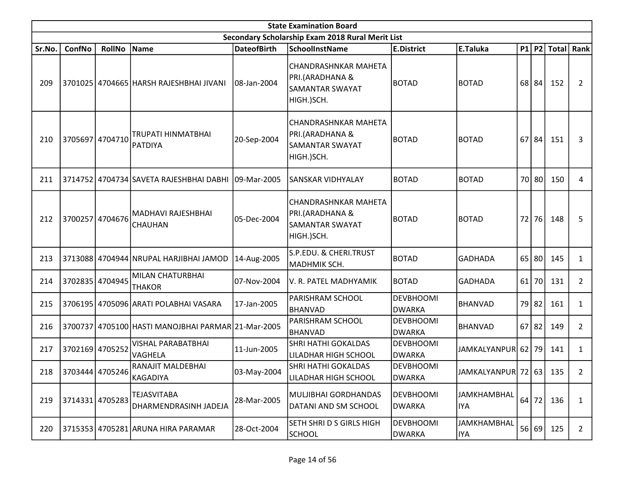|        | <b>State Examination Board</b> |                 |                                                     |                    |                                                                                 |                                   |                             |    |           |                   |                |  |  |
|--------|--------------------------------|-----------------|-----------------------------------------------------|--------------------|---------------------------------------------------------------------------------|-----------------------------------|-----------------------------|----|-----------|-------------------|----------------|--|--|
|        |                                |                 |                                                     |                    | Secondary Scholarship Exam 2018 Rural Merit List                                |                                   |                             |    |           |                   |                |  |  |
| Sr.No. | ConfNo                         | RollNo          | Name                                                | <b>DateofBirth</b> | <b>SchoolInstName</b>                                                           | <b>E.District</b>                 | E.Taluka                    |    |           | $P1$   P2   Total | Rank           |  |  |
| 209    |                                |                 | 3701025 4704665 HARSH RAJESHBHAI JIVANI             | 08-Jan-2004        | CHANDRASHNKAR MAHETA<br>PRI.(ARADHANA &<br><b>SAMANTAR SWAYAT</b><br>HIGH.)SCH. | <b>BOTAD</b>                      | <b>BOTAD</b>                |    | 68 84     | 152               | $\overline{2}$ |  |  |
| 210    |                                | 3705697 4704710 | <b>TRUPATI HINMATBHAI</b><br>PATDIYA                | 20-Sep-2004        | CHANDRASHNKAR MAHETA<br>PRI.(ARADHANA &<br><b>SAMANTAR SWAYAT</b><br>HIGH.)SCH. | <b>BOTAD</b>                      | <b>BOTAD</b>                |    | 67 84     | 151               | 3              |  |  |
| 211    |                                |                 | 3714752 4704734 SAVETA RAJESHBHAI DABHI 09-Mar-2005 |                    | SANSKAR VIDHYALAY                                                               | <b>BOTAD</b>                      | <b>BOTAD</b>                |    | 70 80     | 150               | 4              |  |  |
| 212    |                                | 3700257 4704676 | MADHAVI RAJESHBHAI<br><b>CHAUHAN</b>                | 05-Dec-2004        | CHANDRASHNKAR MAHETA<br>PRI.(ARADHANA &<br><b>SAMANTAR SWAYAT</b><br>HIGH.)SCH. | <b>BOTAD</b>                      | <b>BOTAD</b>                |    | 72 76     | 148               | 5              |  |  |
| 213    |                                |                 | 3713088 4704944 NRUPAL HARJIBHAI JAMOD              | 14-Aug-2005        | S.P.EDU. & CHERI.TRUST<br>MADHMIK SCH.                                          | <b>BOTAD</b>                      | GADHADA                     |    | $65$ 80   | 145               | $\mathbf{1}$   |  |  |
| 214    |                                | 3702835 4704945 | MILAN CHATURBHAI<br><b>THAKOR</b>                   | 07-Nov-2004        | V. R. PATEL MADHYAMIK                                                           | <b>BOTAD</b>                      | <b>GADHADA</b>              | 61 | 70        | 131               | $2^{\circ}$    |  |  |
| 215    |                                |                 | 3706195 4705096 ARATI POLABHAI VASARA               | 17-Jan-2005        | <b>PARISHRAM SCHOOL</b><br>BHANVAD                                              | <b>DEVBHOOMI</b><br><b>DWARKA</b> | <b>BHANVAD</b>              |    | 79 82     | 161               | $\mathbf{1}$   |  |  |
| 216    |                                |                 | 3700737 4705100 HASTI MANOJBHAI PARMAR 21-Mar-2005  |                    | <b>PARISHRAM SCHOOL</b><br><b>BHANVAD</b>                                       | <b>DEVBHOOMI</b><br><b>DWARKA</b> | <b>BHANVAD</b>              |    | $67$   82 | 149               | $2^{\circ}$    |  |  |
| 217    |                                | 3702169 4705252 | <b>VISHAL PARABATBHAI</b><br>VAGHELA                | 11-Jun-2005        | <b>SHRI HATHI GOKALDAS</b><br>LILADHAR HIGH SCHOOL                              | <b>DEVBHOOMI</b><br><b>DWARKA</b> | JAMKALYANPUR 62 79          |    |           | 141               | $\mathbf{1}$   |  |  |
| 218    |                                | 3703444 4705246 | RANAJIT MALDEBHAI<br>KAGADIYA                       | 03-May-2004        | <b>SHRI HATHI GOKALDAS</b><br><b>LILADHAR HIGH SCHOOL</b>                       | <b>DEVBHOOMI</b><br><b>DWARKA</b> | JAMKALYANPUR  72   63   135 |    |           |                   | $\overline{2}$ |  |  |
| 219    |                                | 3714331 4705283 | <b>TEJASVITABA</b><br>DHARMENDRASINH JADEJA         | 28-Mar-2005        | MULJIBHAI GORDHANDAS<br>DATANI AND SM SCHOOL                                    | <b>DEVBHOOMI</b><br><b>DWARKA</b> | <b>JAMKHAMBHAL</b><br> IYA  |    | $64$ 72   | 136               | $\mathbf{1}$   |  |  |
| 220    |                                |                 | 3715353 4705281 ARUNA HIRA PARAMAR                  | 28-Oct-2004        | <b>SETH SHRI D S GIRLS HIGH</b><br><b>SCHOOL</b>                                | <b>DEVBHOOMI</b><br><b>DWARKA</b> | JAMKHAMBHAL<br> IYA         |    | 56 69     | 125               | $2^{\circ}$    |  |  |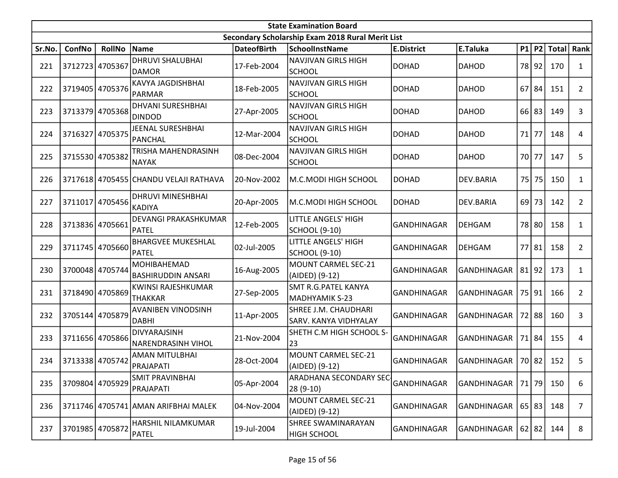|        | <b>State Examination Board</b> |                 |                                           |                    |                                                      |                    |                    |       |       |             |                |  |  |
|--------|--------------------------------|-----------------|-------------------------------------------|--------------------|------------------------------------------------------|--------------------|--------------------|-------|-------|-------------|----------------|--|--|
|        |                                |                 |                                           |                    | Secondary Scholarship Exam 2018 Rural Merit List     |                    |                    |       |       |             |                |  |  |
| Sr.No. | ConfNo                         | <b>RollNo</b>   | Name                                      | <b>DateofBirth</b> | <b>SchoolInstName</b>                                | <b>E.District</b>  | E.Taluka           |       |       | P1 P2 Total | <b>Rank</b>    |  |  |
| 221    |                                | 3712723 4705367 | <b>DHRUVI SHALUBHAI</b><br><b>DAMOR</b>   | 17-Feb-2004        | <b>NAVJIVAN GIRLS HIGH</b><br><b>SCHOOL</b>          | <b>DOHAD</b>       | <b>DAHOD</b>       |       | 78 92 | 170         | 1              |  |  |
| 222    | 3719405                        | 4705376         | KAVYA JAGDISHBHAI<br><b>PARMAR</b>        | 18-Feb-2005        | <b>NAVJIVAN GIRLS HIGH</b><br><b>SCHOOL</b>          | <b>DOHAD</b>       | DAHOD              | 67    | 84    | 151         | $\overline{2}$ |  |  |
| 223    | 3713379                        | 4705368         | <b>DHVANI SURESHBHAI</b><br><b>DINDOD</b> | 27-Apr-2005        | NAVJIVAN GIRLS HIGH<br><b>SCHOOL</b>                 | <b>DOHAD</b>       | <b>DAHOD</b>       | 66    | 83    | 149         | 3              |  |  |
| 224    | 3716327                        | 4705375         | JEENAL SURESHBHAI<br><b>PANCHAL</b>       | 12-Mar-2004        | <b>NAVJIVAN GIRLS HIGH</b><br><b>SCHOOL</b>          | <b>DOHAD</b>       | <b>DAHOD</b>       | 71    | 77    | 148         | 4              |  |  |
| 225    | 3715530 4705382                |                 | TRISHA MAHENDRASINH<br><b>NAYAK</b>       | 08-Dec-2004        | NAVJIVAN GIRLS HIGH<br><b>SCHOOL</b>                 | <b>DOHAD</b>       | <b>DAHOD</b>       | 70 77 |       | 147         | 5              |  |  |
| 226    |                                |                 | 3717618 4705455 CHANDU VELAJI RATHAVA     | 20-Nov-2002        | M.C.MODI HIGH SCHOOL                                 | <b>DOHAD</b>       | DEV.BARIA          | 75    | 75    | 150         | $\mathbf{1}$   |  |  |
| 227    |                                | 3711017 4705456 | <b>DHRUVI MINESHBHAI</b><br><b>KADIYA</b> | 20-Apr-2005        | M.C.MODI HIGH SCHOOL                                 | <b>DOHAD</b>       | DEV.BARIA          | 69    | 73    | 142         | $\overline{2}$ |  |  |
| 228    | 3713836                        | 4705661         | DEVANGI PRAKASHKUMAR<br><b>PATEL</b>      | 12-Feb-2005        | <b>LITTLE ANGELS' HIGH</b><br>SCHOOL (9-10)          | <b>GANDHINAGAR</b> | <b>DEHGAM</b>      |       | 78 80 | 158         | $\mathbf{1}$   |  |  |
| 229    | 3711745                        | 4705660         | <b>BHARGVEE MUKESHLAL</b><br>PATEL        | 02-Jul-2005        | LITTLE ANGELS' HIGH<br>SCHOOL (9-10)                 | <b>GANDHINAGAR</b> | <b>DEHGAM</b>      | 77    | 81    | 158         | $\overline{2}$ |  |  |
| 230    | 3700048                        | 4705744         | MOHIBAHEMAD<br><b>BASHIRUDDIN ANSARI</b>  | 16-Aug-2005        | MOUNT CARMEL SEC-21<br>(AIDED) (9-12)                | <b>GANDHINAGAR</b> | GANDHINAGAR        | 81    | 92    | 173         | 1              |  |  |
| 231    | 3718490                        | 4705869         | KWINSI RAJESHKUMAR<br><b>THAKKAR</b>      | 27-Sep-2005        | <b>SMT R.G.PATEL KANYA</b><br>MADHYAMIK S-23         | <b>GANDHINAGAR</b> | GANDHINAGAR        |       | 75 91 | 166         | $\overline{2}$ |  |  |
| 232    |                                | 3705144 4705879 | <b>AVANIBEN VINODSINH</b><br><b>DABHI</b> | 11-Apr-2005        | SHREE J.M. CHAUDHARI<br><b>SARV. KANYA VIDHYALAY</b> | <b>GANDHINAGAR</b> | <b>GANDHINAGAR</b> |       | 72 88 | 160         | 3              |  |  |
| 233    |                                | 3711656 4705866 | DIVYARAJSINH<br><b>NARENDRASINH VIHOL</b> | 21-Nov-2004        | SHETH C.M HIGH SCHOOL S-<br>23                       | <b>GANDHINAGAR</b> | <b>GANDHINAGAR</b> |       | 71 84 | 155         | 4              |  |  |
| 234    |                                | 3713338 4705742 | AMAN MITULBHAI<br>PRAJAPATI               | 28-Oct-2004        | MOUNT CARMEL SEC-21<br>(AIDED) (9-12)                | <b>GANDHINAGAR</b> | GANDHINAGAR        |       | 70 82 | 152         | 5              |  |  |
| 235    |                                | 3709804 4705929 | <b>SMIT PRAVINBHAI</b><br>PRAJAPATI       | 05-Apr-2004        | <b>ARADHANA SECONDARY SEC-</b><br>28 (9-10)          | <b>GANDHINAGAR</b> | GANDHINAGAR        |       | 71 79 | 150         | 6              |  |  |
| 236    |                                |                 | 3711746 4705741 AMAN ARIFBHAI MALEK       | 04-Nov-2004        | MOUNT CARMEL SEC-21<br>(AIDED) (9-12)                | <b>GANDHINAGAR</b> | <b>GANDHINAGAR</b> |       | 65 83 | 148         | $\overline{7}$ |  |  |
| 237    |                                | 3701985 4705872 | HARSHIL NILAMKUMAR<br><b>PATEL</b>        | 19-Jul-2004        | <b>SHREE SWAMINARAYAN</b><br><b>HIGH SCHOOL</b>      | <b>GANDHINAGAR</b> | GANDHINAGAR        |       | 62 82 | 144         | 8              |  |  |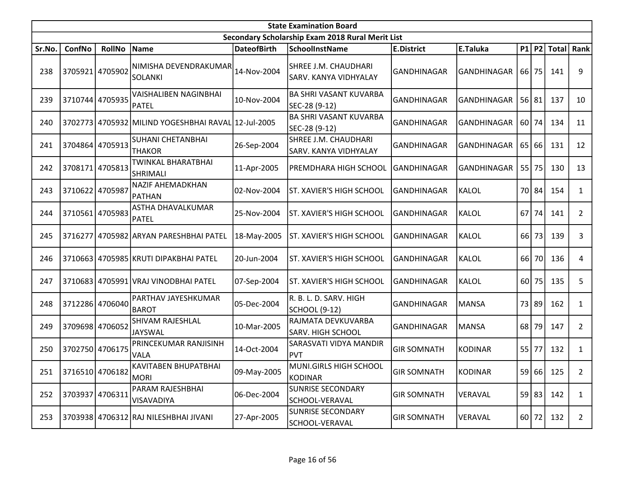|        | <b>State Examination Board</b><br>Secondary Scholarship Exam 2018 Rural Merit List |                 |                                                     |                    |                                                      |                    |                    |    |         |                  |                |  |  |  |
|--------|------------------------------------------------------------------------------------|-----------------|-----------------------------------------------------|--------------------|------------------------------------------------------|--------------------|--------------------|----|---------|------------------|----------------|--|--|--|
|        |                                                                                    |                 |                                                     |                    |                                                      |                    |                    |    |         |                  |                |  |  |  |
| Sr.No. | ConfNo                                                                             | <b>RollNo</b>   | Name                                                | <b>DateofBirth</b> | <b>SchoolInstName</b>                                | <b>E.District</b>  | E.Taluka           |    |         | $P1$   P2  Total | Rank           |  |  |  |
| 238    |                                                                                    | 3705921 4705902 | NIMISHA DEVENDRAKUMAR<br>SOLANKI                    | 14-Nov-2004        | SHREE J.M. CHAUDHARI<br><b>SARV. KANYA VIDHYALAY</b> | <b>GANDHINAGAR</b> | <b>GANDHINAGAR</b> |    | 66 75   | 141              | 9              |  |  |  |
| 239    |                                                                                    | 3710744 4705935 | <b>VAISHALIBEN NAGINBHAI</b><br><b>PATEL</b>        | 10-Nov-2004        | <b>BA SHRI VASANT KUVARBA</b><br>SEC-28 (9-12)       | <b>GANDHINAGAR</b> | GANDHINAGAR        |    | 56 81   | 137              | 10             |  |  |  |
| 240    |                                                                                    |                 | 3702773 4705932 MILIND YOGESHBHAI RAVAL 12-Jul-2005 |                    | <b>BA SHRI VASANT KUVARBA</b><br>SEC-28 (9-12)       | <b>GANDHINAGAR</b> | <b>GANDHINAGAR</b> |    | 60 74   | 134              | 11             |  |  |  |
| 241    |                                                                                    | 3704864 4705913 | <b>SUHANI CHETANBHAI</b><br><b>THAKOR</b>           | 26-Sep-2004        | SHREE J.M. CHAUDHARI<br>SARV. KANYA VIDHYALAY        | <b>GANDHINAGAR</b> | GANDHINAGAR        |    | 65 66   | 131              | 12             |  |  |  |
| 242    |                                                                                    | 3708171 4705813 | TWINKAL BHARATBHAI<br>SHRIMALI                      | 11-Apr-2005        | PREMDHARA HIGH SCHOOL                                | GANDHINAGAR        | GANDHINAGAR        |    | $55$ 75 | 130              | 13             |  |  |  |
| 243    | 3710622                                                                            | 4705987         | <b>NAZIF AHEMADKHAN</b><br>PATHAN                   | 02-Nov-2004        | <b>ST. XAVIER'S HIGH SCHOOL</b>                      | <b>GANDHINAGAR</b> | <b>KALOL</b>       |    | 70 84   | 154              | $\mathbf{1}$   |  |  |  |
| 244    |                                                                                    | 3710561 4705983 | ASTHA DHAVALKUMAR<br><b>PATEL</b>                   | 25-Nov-2004        | <b>ST. XAVIER'S HIGH SCHOOL</b>                      | GANDHINAGAR        | <b>KALOL</b>       | 67 | 74      | 141              | $\overline{2}$ |  |  |  |
| 245    | 3716277                                                                            |                 | 4705982 ARYAN PARESHBHAI PATEL                      | 18-May-2005        | ST. XAVIER'S HIGH SCHOOL                             | GANDHINAGAR        | <b>KALOL</b>       |    | 66 73   | 139              | 3              |  |  |  |
| 246    |                                                                                    |                 | 3710663 4705985 KRUTI DIPAKBHAI PATEL               | 20-Jun-2004        | ST. XAVIER'S HIGH SCHOOL                             | <b>GANDHINAGAR</b> | KALOL              | 66 | 70      | 136              | 4              |  |  |  |
| 247    |                                                                                    |                 | 3710683 4705991 VRAJ VINODBHAI PATEL                | 07-Sep-2004        | ST. XAVIER'S HIGH SCHOOL                             | GANDHINAGAR        | KALOL              | 60 | 75      | 135              | 5              |  |  |  |
| 248    |                                                                                    | 3712286 4706040 | PARTHAV JAYESHKUMAR<br><b>BAROT</b>                 | 05-Dec-2004        | R. B. L. D. SARV. HIGH<br><b>SCHOOL (9-12)</b>       | <b>GANDHINAGAR</b> | <b>MANSA</b>       |    | 73 89   | 162              | $\mathbf{1}$   |  |  |  |
| 249    |                                                                                    | 3709698 4706052 | SHIVAM RAJESHLAL<br><b>JAYSWAL</b>                  | 10-Mar-2005        | RAJMATA DEVKUVARBA<br><b>SARV. HIGH SCHOOL</b>       | <b>GANDHINAGAR</b> | <b>MANSA</b>       |    | 68 79   | 147              | $\overline{2}$ |  |  |  |
| 250    |                                                                                    | 3702750 4706175 | PRINCEKUMAR RANJISINH<br>VALA                       | 14-Oct-2004        | <b>SARASVATI VIDYA MANDIR</b><br><b>PVT</b>          | <b>GIR SOMNATH</b> | KODINAR            |    | 55 77   | 132              | $\mathbf{1}$   |  |  |  |
| 251    |                                                                                    | 3716510 4706182 | KAVITABEN BHUPATBHAI<br>MORI                        | 09-May-2005        | MUNI.GIRLS HIGH SCHOOL<br>KODINAR                    | <b>GIR SOMNATH</b> | KODINAR            |    |         | 59 66 125        | $\overline{2}$ |  |  |  |
| 252    | 3703937 4706311                                                                    |                 | PARAM RAJESHBHAI<br><b>VISAVADIYA</b>               | 06-Dec-2004        | <b>SUNRISE SECONDARY</b><br>SCHOOL-VERAVAL           | <b>GIR SOMNATH</b> | VERAVAL            |    | 59 83   | 142              | $\mathbf{1}$   |  |  |  |
| 253    |                                                                                    |                 | 3703938 4706312 RAJ NILESHBHAI JIVANI               | 27-Apr-2005        | <b>SUNRISE SECONDARY</b><br>SCHOOL-VERAVAL           | <b>GIR SOMNATH</b> | VERAVAL            |    | 60 72   | 132              | $\overline{2}$ |  |  |  |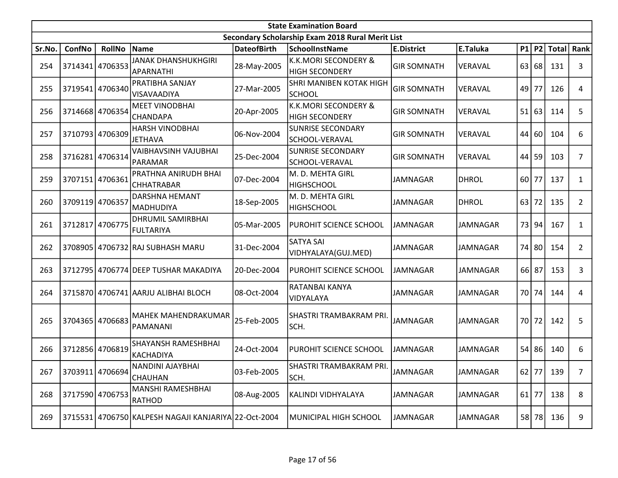|        | <b>State Examination Board</b> |                 |                                                      |                    |                                                          |                    |                 |      |       |              |                |  |  |  |
|--------|--------------------------------|-----------------|------------------------------------------------------|--------------------|----------------------------------------------------------|--------------------|-----------------|------|-------|--------------|----------------|--|--|--|
|        |                                |                 |                                                      |                    | Secondary Scholarship Exam 2018 Rural Merit List         |                    |                 |      |       |              |                |  |  |  |
| Sr.No. | ConfNo                         | <b>RollNo</b>   | Name                                                 | <b>DateofBirth</b> | <b>SchoolInstName</b>                                    | <b>E.District</b>  | E.Taluka        |      | P1 P2 | <b>Total</b> | Rank           |  |  |  |
| 254    | 3714341                        | 4706353         | <b>JANAK DHANSHUKHGIRI</b><br>APARNATHI              | 28-May-2005        | <b>K.K.MORI SECONDERY &amp;</b><br><b>HIGH SECONDERY</b> | <b>GIR SOMNATH</b> | VERAVAL         | 63   | 68    | 131          | 3              |  |  |  |
| 255    | 3719541 4706340                |                 | PRATIBHA SANJAY<br>VISAVAADIYA                       | 27-Mar-2005        | <b>SHRI MANIBEN KOTAK HIGH</b><br><b>SCHOOL</b>          | <b>GIR SOMNATH</b> | VERAVAL         | 49   | 77    | 126          | 4              |  |  |  |
| 256    | 3714668 4706354                |                 | <b>MEET VINODBHAI</b><br>CHANDAPA                    | 20-Apr-2005        | <b>K.K.MORI SECONDERY &amp;</b><br><b>HIGH SECONDERY</b> | <b>GIR SOMNATH</b> | VERAVAL         | 51   | 63    | 114          | 5              |  |  |  |
| 257    | 3710793 4706309                |                 | <b>HARSH VINODBHAI</b><br><b>JETHAVA</b>             | 06-Nov-2004        | <b>SUNRISE SECONDARY</b><br>SCHOOL-VERAVAL               | <b>GIR SOMNATH</b> | VERAVAL         | 44   | 60    | 104          | 6              |  |  |  |
| 258    | 3716281 4706314                |                 | VAIBHAVSINH VAJUBHAI<br>PARAMAR                      | 25-Dec-2004        | <b>SUNRISE SECONDARY</b><br>SCHOOL-VERAVAL               | <b>GIR SOMNATH</b> | VERAVAL         | 44   | 59    | 103          | 7              |  |  |  |
| 259    | 3707151 4706361                |                 | PRATHNA ANIRUDH BHAI<br><b>CHHATRABAR</b>            | 07-Dec-2004        | M. D. MEHTA GIRL<br><b>HIGHSCHOOL</b>                    | <b>JAMNAGAR</b>    | <b>DHROL</b>    | 60   | 77    | 137          | $\mathbf{1}$   |  |  |  |
| 260    | 3709119 4706357                |                 | DARSHNA HEMANT<br><b>MADHUDIYA</b>                   | 18-Sep-2005        | M. D. MEHTA GIRL<br><b>HIGHSCHOOL</b>                    | <b>JAMNAGAR</b>    | <b>DHROL</b>    | 63   | 72    | 135          | $\overline{2}$ |  |  |  |
| 261    |                                | 3712817 4706775 | <b>DHRUMIL SAMIRBHAI</b><br><b>FULTARIYA</b>         | 05-Mar-2005        | PUROHIT SCIENCE SCHOOL                                   | <b>JAMNAGAR</b>    | <b>JAMNAGAR</b> | 73   | 94    | 167          | $\mathbf{1}$   |  |  |  |
| 262    |                                |                 | 3708905 4706732 RAJ SUBHASH MARU                     | 31-Dec-2004        | <b>SATYA SAI</b><br>VIDHYALAYA(GUJ.MED)                  | <b>JAMNAGAR</b>    | JAMNAGAR        | 74   | 80    | 154          | $\overline{2}$ |  |  |  |
| 263    |                                |                 | 3712795 4706774 DEEP TUSHAR MAKADIYA                 | 20-Dec-2004        | PUROHIT SCIENCE SCHOOL                                   | <b>JAMNAGAR</b>    | JAMNAGAR        | 66   | 87    | 153          | 3              |  |  |  |
| 264    |                                |                 | 3715870 4706741 AARJU ALIBHAI BLOCH                  | 08-Oct-2004        | RATANBAI KANYA<br>VIDYALAYA                              | <b>JAMNAGAR</b>    | <b>JAMNAGAR</b> | 70 l | 74    | 144          | 4              |  |  |  |
| 265    | 3704365 4706683                |                 | MAHEK MAHENDRAKUMAR<br>PAMANANI                      | 25-Feb-2005        | SHASTRI TRAMBAKRAM PRI.<br>SCH.                          | <b>JAMNAGAR</b>    | <b>JAMNAGAR</b> | 70   | 72    | 142          | 5              |  |  |  |
| 266    | 3712856 4706819                |                 | SHAYANSH RAMESHBHAI<br>KACHADIYA                     | 24-Oct-2004        | PUROHIT SCIENCE SCHOOL                                   | <b>JAMNAGAR</b>    | <b>JAMNAGAR</b> | 54   | 86    | 140          | 6              |  |  |  |
| 267    |                                | 3703911 4706694 | NANDINI AJAYBHAI<br>CHAUHAN                          | 03-Feb-2005        | SHASTRI TRAMBAKRAM PRI.<br>SCH.                          | <b>JAMNAGAR</b>    | <b>JAMNAGAR</b> |      |       | 62 77 139    | $\overline{7}$ |  |  |  |
| 268    | 3717590 4706753                |                 | <b>MANSHI RAMESHBHAI</b><br><b>RATHOD</b>            | 08-Aug-2005        | KALINDI VIDHYALAYA                                       | <b>JAMNAGAR</b>    | JAMNAGAR        | 61   | 77    | 138          | 8              |  |  |  |
| 269    |                                |                 | 3715531 4706750 KALPESH NAGAJI KANJARIYA 22-Oct-2004 |                    | MUNICIPAL HIGH SCHOOL                                    | <b>JAMNAGAR</b>    | <b>JAMNAGAR</b> |      | 58 78 | 136          | 9              |  |  |  |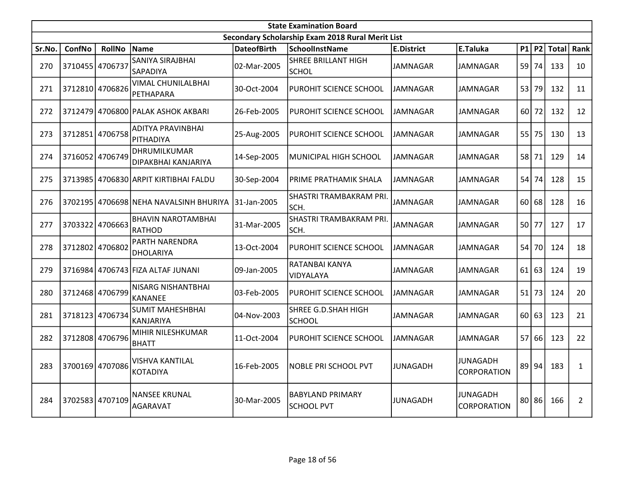|        | <b>State Examination Board</b> |                 |                                             |                    |                                                  |                   |                                       |    |           |              |                |  |  |
|--------|--------------------------------|-----------------|---------------------------------------------|--------------------|--------------------------------------------------|-------------------|---------------------------------------|----|-----------|--------------|----------------|--|--|
|        |                                |                 |                                             |                    | Secondary Scholarship Exam 2018 Rural Merit List |                   |                                       |    |           |              |                |  |  |
| Sr.No. | ConfNo                         | <b>RollNo</b>   | Name                                        | <b>DateofBirth</b> | <b>SchoolInstName</b>                            | <b>E.District</b> | E.Taluka                              |    | $P1$ P2   | <b>Total</b> | Rank           |  |  |
| 270    | 3710455                        | 4706737         | SANIYA SIRAJBHAI<br>SAPADIYA                | 02-Mar-2005        | <b>SHREE BRILLANT HIGH</b><br><b>SCHOL</b>       | <b>JAMNAGAR</b>   | JAMNAGAR                              |    | $59$ 74   | 133          | 10             |  |  |
| 271    |                                | 3712810 4706826 | VIMAL CHUNILALBHAI<br>PETHAPARA             | 30-Oct-2004        | PUROHIT SCIENCE SCHOOL                           | JAMNAGAR          | JAMNAGAR                              | 53 | 79        | 132          | 11             |  |  |
| 272    | 3712479                        |                 | 4706800 PALAK ASHOK AKBARI                  | 26-Feb-2005        | PUROHIT SCIENCE SCHOOL                           | JAMNAGAR          | <b>JAMNAGAR</b>                       |    | 60 72     | 132          | 12             |  |  |
| 273    | 3712851                        | 4706758         | <b>ADITYA PRAVINBHAI</b><br>PITHADIYA       | 25-Aug-2005        | PUROHIT SCIENCE SCHOOL                           | JAMNAGAR          | <b>JAMNAGAR</b>                       | 55 | 75        | 130          | 13             |  |  |
| 274    | 3716052 4706749                |                 | DHRUMILKUMAR<br>DIPAKBHAI KANJARIYA         | 14-Sep-2005        | MUNICIPAL HIGH SCHOOL                            | <b>JAMNAGAR</b>   | JAMNAGAR                              |    | 58 71     | 129          | 14             |  |  |
| 275    | 3713985                        |                 | 4706830 ARPIT KIRTIBHAI FALDU               | 30-Sep-2004        | PRIME PRATHAMIK SHALA                            | JAMNAGAR          | <b>JAMNAGAR</b>                       |    | $54$ 74   | 128          | 15             |  |  |
| 276    | 3702195                        |                 | 4706698 NEHA NAVALSINH BHURIYA              | 31-Jan-2005        | SHASTRI TRAMBAKRAM PRI.<br>SCH.                  | <b>JAMNAGAR</b>   | <b>JAMNAGAR</b>                       | 60 | 68        | 128          | 16             |  |  |
| 277    | 3703322                        | 4706663         | <b>BHAVIN NAROTAMBHAI</b><br><b>RATHOD</b>  | 31-Mar-2005        | SHASTRI TRAMBAKRAM PRI.<br>SCH.                  | <b>JAMNAGAR</b>   | <b>JAMNAGAR</b>                       |    | 50 77     | 127          | 17             |  |  |
| 278    | 3712802                        | 4706802         | <b>PARTH NARENDRA</b><br>DHOLARIYA          | 13-Oct-2004        | PUROHIT SCIENCE SCHOOL                           | <b>JAMNAGAR</b>   | JAMNAGAR                              |    | 54 70     | 124          | 18             |  |  |
| 279    |                                |                 | 3716984 4706743 FIZA ALTAF JUNANI           | 09-Jan-2005        | RATANBAI KANYA<br>VIDYALAYA                      | <b>JAMNAGAR</b>   | <b>JAMNAGAR</b>                       | 61 | 63        | 124          | 19             |  |  |
| 280    |                                | 3712468 4706799 | NISARG NISHANTBHAI<br><b>KANANEE</b>        | 03-Feb-2005        | PUROHIT SCIENCE SCHOOL                           | <b>JAMNAGAR</b>   | <b>JAMNAGAR</b>                       | 51 | 73        | 124          | 20             |  |  |
| 281    |                                | 3718123 4706734 | <b>SUMIT MAHESHBHAI</b><br><b>KANJARIYA</b> | 04-Nov-2003        | SHREE G.D.SHAH HIGH<br><b>SCHOOL</b>             | <b>JAMNAGAR</b>   | <b>JAMNAGAR</b>                       |    | 60 63     | 123          | 21             |  |  |
| 282    | 3712808                        | 4706796         | MIHIR NILESHKUMAR<br><b>BHATT</b>           | 11-Oct-2004        | PUROHIT SCIENCE SCHOOL                           | <b>JAMNAGAR</b>   | <b>JAMNAGAR</b>                       | 57 | 66        | 123          | 22             |  |  |
| 283    | 3700169                        | 4707086         | VISHVA KANTILAL<br><b>KOTADIYA</b>          | 16-Feb-2005        | <b>NOBLE PRI SCHOOL PVT</b>                      | <b>JUNAGADH</b>   | JUNAGADH<br><b>CORPORATION</b>        | 89 | 94        | 183          | $\mathbf{1}$   |  |  |
| 284    | 3702583 4707109                |                 | <b>NANSEE KRUNAL</b><br><b>AGARAVAT</b>     | 30-Mar-2005        | <b>BABYLAND PRIMARY</b><br><b>SCHOOL PVT</b>     | <b>JUNAGADH</b>   | <b>JUNAGADH</b><br><b>CORPORATION</b> |    | $80$   86 | 166          | $\overline{2}$ |  |  |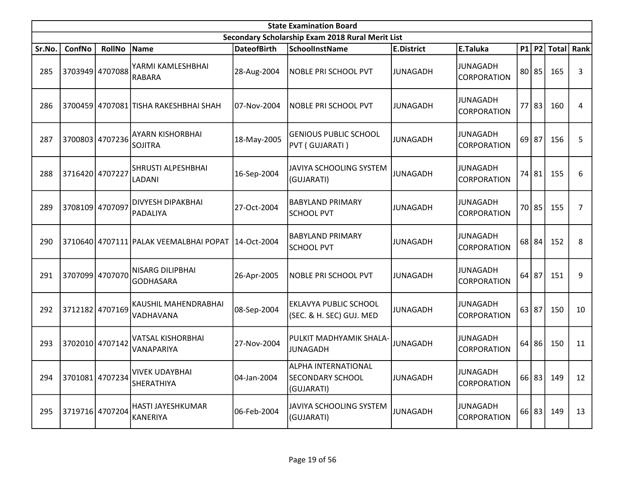|        | <b>State Examination Board</b> |                 |                                                      |                    |                                                                     |                   |                                |    |           |             |      |  |
|--------|--------------------------------|-----------------|------------------------------------------------------|--------------------|---------------------------------------------------------------------|-------------------|--------------------------------|----|-----------|-------------|------|--|
|        |                                |                 |                                                      |                    | Secondary Scholarship Exam 2018 Rural Merit List                    |                   |                                |    |           |             |      |  |
| Sr.No. | ConfNo                         | <b>RollNo</b>   | Name                                                 | <b>DateofBirth</b> | <b>SchoolInstName</b>                                               | <b>E.District</b> | E.Taluka                       |    |           | P1 P2 Total | Rank |  |
| 285    |                                | 3703949 4707088 | YARMI KAMLESHBHAI<br>RABARA                          | 28-Aug-2004        | NOBLE PRI SCHOOL PVT                                                | <b>JUNAGADH</b>   | JUNAGADH<br><b>CORPORATION</b> | 80 | 85        | 165         | 3    |  |
| 286    |                                |                 | 3700459 4707081 TISHA RAKESHBHAI SHAH                | l07-Nov-2004       | NOBLE PRI SCHOOL PVT                                                | <b>JUNAGADH</b>   | JUNAGADH<br>CORPORATION        |    | 77 83     | 160         | 4    |  |
| 287    |                                | 3700803 4707236 | AYARN KISHORBHAI<br>SOJITRA                          | 18-May-2005        | <b>GENIOUS PUBLIC SCHOOL</b><br>PVT (GUJARATI)                      | <b>JUNAGADH</b>   | JUNAGADH<br><b>CORPORATION</b> |    | $69$   87 | 156         | 5    |  |
| 288    |                                | 3716420 4707227 | SHRUSTI ALPESHBHAI<br>LADANI                         | 16-Sep-2004        | <b>JAVIYA SCHOOLING SYSTEM</b><br>(GUJARATI)                        | <b>JUNAGADH</b>   | JUNAGADH<br>CORPORATION        |    | 74 81     | 155         | 6    |  |
| 289    | 3708109                        | 4707097         | DIVYESH DIPAKBHAI<br><b>PADALIYA</b>                 | 27-Oct-2004        | <b>BABYLAND PRIMARY</b><br><b>SCHOOL PVT</b>                        | <b>JUNAGADH</b>   | JUNAGADH<br>CORPORATION        |    | 70 85     | 155         | 7    |  |
| 290    |                                |                 | 3710640 4707111 PALAK VEEMALBHAI POPAT   14-Oct-2004 |                    | <b>BABYLAND PRIMARY</b><br><b>SCHOOL PVT</b>                        | <b>JUNAGADH</b>   | JUNAGADH<br><b>CORPORATION</b> |    | 68 84     | 152         | 8    |  |
| 291    | 3707099 4707070                |                 | NISARG DILIPBHAI<br><b>GODHASARA</b>                 | 26-Apr-2005        | <b>NOBLE PRI SCHOOL PVT</b>                                         | <b>JUNAGADH</b>   | JUNAGADH<br>CORPORATION        | 64 | 87        | 151         | 9    |  |
| 292    |                                | 3712182 4707169 | KAUSHIL MAHENDRABHAI<br>VADHAVANA                    | 08-Sep-2004        | <b>EKLAVYA PUBLIC SCHOOL</b><br>(SEC. & H. SEC) GUJ. MED            | <b>JUNAGADH</b>   | JUNAGADH<br><b>CORPORATION</b> |    | 63 87     | 150         | 10   |  |
| 293    | 3702010 4707142                |                 | <b>VATSAL KISHORBHAI</b><br>VANAPARIYA               | 27-Nov-2004        | PULKIT MADHYAMIK SHALA-<br>JUNAGADH                                 | <b>JUNAGADH</b>   | JUNAGADH<br>CORPORATION        | 64 | 86        | 150         | 11   |  |
| 294    |                                | 3701081 4707234 | <b>VIVEK UDAYBHAI</b><br>SHERATHIYA                  | 04-Jan-2004        | <b>ALPHA INTERNATIONAL</b><br><b>SECONDARY SCHOOL</b><br>(GUJARATI) | <b>JUNAGADH</b>   | JUNAGADH<br>CORPORATION        |    | 66 83     | 149         | 12   |  |
| 295    | 3719716 4707204                |                 | HASTI JAYESHKUMAR<br>KANERIYA                        | 06-Feb-2004        | JAVIYA SCHOOLING SYSTEM<br>(GUJARATI)                               | <b>JUNAGADH</b>   | JUNAGADH<br><b>CORPORATION</b> |    | 66 83     | 149         | 13   |  |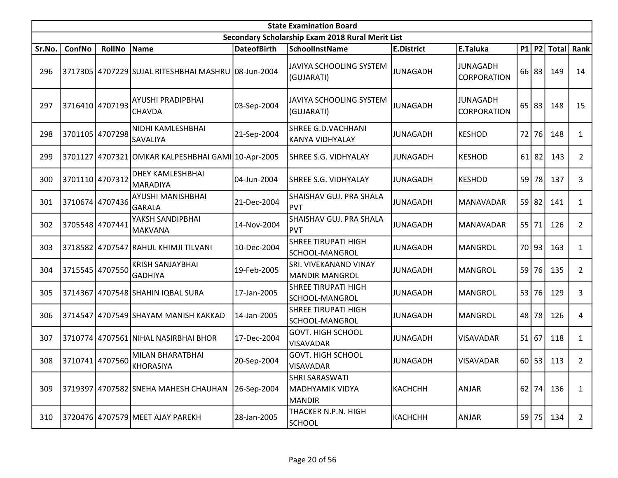|        | <b>State Examination Board</b> |                 |                                                     |                    |                                                           |                   |                                |    |           |              |                |  |  |
|--------|--------------------------------|-----------------|-----------------------------------------------------|--------------------|-----------------------------------------------------------|-------------------|--------------------------------|----|-----------|--------------|----------------|--|--|
|        |                                |                 |                                                     |                    | Secondary Scholarship Exam 2018 Rural Merit List          |                   |                                |    |           |              |                |  |  |
| Sr.No. | ConfNo                         | <b>RollNo</b>   | Name                                                | <b>DateofBirth</b> | <b>SchoolInstName</b>                                     | <b>E.District</b> | E.Taluka                       |    | P1 P2     | <b>Total</b> | Rank           |  |  |
| 296    |                                |                 | 3717305 4707229 SUJAL RITESHBHAI MASHRU 08-Jun-2004 |                    | JAVIYA SCHOOLING SYSTEM<br>(GUJARATI)                     | <b>JUNAGADH</b>   | JUNAGADH<br>CORPORATION        |    | $66$   83 | 149          | 14             |  |  |
| 297    |                                | 3716410 4707193 | AYUSHI PRADIPBHAI<br><b>CHAVDA</b>                  | 03-Sep-2004        | JAVIYA SCHOOLING SYSTEM<br>(GUJARATI)                     | <b>JUNAGADH</b>   | <b>JUNAGADH</b><br>CORPORATION | 65 | 83        | 148          | 15             |  |  |
| 298    | 3701105                        | 4707298         | NIDHI KAMLESHBHAI<br>SAVALIYA                       | 21-Sep-2004        | SHREE G.D.VACHHANI<br><b>KANYA VIDHYALAY</b>              | <b>JUNAGADH</b>   | KESHOD                         | 72 | 76        | 148          | $\mathbf{1}$   |  |  |
| 299    | 3701127                        |                 | 4707321 OMKAR KALPESHBHAI GAMI 10-Apr-2005          |                    | <b>SHREE S.G. VIDHYALAY</b>                               | <b>JUNAGADH</b>   | <b>KESHOD</b>                  |    | $61$   82 | 143          | $\overline{2}$ |  |  |
| 300    |                                | 3701110 4707312 | <b>DHEY KAMLESHBHAI</b><br><b>MARADIYA</b>          | 04-Jun-2004        | SHREE S.G. VIDHYALAY                                      | <b>JUNAGADH</b>   | <b>KESHOD</b>                  |    | $59$ 78   | 137          | 3              |  |  |
| 301    |                                | 3710674 4707436 | AYUSHI MANISHBHAI<br><b>GARALA</b>                  | 21-Dec-2004        | SHAISHAV GUJ. PRA SHALA<br><b>PVT</b>                     | <b>JUNAGADH</b>   | MANAVADAR                      |    | $59$ 82   | 141          | 1              |  |  |
| 302    |                                | 3705548 4707441 | YAKSH SANDIPBHAI<br>MAKVANA                         | 14-Nov-2004        | SHAISHAV GUJ. PRA SHALA<br><b>PVT</b>                     | <b>JUNAGADH</b>   | MANAVADAR                      |    | 55 71     | 126          | $\overline{2}$ |  |  |
| 303    |                                |                 | 3718582 4707547 RAHUL KHIMJI TILVANI                | 10-Dec-2004        | <b>SHREE TIRUPATI HIGH</b><br>SCHOOL-MANGROL              | <b>JUNAGADH</b>   | MANGROL                        |    | 70 93     | 163          | $\mathbf{1}$   |  |  |
| 304    |                                | 3715545 4707550 | KRISH SANJAYBHAI<br><b>GADHIYA</b>                  | 19-Feb-2005        | <b>SRI. VIVEKANAND VINAY</b><br>MANDIR MANGROL            | <b>JUNAGADH</b>   | MANGROL                        |    | 59 76     | 135          | $\overline{2}$ |  |  |
| 305    | 3714367                        |                 | 4707548 SHAHIN IQBAL SURA                           | 17-Jan-2005        | <b>SHREE TIRUPATI HIGH</b><br>SCHOOL-MANGROL              | <b>JUNAGADH</b>   | MANGROL                        |    | 53 76     | 129          | 3              |  |  |
| 306    |                                |                 | 3714547 4707549 SHAYAM MANISH KAKKAD                | 14-Jan-2005        | <b>SHREE TIRUPATI HIGH</b><br>SCHOOL-MANGROL              | <b>JUNAGADH</b>   | MANGROL                        |    | 48 78     | 126          | 4              |  |  |
| 307    |                                |                 | 3710774 4707561 NIHAL NASIRBHAI BHOR                | 17-Dec-2004        | <b>GOVT. HIGH SCHOOL</b><br><b>VISAVADAR</b>              | <b>JUNAGADH</b>   | <b>VISAVADAR</b>               | 51 | 67        | 118          | $\mathbf{1}$   |  |  |
| 308    |                                | 3710741 4707560 | MILAN BHARATBHAI<br>KHORASIYA                       | 20-Sep-2004        | <b>GOVT. HIGH SCHOOL</b><br><b>VISAVADAR</b>              | <b>JUNAGADH</b>   | VISAVADAR                      |    | $60$   53 | 113          | $\overline{2}$ |  |  |
| 309    |                                |                 | 3719397 4707582 SNEHA MAHESH CHAUHAN                | 26-Sep-2004        | SHRI SARASWATI<br><b>MADHYAMIK VIDYA</b><br><b>MANDIR</b> | <b>КАСНСНН</b>    | ANJAR                          |    | $62$ 74   | 136          | $\mathbf{1}$   |  |  |
| 310    |                                |                 | 3720476 4707579 MEET AJAY PAREKH                    | 28-Jan-2005        | THACKER N.P.N. HIGH<br><b>SCHOOL</b>                      | <b>КАСНСНН</b>    | <b>ANJAR</b>                   |    | 59 75     | 134          | $\overline{2}$ |  |  |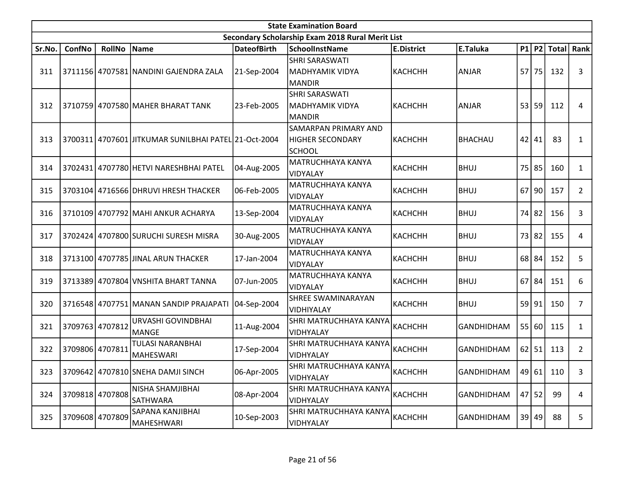|        | <b>State Examination Board</b> |                 |                                                      |                    |                                                           |                   |                   |  |           |                   |                |  |  |
|--------|--------------------------------|-----------------|------------------------------------------------------|--------------------|-----------------------------------------------------------|-------------------|-------------------|--|-----------|-------------------|----------------|--|--|
|        |                                |                 |                                                      |                    | Secondary Scholarship Exam 2018 Rural Merit List          |                   |                   |  |           |                   |                |  |  |
| Sr.No. | ConfNo                         | <b>RollNo</b>   | Name                                                 | <b>DateofBirth</b> | <b>SchoolInstName</b>                                     | <b>E.District</b> | E.Taluka          |  |           | $P1$   P2   Total | Rank           |  |  |
| 311    |                                |                 | 3711156 4707581 NANDINI GAJENDRA ZALA                | 21-Sep-2004        | <b>SHRI SARASWATI</b><br><b>MADHYAMIK VIDYA</b><br>MANDIR | <b>КАСНСНН</b>    | ANJAR             |  | 57 75     | 132               | 3              |  |  |
| 312    |                                |                 | 3710759 4707580 MAHER BHARAT TANK                    | 23-Feb-2005        | <b>SHRI SARASWATI</b><br>MADHYAMIK VIDYA<br>MANDIR        | <b>КАСНСНН</b>    | ANJAR             |  | 53 59     | 112               | 4              |  |  |
| 313    |                                |                 | 3700311 4707601 JITKUMAR SUNILBHAI PATEL 21-Oct-2004 |                    | SAMARPAN PRIMARY AND<br>HIGHER SECONDARY<br><b>SCHOOL</b> | <b>КАСНСНН</b>    | <b>BHACHAU</b>    |  | 42 41     | 83                | $\mathbf{1}$   |  |  |
| 314    |                                |                 | 3702431 4707780 HETVI NARESHBHAI PATEL               | 04-Aug-2005        | MATRUCHHAYA KANYA<br>VIDYALAY                             | <b>КАСНСНН</b>    | <b>BHUJ</b>       |  | 75 85     | 160               | $\mathbf{1}$   |  |  |
| 315    |                                |                 | 3703104 4716566 DHRUVI HRESH THACKER                 | 06-Feb-2005        | MATRUCHHAYA KANYA<br>VIDYALAY                             | <b>КАСНСНН</b>    | <b>BHUJ</b>       |  | $67$   90 | 157               | $\overline{2}$ |  |  |
| 316    |                                |                 | 3710109 4707792 MAHI ANKUR ACHARYA                   | 13-Sep-2004        | MATRUCHHAYA KANYA<br>VIDYALAY                             | <b>КАСНСНН</b>    | <b>BHUJ</b>       |  | 74 82     | 156               | 3              |  |  |
| 317    |                                |                 | 3702424 4707800 SURUCHI SURESH MISRA                 | 30-Aug-2005        | MATRUCHHAYA KANYA<br>VIDYALAY                             | <b>КАСНСНН</b>    | BHUJ              |  | 73 82     | 155               | 4              |  |  |
| 318    |                                |                 | 3713100 4707785 JJINAL ARUN THACKER                  | 17-Jan-2004        | MATRUCHHAYA KANYA<br>VIDYALAY                             | <b>КАСНСНН</b>    | <b>BHUJ</b>       |  | 68 84     | 152               | 5              |  |  |
| 319    |                                |                 | 3713389 4707804 VNSHITA BHART TANNA                  | 07-Jun-2005        | MATRUCHHAYA KANYA<br>VIDYALAY                             | <b>КАСНСНН</b>    | <b>BHUJ</b>       |  | $67$ 84   | 151               | 6              |  |  |
| 320    |                                |                 | 3716548 4707751 MANAN SANDIP PRAJAPATI               | 04-Sep-2004        | <b>SHREE SWAMINARAYAN</b><br>VIDHIYALAY                   | <b>КАСНСНН</b>    | <b>BHUJ</b>       |  | 59 91     | 150               | $\overline{7}$ |  |  |
| 321    |                                | 3709763 4707812 | URVASHI GOVINDBHAI<br>MANGE                          | 11-Aug-2004        | SHRI MATRUCHHAYA KANYA<br>VIDHYALAY                       | <b>КАСНСНН</b>    | <b>GANDHIDHAM</b> |  | 55 60     | 115               | $\mathbf{1}$   |  |  |
| 322    | 3709806 4707811                |                 | TULASI NARANBHAI<br>MAHESWARI                        | 17-Sep-2004        | SHRI MATRUCHHAYA KANYA<br>VIDHYALAY                       | <b>КАСНСНН</b>    | <b>GANDHIDHAM</b> |  | $62$   51 | 113               | $\overline{2}$ |  |  |
| 323    |                                |                 | 3709642 4707810 SNEHA DAMJI SINCH                    | 06-Apr-2005        | SHRI MATRUCHHAYA KANYA <br>VIDHYALAY                      | <b>КАСНСНН</b>    | <b>GANDHIDHAM</b> |  |           | 49 61 110         | 3              |  |  |
| 324    |                                | 3709818 4707808 | NISHA SHAMJIBHAI<br><b>SATHWARA</b>                  | 08-Apr-2004        | SHRI MATRUCHHAYA KANYA<br>VIDHYALAY                       | <b>КАСНСНН</b>    | GANDHIDHAM        |  | $47$ 52   | 99                | 4              |  |  |
| 325    |                                | 3709608 4707809 | SAPANA KANJIBHAI<br> MAHESHWARI                      | 10-Sep-2003        | SHRI MATRUCHHAYA KANYA<br>VIDHYALAY                       | КАСНСНН           | <b>GANDHIDHAM</b> |  | 39 49     | 88                | 5              |  |  |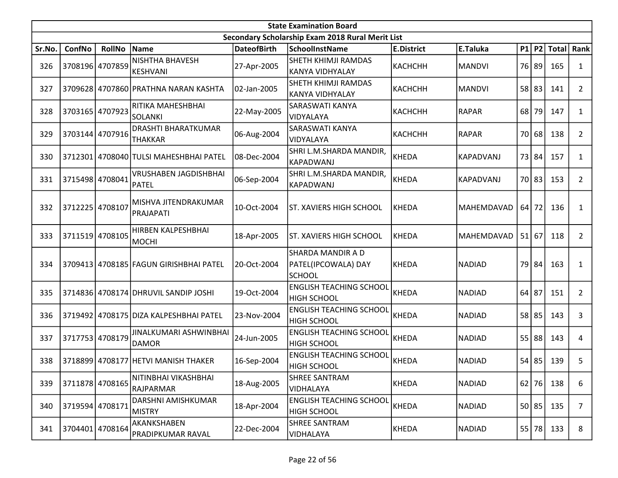|        | <b>State Examination Board</b> |                 |                                              |                    |                                                                  |                   |               |         |         |              |                |  |  |
|--------|--------------------------------|-----------------|----------------------------------------------|--------------------|------------------------------------------------------------------|-------------------|---------------|---------|---------|--------------|----------------|--|--|
|        |                                |                 |                                              |                    | Secondary Scholarship Exam 2018 Rural Merit List                 |                   |               |         |         |              |                |  |  |
| Sr.No. | ConfNo                         | <b>RollNo</b>   | Name                                         | <b>DateofBirth</b> | <b>SchoolInstName</b>                                            | <b>E.District</b> | E.Taluka      |         | P1 P2   | <b>Total</b> | Rank           |  |  |
| 326    |                                | 3708196 4707859 | NISHTHA BHAVESH<br> KESHVANI                 | 27-Apr-2005        | SHETH KHIMJI RAMDAS<br><b>KANYA VIDHYALAY</b>                    | <b>КАСНСНН</b>    | <b>MANDVI</b> |         | 76 89   | 165          | $\mathbf{1}$   |  |  |
| 327    |                                |                 | 3709628 4707860 PRATHNA NARAN KASHTA         | 02-Jan-2005        | SHETH KHIMJI RAMDAS<br><b>KANYA VIDHYALAY</b>                    | <b>КАСНСНН</b>    | MANDVI        |         | 58 83   | 141          | $\overline{2}$ |  |  |
| 328    | 3703165                        | 4707923         | RITIKA MAHESHBHAI<br>SOLANKI                 | 22-May-2005        | <b>SARASWATI KANYA</b><br>VIDYALAYA                              | <b>КАСНСНН</b>    | <b>RAPAR</b>  |         | 68 79   | 147          | 1              |  |  |
| 329    |                                | 3703144 4707916 | DRASHTI BHARATKUMAR<br><b>THAKKAR</b>        | 06-Aug-2004        | <b>SARASWATI KANYA</b><br>VIDYALAYA                              | <b>КАСНСНН</b>    | <b>RAPAR</b>  |         | 70 68   | 138          | $\overline{2}$ |  |  |
| 330    |                                |                 | 3712301 4708040 TULSI MAHESHBHAI PATEL       | 08-Dec-2004        | SHRI L.M.SHARDA MANDIR,<br>KAPADWANJ                             | <b>KHEDA</b>      | KAPADVANJ     |         | 73 84   | 157          | 1              |  |  |
| 331    |                                | 3715498 4708041 | <b>VRUSHABEN JAGDISHBHAI</b><br><b>PATEL</b> | 06-Sep-2004        | SHRI L.M.SHARDA MANDIR,<br>KAPADWANJ                             | <b>KHEDA</b>      | KAPADVANJ     |         | 70 83   | 153          | $\overline{2}$ |  |  |
| 332    | 3712225                        | 4708107         | MISHVA JITENDRAKUMAR<br>PRAJAPATI            | 10-Oct-2004        | <b>ST. XAVIERS HIGH SCHOOL</b>                                   | <b>KHEDA</b>      | MAHEMDAVAD    |         | $64$ 72 | 136          | 1              |  |  |
| 333    |                                | 3711519 4708105 | HIRBEN KALPESHBHAI<br> MOCHI                 | 18-Apr-2005        | ST. XAVIERS HIGH SCHOOL                                          | <b>KHEDA</b>      | MAHEMDAVAD    |         | 51 67   | 118          | $\overline{2}$ |  |  |
| 334    |                                |                 | 3709413 4708185 FAGUN GIRISHBHAI PATEL       | 20-Oct-2004        | <b>SHARDA MANDIR A D</b><br>PATEL(IPCOWALA) DAY<br><b>SCHOOL</b> | <b>KHEDA</b>      | NADIAD        |         | 79 84   | 163          | $\mathbf{1}$   |  |  |
| 335    |                                |                 | 3714836 4708174 DHRUVIL SANDIP JOSHI         | 19-Oct-2004        | <b>ENGLISH TEACHING SCHOOL</b><br><b>HIGH SCHOOL</b>             | <b>KHEDA</b>      | <b>NADIAD</b> | $64$ 87 |         | 151          | $\overline{2}$ |  |  |
| 336    |                                |                 | 3719492 4708175 DIZA KALPESHBHAI PATEL       | 23-Nov-2004        | <b>ENGLISH TEACHING SCHOOL</b><br><b>HIGH SCHOOL</b>             | <b>KHEDA</b>      | <b>NADIAD</b> |         | $58$ 85 | 143          | 3              |  |  |
| 337    |                                | 3717753 4708179 | JINALKUMARI ASHWINBHAI<br>DAMOR              | 24-Jun-2005        | <b>ENGLISH TEACHING SCHOOL</b><br><b>HIGH SCHOOL</b>             | <b>KHEDA</b>      | NADIAD        |         | 55 88   | 143          | 4              |  |  |
| 338    |                                |                 | 3718899 4708177 HETVI MANISH THAKER          | 16-Sep-2004        | <b>ENGLISH TEACHING SCHOOL</b><br><b>HIGH SCHOOL</b>             | KHEDA             | <b>NADIAD</b> |         | $54$ 85 | 139          | 5              |  |  |
| 339    |                                | 3711878 4708165 | NITINBHAI VIKASHBHAI<br>RAJPARMAR            | 18-Aug-2005        | <b>SHREE SANTRAM</b><br>VIDHALAYA                                | <b>KHEDA</b>      | <b>NADIAD</b> |         | $62$ 76 | 138          | 6              |  |  |
| 340    | 3719594 4708171                |                 | DARSHNI AMISHKUMAR<br><b>MISTRY</b>          | 18-Apr-2004        | <b>ENGLISH TEACHING SCHOOL</b><br><b>HIGH SCHOOL</b>             | <b>KHEDA</b>      | <b>NADIAD</b> |         | 50 85   | 135          | $\overline{7}$ |  |  |
| 341    | 3704401                        | 4708164         | AKANKSHABEN<br><b>PRADIPKUMAR RAVAL</b>      | 22-Dec-2004        | <b>SHREE SANTRAM</b><br>VIDHALAYA                                | <b>KHEDA</b>      | <b>NADIAD</b> |         | 55 78   | 133          | 8              |  |  |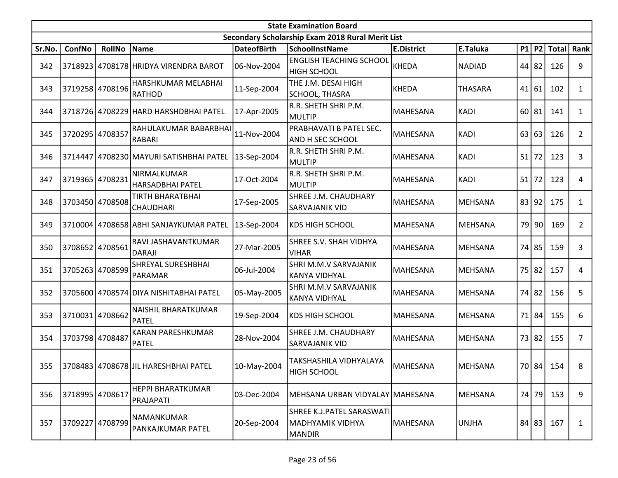|        | <b>State Examination Board</b><br>Secondary Scholarship Exam 2018 Rural Merit List |                 |                                        |                    |                                                         |                   |                |    |           |              |                |  |  |  |
|--------|------------------------------------------------------------------------------------|-----------------|----------------------------------------|--------------------|---------------------------------------------------------|-------------------|----------------|----|-----------|--------------|----------------|--|--|--|
|        |                                                                                    |                 |                                        |                    |                                                         |                   |                |    |           |              |                |  |  |  |
| Sr.No. | ConfNo                                                                             | <b>RollNo</b>   | Name                                   | <b>DateofBirth</b> | <b>SchoolInstName</b>                                   | <b>E.District</b> | E.Taluka       |    | P1 P2     | <b>Total</b> | Rank           |  |  |  |
| 342    |                                                                                    |                 | 3718923 4708178 HRIDYA VIRENDRA BAROT  | 06-Nov-2004        | <b>ENGLISH TEACHING SCHOOL</b><br><b>HIGH SCHOOL</b>    | <b>KHEDA</b>      | <b>NADIAD</b>  |    | 44 82     | 126          | 9              |  |  |  |
| 343    |                                                                                    | 3719258 4708196 | HARSHKUMAR MELABHAI<br><b>RATHOD</b>   | 11-Sep-2004        | THE J.M. DESAI HIGH<br>SCHOOL, THASRA                   | <b>KHEDA</b>      | <b>THASARA</b> |    | 41 61     | 102          | $\mathbf{1}$   |  |  |  |
| 344    |                                                                                    |                 | 3718726 4708229 HARD HARSHDBHAI PATEL  | 17-Apr-2005        | R.R. SHETH SHRI P.M.<br>MULTIP                          | MAHESANA          | KADI           |    | $60$   81 | 141          | $\mathbf{1}$   |  |  |  |
| 345    | 3720295 4708357                                                                    |                 | RAHULAKUMAR BABARBHAI<br>RABARI        | 11-Nov-2004        | PRABHAVATI B PATEL SEC.<br>AND H SEC SCHOOL             | MAHESANA          | <b>KADI</b>    |    | 63 63     | 126          | $\overline{2}$ |  |  |  |
| 346    | 3714447                                                                            |                 | 4708230 MAYURI SATISHBHAI PATEL        | 13-Sep-2004        | R.R. SHETH SHRI P.M.<br>MULTIP                          | MAHESANA          | KADI           | 51 | 72        | 123          | 3              |  |  |  |
| 347    |                                                                                    | 3719365 4708231 | NIRMALKUMAR<br>HARSADBHAI PATEL        | 17-Oct-2004        | R.R. SHETH SHRI P.M.<br>MULTIP                          | MAHESANA          | KADI           | 51 | 72        | 123          | 4              |  |  |  |
| 348    |                                                                                    | 3703450 4708508 | TIRTH BHARATBHAI<br><b>CHAUDHARI</b>   | 17-Sep-2005        | SHREE J.M. CHAUDHARY<br><b>SARVAJANIK VID</b>           | MAHESANA          | MEHSANA        |    | 83 92     | 175          | $\mathbf{1}$   |  |  |  |
| 349    |                                                                                    |                 | 3710004 4708658 ABHI SANJAYKUMAR PATEL | 13-Sep-2004        | KDS HIGH SCHOOL                                         | <b>MAHESANA</b>   | <b>MEHSANA</b> |    | 79 90     | 169          | $\overline{2}$ |  |  |  |
| 350    |                                                                                    | 3708652 4708561 | RAVI JASHAVANTKUMAR<br><b>DARAJI</b>   | 27-Mar-2005        | SHREE S.V. SHAH VIDHYA<br>VIHAR                         | MAHESANA          | MEHSANA        |    | 74 85     | 159          | 3              |  |  |  |
| 351    |                                                                                    | 3705263 4708599 | SHREYAL SURESHBHAI<br>PARAMAR          | 06-Jul-2004        | SHRI M.M.V SARVAJANIK<br><b>KANYA VIDHYAL</b>           | <b>MAHESANA</b>   | MEHSANA        |    | 75 82     | 157          | 4              |  |  |  |
| 352    |                                                                                    |                 | 3705600 4708574 DIYA NISHITABHAI PATEL | 05-May-2005        | SHRI M.M.V SARVAJANIK<br>KANYA VIDHYAL                  | <b>MAHESANA</b>   | MEHSANA        |    | 74 82     | 156          | 5              |  |  |  |
| 353    |                                                                                    | 3710031 4708662 | NAISHIL BHARATKUMAR<br>PATEL           | 19-Sep-2004        | <b>KDS HIGH SCHOOL</b>                                  | MAHESANA          | <b>MEHSANA</b> |    | 71 84     | 155          | 6              |  |  |  |
| 354    | 3703798 4708487                                                                    |                 | KARAN PARESHKUMAR<br><b>PATEL</b>      | 28-Nov-2004        | SHREE J.M. CHAUDHARY<br><b>SARVAJANIK VID</b>           | <b>MAHESANA</b>   | MEHSANA        |    | 73 82     | 155          | $\overline{7}$ |  |  |  |
| 355    |                                                                                    |                 | 3708483 4708678 JIL HARESHBHAI PATEL   | 10-May-2004        | TAKSHASHILA VIDHYALAYA<br><b>HIGH SCHOOL</b>            | MAHESANA          | MEHSANA        |    |           | 70 84 154    | 8              |  |  |  |
| 356    | 3718995 4708617                                                                    |                 | <b>HEPPI BHARATKUMAR</b><br>PRAJAPATI  | 03-Dec-2004        | MEHSANA URBAN VIDYALAY MAHESANA                         |                   | MEHSANA        |    | 74 79     | 153          | 9              |  |  |  |
| 357    | 3709227                                                                            | 4708799         | NAMANKUMAR<br>PANKAJKUMAR PATEL        | 20-Sep-2004        | SHREE K.J.PATEL SARASWATI<br>MADHYAMIK VIDHYA<br>MANDIR | <b>MAHESANA</b>   | <b>UNJHA</b>   |    | 84 83     | 167          | 1              |  |  |  |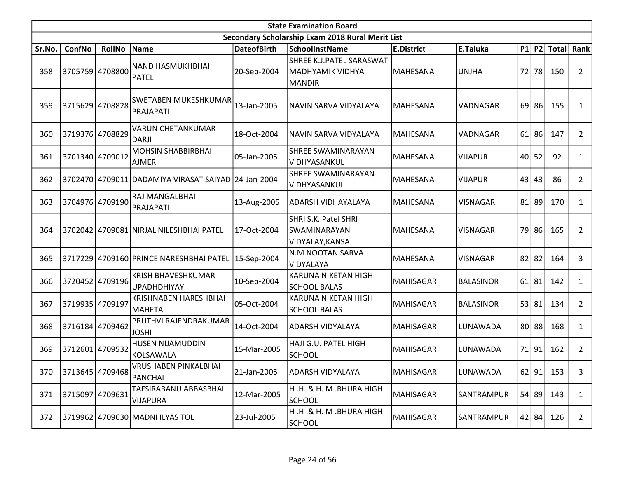|        | <b>State Examination Board</b><br>Secondary Scholarship Exam 2018 Rural Merit List |                 |                                                     |                    |                                                                |                   |                  |    |           |                |                |  |  |  |
|--------|------------------------------------------------------------------------------------|-----------------|-----------------------------------------------------|--------------------|----------------------------------------------------------------|-------------------|------------------|----|-----------|----------------|----------------|--|--|--|
|        |                                                                                    |                 |                                                     |                    |                                                                |                   |                  |    |           |                |                |  |  |  |
| Sr.No. | ConfNo                                                                             | <b>RollNo</b>   | Name                                                | <b>DateofBirth</b> | <b>SchoolInstName</b>                                          | <b>E.District</b> | E.Taluka         |    | P1 P2     | Total          | Rank           |  |  |  |
| 358    | 3705759 4708800                                                                    |                 | <b>NAND HASMUKHBHAI</b><br><b>PATEL</b>             | 20-Sep-2004        | SHREE K.J.PATEL SARASWATI<br>MADHYAMIK VIDHYA<br><b>MANDIR</b> | MAHESANA          | UNJHA            |    | 72 78     | 150            | $\overline{2}$ |  |  |  |
| 359    |                                                                                    | 3715629 4708828 | SWETABEN MUKESHKUMAR<br>PRAJAPATI                   | 13-Jan-2005        | NAVIN SARVA VIDYALAYA                                          | MAHESANA          | VADNAGAR         |    | $69$   86 | 155            | 1              |  |  |  |
| 360    | 3719376 4708829                                                                    |                 | <b>VARUN CHETANKUMAR</b><br><b>DARJI</b>            | 18-Oct-2004        | NAVIN SARVA VIDYALAYA                                          | <b>MAHESANA</b>   | VADNAGAR         |    | $61$   86 | 147            | $\overline{2}$ |  |  |  |
| 361    | 3701340 4709012                                                                    |                 | <b>MOHSIN SHABBIRBHAI</b><br><b>AJMERI</b>          | 05-Jan-2005        | <b>SHREE SWAMINARAYAN</b><br>VIDHYASANKUL                      | MAHESANA          | <b>VIJAPUR</b>   |    | 40 52     | 92             | 1              |  |  |  |
| 362    |                                                                                    |                 | 3702470 4709011 DADAMIYA VIRASAT SAIYAD 24-Jan-2004 |                    | SHREE SWAMINARAYAN<br>VIDHYASANKUL                             | MAHESANA          | VIJAPUR          |    | 43 43     | 86             | $\overline{2}$ |  |  |  |
| 363    |                                                                                    | 3704976 4709190 | RAJ MANGALBHAI<br>PRAJAPATI                         | 13-Aug-2005        | ADARSH VIDHAYALAYA                                             | MAHESANA          | <b>VISNAGAR</b>  | 81 | 89        | 170            | $\mathbf{1}$   |  |  |  |
| 364    |                                                                                    |                 | 3702042 4709081 NIRJAL NILESHBHAI PATEL             | 17-Oct-2004        | SHRI S.K. Patel SHRI<br>SWAMINARAYAN<br>VIDYALAY, KANSA        | MAHESANA          | <b>VISNAGAR</b>  |    | 79 86     | 165            | $\overline{2}$ |  |  |  |
| 365    |                                                                                    |                 | 3717229 4709160 PRINCE NARESHBHAI PATEL             | 15-Sep-2004        | N.M NOOTAN SARVA<br>VIDYALAYA                                  | MAHESANA          | <b>VISNAGAR</b>  | 82 | 82        | 164            | 3              |  |  |  |
| 366    | 3720452                                                                            | 4709196         | KRISH BHAVESHKUMAR<br><b>UPADHDHIYAY</b>            | 10-Sep-2004        | KARUNA NIKETAN HIGH<br><b>SCHOOL BALAS</b>                     | <b>MAHISAGAR</b>  | <b>BALASINOR</b> |    | $61$   81 | 142            | $\mathbf{1}$   |  |  |  |
| 367    | 3719935 4709197                                                                    |                 | <b>KRISHNABEN HARESHBHAI</b><br><b>MAHETA</b>       | 05-Oct-2004        | KARUNA NIKETAN HIGH<br><b>SCHOOL BALAS</b>                     | <b>MAHISAGAR</b>  | <b>BALASINOR</b> |    | 53 81     | 134            | $\overline{2}$ |  |  |  |
| 368    | 3716184                                                                            | 4709462         | PRUTHVI RAJENDRAKUMAR<br><b>JOSHI</b>               | 14-Oct-2004        | <b>ADARSH VIDYALAYA</b>                                        | <b>MAHISAGAR</b>  | LUNAWADA         |    | 80 88     | 168            | $\mathbf{1}$   |  |  |  |
| 369    | 3712601                                                                            | 4709532         | HUSEN NIJAMUDDIN<br>KOLSAWALA                       | 15-Mar-2005        | HAJI G.U. PATEL HIGH<br><b>SCHOOL</b>                          | <b>MAHISAGAR</b>  | LUNAWADA         |    | 71 91     | 162            | $\overline{2}$ |  |  |  |
| 370    |                                                                                    | 3713645 4709468 | VRUSHABEN PINKALBHAI<br><b>PANCHAL</b>              | 21-Jan-2005        | <b>ADARSH VIDYALAYA</b>                                        | MAHISAGAR         | LUNAWADA         |    |           | $62$   91  153 | 3              |  |  |  |
| 371    | 3715097                                                                            | 4709631         | TAFSIRABANU ABBASBHAI<br><b>VIJAPURA</b>            | 12-Mar-2005        | H.H.& H. M.BHURA HIGH<br><b>SCHOOL</b>                         | <b>MAHISAGAR</b>  | SANTRAMPUR       |    | 54 89     | 143            | $\mathbf{1}$   |  |  |  |
| 372    |                                                                                    |                 | 3719962 4709630 MADNI ILYAS TOL                     | 23-Jul-2005        | H.H.& H. M.BHURA HIGH<br><b>SCHOOL</b>                         | <b>MAHISAGAR</b>  | SANTRAMPUR       |    | 42 84     | 126            | $\mathbf{2}$   |  |  |  |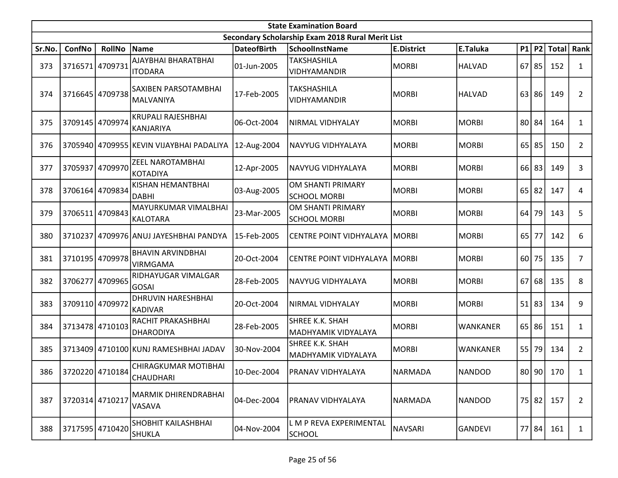|        | <b>State Examination Board</b> |                 |                                             |                    |                                                  |                   |                 |    |           |              |                |  |  |
|--------|--------------------------------|-----------------|---------------------------------------------|--------------------|--------------------------------------------------|-------------------|-----------------|----|-----------|--------------|----------------|--|--|
|        |                                |                 |                                             |                    | Secondary Scholarship Exam 2018 Rural Merit List |                   |                 |    |           |              |                |  |  |
| Sr.No. | ConfNo                         | <b>RollNo</b>   | Name                                        | <b>DateofBirth</b> | <b>SchoolInstName</b>                            | <b>E.District</b> | E.Taluka        |    | P1 P2     | <b>Total</b> | Rank           |  |  |
| 373    | 3716571                        | 4709731         | AJAYBHAI BHARATBHAI<br><b>ITODARA</b>       | 01-Jun-2005        | <b>TAKSHASHILA</b><br>VIDHYAMANDIR               | <b>MORBI</b>      | <b>HALVAD</b>   |    | $67$   85 | 152          | $\mathbf{1}$   |  |  |
| 374    |                                | 3716645 4709738 | SAXIBEN PARSOTAMBHAI<br><b>MALVANIYA</b>    | 17-Feb-2005        | <b>TAKSHASHILA</b><br>VIDHYAMANDIR               | <b>MORBI</b>      | HALVAD          | 63 | 86        | 149          | $\overline{2}$ |  |  |
| 375    | 3709145                        | 4709974         | KRUPALI RAJESHBHAI<br><b>KANJARIYA</b>      | 06-Oct-2004        | NIRMAL VIDHYALAY                                 | <b>MORBI</b>      | <b>MORBI</b>    |    | 80 84     | 164          | $\mathbf{1}$   |  |  |
| 376    |                                |                 | 3705940 4709955 KEVIN VIJAYBHAI PADALIYA    | 12-Aug-2004        | NAVYUG VIDHYALAYA                                | <b>MORBI</b>      | <b>MORBI</b>    | 65 | 85        | 150          | $\overline{2}$ |  |  |
| 377    | 3705937                        | 4709970         | ZEEL NAROTAMBHAI<br><b>KOTADIYA</b>         | 12-Apr-2005        | NAVYUG VIDHYALAYA                                | <b>MORBI</b>      | <b>MORBI</b>    |    | 66 83     | 149          | 3              |  |  |
| 378    | 3706164                        | 4709834         | KISHAN HEMANTBHAI<br><b>DABHI</b>           | 03-Aug-2005        | OM SHANTI PRIMARY<br><b>SCHOOL MORBI</b>         | MORBI             | <b>MORBI</b>    | 65 | 82        | 147          | 4              |  |  |
| 379    | 3706511                        | 4709843         | MAYURKUMAR VIMALBHAI<br><b>KALOTARA</b>     | 23-Mar-2005        | OM SHANTI PRIMARY<br><b>SCHOOL MORBI</b>         | MORBI             | <b>MORBI</b>    | 64 | 79        | 143          | 5              |  |  |
| 380    | 3710237                        |                 | 4709976 ANUJ JAYESHBHAI PANDYA              | 15-Feb-2005        | <b>CENTRE POINT VIDHYALAYA   MORBI</b>           |                   | <b>MORBI</b>    |    | 65 77     | 142          | 6              |  |  |
| 381    |                                | 3710195 4709978 | <b>BHAVIN ARVINDBHAI</b><br><b>VIRMGAMA</b> | 20-Oct-2004        | <b>CENTRE POINT VIDHYALAYA   MORBI</b>           |                   | <b>MORBI</b>    | 60 | 75        | 135          | $\overline{7}$ |  |  |
| 382    | 3706277                        | 4709965         | RIDHAYUGAR VIMALGAR<br><b>GOSAI</b>         | 28-Feb-2005        | NAVYUG VIDHYALAYA                                | <b>MORBI</b>      | MORBI           | 67 | 68        | 135          | 8              |  |  |
| 383    | 3709110 4709972                |                 | <b>DHRUVIN HARESHBHAI</b><br><b>KADIVAR</b> | 20-Oct-2004        | NIRMAL VIDHYALAY                                 | <b>MORBI</b>      | <b>MORBI</b>    |    | $51$ 83   | 134          | 9              |  |  |
| 384    | 3713478 4710103                |                 | RACHIT PRAKASHBHAI<br><b>DHARODIYA</b>      | 28-Feb-2005        | SHREE K.K. SHAH<br>MADHYAMIK VIDYALAYA           | <b>MORBI</b>      | <b>WANKANER</b> |    | $65$   86 | 151          | $\mathbf{1}$   |  |  |
| 385    | 3713409                        |                 | 4710100 KUNJ RAMESHBHAI JADAV               | 30-Nov-2004        | <b>SHREE K.K. SHAH</b><br>MADHYAMIK VIDYALAYA    | MORBI             | <b>WANKANER</b> |    | 55 79     | 134          | $\overline{2}$ |  |  |
| 386    |                                | 3720220 4710184 | CHIRAGKUMAR MOTIBHAI<br>CHAUDHARI           | 10-Dec-2004        | PRANAV VIDHYALAYA                                | NARMADA           | NANDOD          |    |           | 80 90 170    | $\mathbf{1}$   |  |  |
| 387    | 3720314 4710217                |                 | MARMIK DHIRENDRABHAI<br>VASAVA              | 04-Dec-2004        | PRANAV VIDHYALAYA                                | NARMADA           | NANDOD          |    | 75 82     | 157          | $\overline{2}$ |  |  |
| 388    |                                | 3717595 4710420 | SHOBHIT KAILASHBHAI<br><b>SHUKLA</b>        | 04-Nov-2004        | L M P REVA EXPERIMENTAL<br>SCHOOL                | <b>NAVSARI</b>    | GANDEVI         |    | 77 84     | 161          | $\mathbf{1}$   |  |  |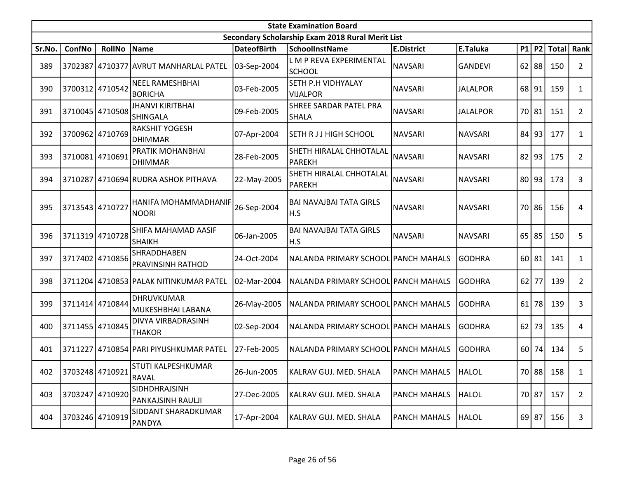|        | <b>State Examination Board</b><br>Secondary Scholarship Exam 2018 Rural Merit List |                 |                                            |                    |                                          |                     |                 |    |           |              |                |  |  |
|--------|------------------------------------------------------------------------------------|-----------------|--------------------------------------------|--------------------|------------------------------------------|---------------------|-----------------|----|-----------|--------------|----------------|--|--|
|        |                                                                                    |                 |                                            |                    |                                          |                     |                 |    |           |              |                |  |  |
| Sr.No. | ConfNo                                                                             | <b>RollNo</b>   | Name                                       | <b>DateofBirth</b> | <b>SchoolInstName</b>                    | <b>E.District</b>   | E.Taluka        |    | P1 P2     | <b>Total</b> | Rank           |  |  |
| 389    |                                                                                    |                 | 3702387 4710377 AVRUT MANHARLAL PATEL      | 03-Sep-2004        | L M P REVA EXPERIMENTAL<br><b>SCHOOL</b> | <b>NAVSARI</b>      | <b>GANDEVI</b>  |    | $62$   88 | 150          | $\overline{2}$ |  |  |
| 390    |                                                                                    | 3700312 4710542 | <b>NEEL RAMESHBHAI</b><br><b>BORICHA</b>   | 03-Feb-2005        | SETH P.H VIDHYALAY<br><b>VIJALPOR</b>    | <b>NAVSARI</b>      | <b>JALALPOR</b> |    | 68 91     | 159          | $\mathbf{1}$   |  |  |
| 391    |                                                                                    | 3710045 4710508 | <b>JHANVI KIRITBHAI</b><br><b>SHINGALA</b> | 09-Feb-2005        | SHREE SARDAR PATEL PRA<br><b>SHALA</b>   | <b>NAVSARI</b>      | <b>JALALPOR</b> |    | 70 81     | 151          | $\overline{2}$ |  |  |
| 392    |                                                                                    | 3700962 4710769 | <b>RAKSHIT YOGESH</b><br><b>DHIMMAR</b>    | 07-Apr-2004        | SETH R J J HIGH SCHOOL                   | <b>NAVSARI</b>      | <b>NAVSARI</b>  |    | $84$   93 | 177          | $\mathbf{1}$   |  |  |
| 393    |                                                                                    | 3710081 4710691 | PRATIK MOHANBHAI<br><b>DHIMMAR</b>         | 28-Feb-2005        | SHETH HIRALAL CHHOTALAL<br><b>PAREKH</b> | <b>NAVSARI</b>      | <b>NAVSARI</b>  |    | $82$  93  | 175          | $\overline{2}$ |  |  |
| 394    | 3710287                                                                            |                 | 4710694 RUDRA ASHOK PITHAVA                | 22-May-2005        | SHETH HIRALAL CHHOTALAL<br><b>PAREKH</b> | <b>NAVSARI</b>      | NAVSARI         |    | $80$  93  | 173          | 3              |  |  |
| 395    | 3713543 4710727                                                                    |                 | HANIFA MOHAMMADHANIF<br>NOORI              | 26-Sep-2004        | <b>BAI NAVAJBAI TATA GIRLS</b><br>H.S    | <b>NAVSARI</b>      | NAVSARI         |    | 70 86     | 156          | 4              |  |  |
| 396    |                                                                                    | 3711319 4710728 | SHIFA MAHAMAD AASIF<br><b>SHAIKH</b>       | 06-Jan-2005        | <b>BAI NAVAJBAI TATA GIRLS</b><br>H.S    | <b>NAVSARI</b>      | <b>NAVSARI</b>  |    | $65$   85 | 150          | 5              |  |  |
| 397    |                                                                                    | 3717402 4710856 | SHRADDHABEN<br>PRAVINSINH RATHOD           | 24-Oct-2004        | NALANDA PRIMARY SCHOOL PANCH MAHALS      |                     | <b>GODHRA</b>   |    | $60$   81 | 141          | $\mathbf{1}$   |  |  |
| 398    |                                                                                    |                 | 3711204 4710853 PALAK NITINKUMAR PATEL     | 02-Mar-2004        | NALANDA PRIMARY SCHOOL PANCH MAHALS      |                     | <b>GODHRA</b>   | 62 | 77        | 139          | $\overline{2}$ |  |  |
| 399    |                                                                                    | 3711414 4710844 | <b>DHRUVKUMAR</b><br>MUKESHBHAI LABANA     | 26-May-2005        | NALANDA PRIMARY SCHOOL PANCH MAHALS      |                     | <b>GODHRA</b>   | 61 | 78        | 139          | 3              |  |  |
| 400    |                                                                                    | 3711455 4710845 | DIVYA VIRBADRASINH<br>THAKOR               | 02-Sep-2004        | NALANDA PRIMARY SCHOOL PANCH MAHALS      |                     | <b>GODHRA</b>   | 62 | 73        | 135          | 4              |  |  |
| 401    | 3711227                                                                            |                 | 4710854 PARI PIYUSHKUMAR PATEL             | 27-Feb-2005        | NALANDA PRIMARY SCHOOL PANCH MAHALS      |                     | <b>GODHRA</b>   |    | 60 74     | 134          | 5              |  |  |
| 402    |                                                                                    | 3703248 4710921 | STUTI KALPESHKUMAR<br>RAVAL                | 26-Jun-2005        | KALRAV GUJ. MED. SHALA                   | <b>PANCH MAHALS</b> | HALOL           |    |           | 70 88 158    | $\mathbf{1}$   |  |  |
| 403    |                                                                                    | 3703247 4710920 | SIDHDHRAJSINH<br>PANKAJSINH RAULJI         | 27-Dec-2005        | KALRAV GUJ. MED. SHALA                   | <b>PANCH MAHALS</b> | <b>HALOL</b>    |    | 70 87     | 157          | $\overline{2}$ |  |  |
| 404    |                                                                                    | 3703246 4710919 | SIDDANT SHARADKUMAR<br>PANDYA              | 17-Apr-2004        | KALRAV GUJ. MED. SHALA                   | PANCH MAHALS        | <b>HALOL</b>    |    | $69$   87 | 156          | 3              |  |  |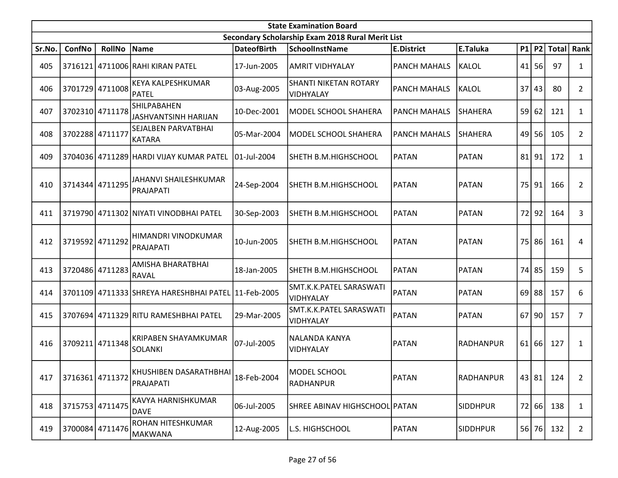|        | <b>State Examination Board</b> |                 |                                                     |                    |                                                  |                     |                 |    |           |              |                |  |  |
|--------|--------------------------------|-----------------|-----------------------------------------------------|--------------------|--------------------------------------------------|---------------------|-----------------|----|-----------|--------------|----------------|--|--|
|        |                                |                 |                                                     |                    | Secondary Scholarship Exam 2018 Rural Merit List |                     |                 |    |           |              |                |  |  |
| Sr.No. | ConfNo                         | <b>RollNo</b>   | Name                                                | <b>DateofBirth</b> | <b>SchoolInstName</b>                            | <b>E.District</b>   | E.Taluka        |    | $P1$ P2   | <b>Total</b> | Rank           |  |  |
| 405    | 3716121                        |                 | 4711006 RAHI KIRAN PATEL                            | 17-Jun-2005        | <b>AMRIT VIDHYALAY</b>                           | <b>PANCH MAHALS</b> | KALOL           | 41 | 56        | 97           | $\mathbf{1}$   |  |  |
| 406    |                                | 3701729 4711008 | <b>KEYA KALPESHKUMAR</b><br>PATEL                   | 03-Aug-2005        | <b>SHANTI NIKETAN ROTARY</b><br>VIDHYALAY        | <b>PANCH MAHALS</b> | KALOL           | 37 | 43        | 80           | $\overline{2}$ |  |  |
| 407    |                                | 3702310 4711178 | <b>SHILPABAHEN</b><br>JASHVANTSINH HARIJAN          | 10-Dec-2001        | MODEL SCHOOL SHAHERA                             | <b>PANCH MAHALS</b> | SHAHERA         |    | 59 62     | 121          | $\mathbf{1}$   |  |  |
| 408    | 3702288 4711177                |                 | <b>SEJALBEN PARVATBHAI</b><br>KATARA                | 05-Mar-2004        | MODEL SCHOOL SHAHERA                             | <b>PANCH MAHALS</b> | SHAHERA         |    | 49 56     | 105          | $\overline{2}$ |  |  |
| 409    |                                |                 | 3704036 4711289 HARDI VIJAY KUMAR PATEL             | 01-Jul-2004        | SHETH B.M.HIGHSCHOOL                             | <b>PATAN</b>        | PATAN           |    | $81$   91 | 172          | $\mathbf{1}$   |  |  |
| 410    |                                | 3714344 4711295 | JAHANVI SHAILESHKUMAR<br>PRAJAPATI                  | 24-Sep-2004        | SHETH B.M.HIGHSCHOOL                             | <b>PATAN</b>        | PATAN           |    | 75 91     | 166          | $\overline{2}$ |  |  |
| 411    |                                |                 | 3719790 4711302 NIYATI VINODBHAI PATEL              | 30-Sep-2003        | SHETH B.M.HIGHSCHOOL                             | <b>PATAN</b>        | <b>PATAN</b>    |    | 72 92     | 164          | 3              |  |  |
| 412    | 3719592 4711292                |                 | HIMANDRI VINODKUMAR<br>PRAJAPATI                    | 10-Jun-2005        | SHETH B.M.HIGHSCHOOL                             | <b>PATAN</b>        | <b>PATAN</b>    |    | 75 86     | 161          | 4              |  |  |
| 413    |                                | 3720486 4711283 | AMISHA BHARATBHAI<br><b>RAVAL</b>                   | 18-Jan-2005        | SHETH B.M.HIGHSCHOOL                             | <b>PATAN</b>        | PATAN           |    | 74 85     | 159          | 5              |  |  |
| 414    |                                |                 | 3701109 4711333 SHREYA HARESHBHAI PATEL 11-Feb-2005 |                    | SMT.K.K.PATEL SARASWATI<br>VIDHYALAY             | <b>PATAN</b>        | PATAN           |    | $69$   88 | 157          | 6              |  |  |
| 415    |                                |                 | 3707694 4711329 RITU RAMESHBHAI PATEL               | 29-Mar-2005        | SMT.K.K.PATEL SARASWATI<br>VIDHYALAY             | <b>PATAN</b>        | <b>PATAN</b>    |    | $67$   90 | 157          | 7              |  |  |
| 416    |                                | 3709211 4711348 | <b>KRIPABEN SHAYAMKUMAR</b><br><b>SOLANKI</b>       | 07-Jul-2005        | NALANDA KANYA<br>VIDHYALAY                       | <b>PATAN</b>        | RADHANPUR       |    | 61 66     | 127          | 1              |  |  |
| 417    | 3716361 4711372                |                 | KHUSHIBEN DASARATHBHAI <br>PRAJAPATI                | 18-Feb-2004        | MODEL SCHOOL<br>RADHANPUR                        | <b>PATAN</b>        | RADHANPUR       |    | 43 81     | 124          | $\overline{2}$ |  |  |
| 418    |                                | 3715753 4711475 | KAVYA HARNISHKUMAR<br>DAVE                          | 06-Jul-2005        | SHREE ABINAV HIGHSCHOOL PATAN                    |                     | <b>SIDDHPUR</b> |    | 72 66     | 138          | $\mathbf{1}$   |  |  |
| 419    |                                | 3700084 4711476 | ROHAN HITESHKUMAR<br>MAKWANA                        | 12-Aug-2005        | L.S. HIGHSCHOOL                                  | <b>PATAN</b>        | <b>SIDDHPUR</b> |    | 56 76     | 132          | $\mathbf{2}$   |  |  |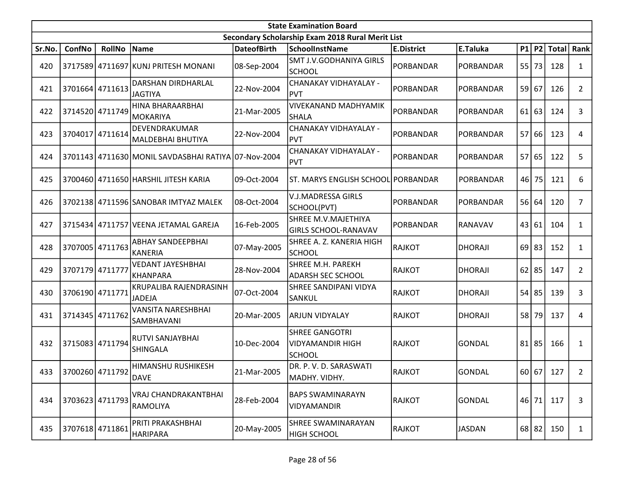|        | <b>State Examination Board</b> |                 |                                                     |                    |                                                                   |                   |                |  |           |              |                |  |  |
|--------|--------------------------------|-----------------|-----------------------------------------------------|--------------------|-------------------------------------------------------------------|-------------------|----------------|--|-----------|--------------|----------------|--|--|
|        |                                |                 |                                                     |                    | Secondary Scholarship Exam 2018 Rural Merit List                  |                   |                |  |           |              |                |  |  |
| Sr.No. | ConfNo                         | <b>RollNo</b>   | Name                                                | <b>DateofBirth</b> | <b>SchoolInstName</b>                                             | <b>E.District</b> | E.Taluka       |  | P1 P2     | <b>Total</b> | Rank           |  |  |
| 420    |                                |                 | 3717589 4711697 KUNJ PRITESH MONANI                 | 08-Sep-2004        | <b>SMT J.V.GODHANIYA GIRLS</b><br><b>SCHOOL</b>                   | PORBANDAR         | PORBANDAR      |  | 55 73     | 128          | $\mathbf{1}$   |  |  |
| 421    |                                | 3701664 4711613 | DARSHAN DIRDHARLAL<br><b>JAGTIYA</b>                | 22-Nov-2004        | CHANAKAY VIDHAYALAY -<br><b>PVT</b>                               | PORBANDAR         | PORBANDAR      |  | 59 67     | 126          | $\overline{2}$ |  |  |
| 422    | 3714520 4711749                |                 | HINA BHARAARBHAI<br>MOKARIYA                        | 21-Mar-2005        | <b>VIVEKANAND MADHYAMIK</b><br>SHALA                              | <b>PORBANDAR</b>  | PORBANDAR      |  | $61$ 63   | 124          | 3              |  |  |
| 423    | 3704017                        | 4711614         | DEVENDRAKUMAR<br>MALDEBHAI BHUTIYA                  | 22-Nov-2004        | CHANAKAY VIDHAYALAY -<br><b>PVT</b>                               | PORBANDAR         | PORBANDAR      |  | 57 66     | 123          | 4              |  |  |
| 424    |                                |                 | 3701143 4711630 MONIL SAVDASBHAI RATIYA 07-Nov-2004 |                    | CHANAKAY VIDHAYALAY -<br><b>PVT</b>                               | PORBANDAR         | PORBANDAR      |  | 57 65     | 122          | 5              |  |  |
| 425    |                                |                 | 3700460 4711650 HARSHIL JITESH KARIA                | 09-Oct-2004        | ST. MARYS ENGLISH SCHOOL PORBANDAR                                |                   | PORBANDAR      |  | 46 75     | 121          | 6              |  |  |
| 426    |                                |                 | 3702138 4711596 SANOBAR IMTYAZ MALEK                | 08-Oct-2004        | V.J.MADRESSA GIRLS<br>SCHOOL(PVT)                                 | PORBANDAR         | PORBANDAR      |  | 56 64     | 120          | $\overline{7}$ |  |  |
| 427    |                                |                 | 3715434 4711757 VEENA JETAMAL GAREJA                | 16-Feb-2005        | SHREE M.V.MAJETHIYA<br><b>GIRLS SCHOOL-RANAVAV</b>                | PORBANDAR         | <b>RANAVAV</b> |  | 43 61     | 104          | $\mathbf{1}$   |  |  |
| 428    |                                | 3707005 4711763 | <b>ABHAY SANDEEPBHAI</b><br>KANERIA                 | 07-May-2005        | SHREE A. Z. KANERIA HIGH<br><b>SCHOOL</b>                         | <b>RAJKOT</b>     | DHORAJI        |  | $69$   83 | 152          | $\mathbf{1}$   |  |  |
| 429    | 3707179 4711777                |                 | <b>VEDANT JAYESHBHAI</b><br><b>KHANPARA</b>         | 28-Nov-2004        | SHREE M.H. PAREKH<br><b>ADARSH SEC SCHOOL</b>                     | <b>RAJKOT</b>     | <b>DHORAJI</b> |  | $62$   85 | 147          | $\overline{2}$ |  |  |
| 430    | 3706190 4711771                |                 | KRUPALIBA RAJENDRASINH<br><b>JADEJA</b>             | 07-Oct-2004        | <b>SHREE SANDIPANI VIDYA</b><br>SANKUL                            | <b>RAJKOT</b>     | DHORAJI        |  | 54 85     | 139          | 3              |  |  |
| 431    |                                | 3714345 4711762 | VANSITA NARESHBHAI<br> SAMBHAVANI                   | 20-Mar-2005        | ARJUN VIDYALAY                                                    | <b>RAJKOT</b>     | <b>DHORAJI</b> |  | 58 79     | 137          | 4              |  |  |
| 432    |                                | 3715083 4711794 | RUTVI SANJAYBHAI<br><b>SHINGALA</b>                 | 10-Dec-2004        | <b>SHREE GANGOTRI</b><br><b>VIDYAMANDIR HIGH</b><br><b>SCHOOL</b> | <b>RAJKOT</b>     | GONDAL         |  | $81$   85 | 166          | 1              |  |  |
| 433    | 3700260 4711792 0000E          |                 | HIMANSHU RUSHIKESH                                  | 21-Mar-2005        | DR. P. V. D. SARASWATI<br>MADHY. VIDHY.                           | RAJKOT            | GONDAL         |  |           | 60 67 127    | $\overline{2}$ |  |  |
| 434    |                                | 3703623 4711793 | VRAJ CHANDRAKANTBHAI<br><b>RAMOLIYA</b>             | 28-Feb-2004        | <b>BAPS SWAMINARAYN</b><br><b>VIDYAMANDIR</b>                     | <b>RAJKOT</b>     | GONDAL         |  | 46 71     | 117          | 3              |  |  |
| 435    |                                | 3707618 4711861 | PRITI PRAKASHBHAI<br><b>HARIPARA</b>                | 20-May-2005        | SHREE SWAMINARAYAN<br><b>HIGH SCHOOL</b>                          | <b>RAJKOT</b>     | JASDAN         |  | 68 82     | 150          | $\mathbf{1}$   |  |  |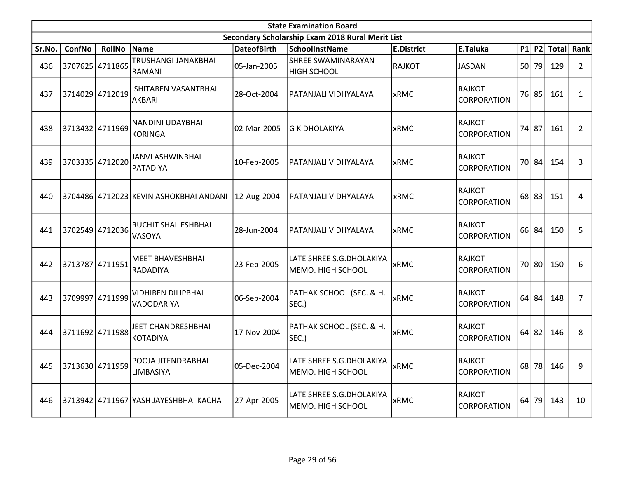|        | <b>State Examination Board</b> |                 |                                        |                    |                                                  |                   |                                     |    |           |              |                |  |  |
|--------|--------------------------------|-----------------|----------------------------------------|--------------------|--------------------------------------------------|-------------------|-------------------------------------|----|-----------|--------------|----------------|--|--|
|        |                                |                 |                                        |                    | Secondary Scholarship Exam 2018 Rural Merit List |                   |                                     |    |           |              |                |  |  |
| Sr.No. | <b>ConfNo</b>                  | <b>RollNo</b>   | <b>Name</b>                            | <b>DateofBirth</b> | SchoolInstName                                   | <b>E.District</b> | E.Taluka                            |    | P1 P2     | <b>Total</b> | Rank           |  |  |
| 436    |                                | 3707625 4711865 | TRUSHANGI JANAKBHAI<br>RAMANI          | 05-Jan-2005        | <b>SHREE SWAMINARAYAN</b><br><b>HIGH SCHOOL</b>  | <b>RAJKOT</b>     | <b>JASDAN</b>                       |    | 50 79     | 129          | $\overline{2}$ |  |  |
| 437    |                                | 3714029 4712019 | ISHITABEN VASANTBHAI<br>AKBARI         | 28-Oct-2004        | PATANJALI VIDHYALAYA                             | <b>xRMC</b>       | RAJKOT<br><b>CORPORATION</b>        |    | 76 85     | 161          | $\mathbf{1}$   |  |  |
| 438    |                                | 3713432 4711969 | NANDINI UDAYBHAI<br><b>KORINGA</b>     | 02-Mar-2005        | <b>G K DHOLAKIYA</b>                             | <b>xRMC</b>       | RAJKOT<br><b>CORPORATION</b>        |    | 74 87     | 161          | $\overline{2}$ |  |  |
| 439    |                                | 3703335 4712020 | <b>JANVI ASHWINBHAI</b><br>PATADIYA    | 10-Feb-2005        | PATANJALI VIDHYALAYA                             | <b>xRMC</b>       | <b>RAJKOT</b><br><b>CORPORATION</b> |    | 70 84     | 154          | 3              |  |  |
| 440    |                                |                 | 3704486 4712023 KEVIN ASHOKBHAI ANDANI | 12-Aug-2004        | PATANJALI VIDHYALAYA                             | <b>xRMC</b>       | RAJKOT<br><b>CORPORATION</b>        |    | $68$   83 | 151          | 4              |  |  |
| 441    |                                | 3702549 4712036 | RUCHIT SHAILESHBHAI<br>VASOYA          | 28-Jun-2004        | PATANJALI VIDHYALAYA                             | <b>xRMC</b>       | <b>RAJKOT</b><br><b>CORPORATION</b> |    | 66 84     | 150          | 5              |  |  |
| 442    |                                | 3713787 4711951 | <b>MEET BHAVESHBHAI</b><br>RADADIYA    | 23-Feb-2005        | LATE SHREE S.G.DHOLAKIYA<br>MEMO. HIGH SCHOOL    | <b>xRMC</b>       | <b>RAJKOT</b><br><b>CORPORATION</b> |    | 70 80     | 150          | 6              |  |  |
| 443    |                                | 3709997 4711999 | VIDHIBEN DILIPBHAI<br>VADODARIYA       | 06-Sep-2004        | PATHAK SCHOOL (SEC. & H.<br>SEC.)                | <b>xRMC</b>       | RAJKOT<br><b>CORPORATION</b>        | 64 | 84        | 148          | $\overline{7}$ |  |  |
| 444    |                                | 3711692 4711988 | JEET CHANDRESHBHAI<br><b>KOTADIYA</b>  | 17-Nov-2004        | PATHAK SCHOOL (SEC. & H.<br>SEC.)                | <b>xRMC</b>       | <b>RAJKOT</b><br><b>CORPORATION</b> | 64 | 82        | 146          | 8              |  |  |
| 445    |                                | 3713630 4711959 | POOJA JITENDRABHAI<br>LIMBASIYA        | 05-Dec-2004        | LATE SHREE S.G.DHOLAKIYA<br>MEMO. HIGH SCHOOL    | <b>xRMC</b>       | <b>RAJKOT</b><br><b>CORPORATION</b> |    | 68 78     | 146          | 9              |  |  |
| 446    |                                |                 | 3713942 4711967 YASH JAYESHBHAI KACHA  | 27-Apr-2005        | LATE SHREE S.G.DHOLAKIYA<br>MEMO. HIGH SCHOOL    | <b>xRMC</b>       | RAJKOT<br><b>CORPORATION</b>        | 64 | 79        | 143          | 10             |  |  |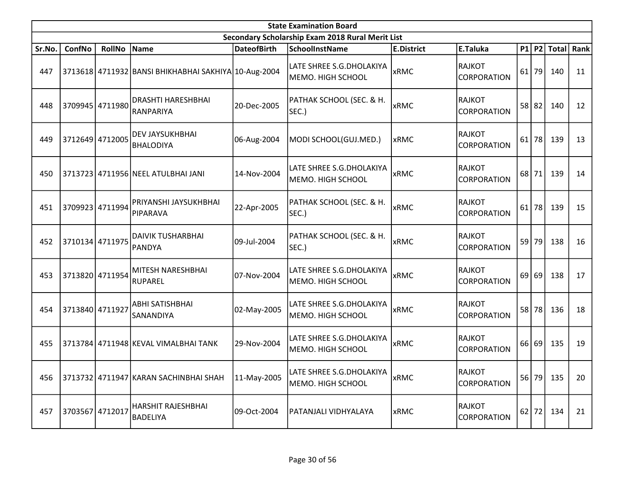|        | <b>State Examination Board</b><br>Secondary Scholarship Exam 2018 Rural Merit List |                 |                                                      |                    |                                                |                   |                                     |    |         |              |      |  |  |
|--------|------------------------------------------------------------------------------------|-----------------|------------------------------------------------------|--------------------|------------------------------------------------|-------------------|-------------------------------------|----|---------|--------------|------|--|--|
|        |                                                                                    |                 |                                                      |                    |                                                |                   |                                     |    |         |              |      |  |  |
| Sr.No. | ConfNo                                                                             | <b>RollNo</b>   | Name                                                 | <b>DateofBirth</b> | <b>SchoolInstName</b>                          | <b>E.District</b> | E.Taluka                            |    | $P1$ P2 | <b>Total</b> | Rank |  |  |
| 447    |                                                                                    |                 | 3713618 4711932 BANSI BHIKHABHAI SAKHIYA 10-Aug-2004 |                    | LATE SHREE S.G.DHOLAKIYA<br> MEMO. HIGH SCHOOL | <b>xRMC</b>       | RAJKOT<br><b>CORPORATION</b>        |    | $61$ 79 | 140          | 11   |  |  |
| 448    |                                                                                    | 3709945 4711980 | DRASHTI HARESHBHAI<br>RANPARIYA                      | 20-Dec-2005        | PATHAK SCHOOL (SEC. & H.<br>SEC.)              | <b>xRMC</b>       | RAJKOT<br><b>CORPORATION</b>        |    | 58 82   | 140          | 12   |  |  |
| 449    |                                                                                    | 3712649 4712005 | <b>DEV JAYSUKHBHAI</b><br><b>BHALODIYA</b>           | 06-Aug-2004        | MODI SCHOOL(GUJ.MED.)                          | <b>xRMC</b>       | RAJKOT<br><b>CORPORATION</b>        |    | $61$ 78 | 139          | 13   |  |  |
| 450    |                                                                                    |                 | 3713723 4711956 NEEL ATULBHAI JANI                   | 14-Nov-2004        | LATE SHREE S.G.DHOLAKIYA<br>MEMO. HIGH SCHOOL  | lxRMC             | RAJKOT<br><b>CORPORATION</b>        | 68 | 71      | 139          | 14   |  |  |
| 451    |                                                                                    | 3709923 4711994 | PRIYANSHI JAYSUKHBHAI<br>PIPARAVA                    | 22-Apr-2005        | PATHAK SCHOOL (SEC. & H.<br>SEC.)              | <b>xRMC</b>       | RAJKOT<br><b>CORPORATION</b>        |    | $61$ 78 | 139          | 15   |  |  |
| 452    |                                                                                    | 3710134 4711975 | <b>DAIVIK TUSHARBHAI</b><br><b>PANDYA</b>            | 09-Jul-2004        | PATHAK SCHOOL (SEC. & H.<br>SEC.)              | <b>xRMC</b>       | RAJKOT<br><b>CORPORATION</b>        |    | 59 79   | 138          | 16   |  |  |
| 453    |                                                                                    | 3713820 4711954 | MITESH NARESHBHAI<br><b>RUPAREL</b>                  | 07-Nov-2004        | LATE SHREE S.G.DHOLAKIYA<br>MEMO. HIGH SCHOOL  | <b>xRMC</b>       | <b>RAJKOT</b><br><b>CORPORATION</b> | 69 | 69      | 138          | 17   |  |  |
| 454    | 3713840 4711927                                                                    |                 | <b>ABHI SATISHBHAI</b><br>SANANDIYA                  | 02-May-2005        | LATE SHREE S.G.DHOLAKIYA<br> MEMO. HIGH SCHOOL | <b>xRMC</b>       | RAJKOT<br><b>CORPORATION</b>        |    | 58 78   | 136          | 18   |  |  |
| 455    |                                                                                    |                 | 3713784 4711948 KEVAL VIMALBHAI TANK                 | 29-Nov-2004        | LATE SHREE S.G.DHOLAKIYA<br> MEMO. HIGH SCHOOL | <b>xRMC</b>       | RAJKOT<br><b>CORPORATION</b>        |    | 66 69   | 135          | 19   |  |  |
| 456    |                                                                                    |                 | 3713732 4711947 KARAN SACHINBHAI SHAH                | 11-May-2005        | LATE SHREE S.G.DHOLAKIYA<br>MEMO. HIGH SCHOOL  | <b>xRMC</b>       | RAJKOT<br><b>CORPORATION</b>        |    | 56 79   | 135          | 20   |  |  |
| 457    | 3703567 4712017                                                                    |                 | HARSHIT RAJESHBHAI<br><b>BADELIYA</b>                | 09-Oct-2004        | PATANJALI VIDHYALAYA                           | <b>xRMC</b>       | RAJKOT<br><b>CORPORATION</b>        |    | $62$ 72 | 134          | 21   |  |  |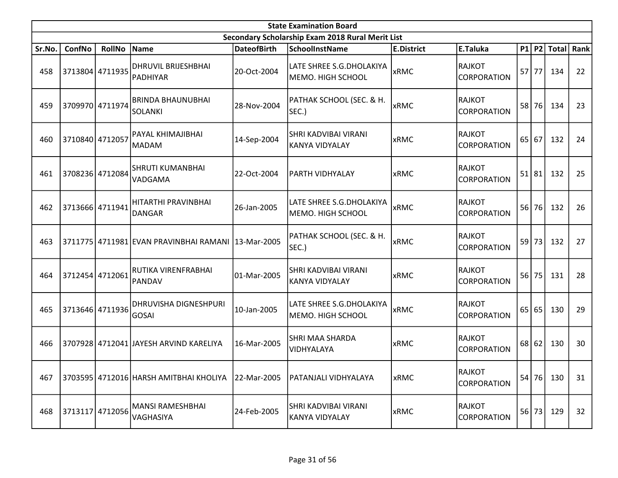|        | <b>State Examination Board</b> |                 |                                                    |                    |                                                  |                   |                                     |    |         |              |      |  |  |
|--------|--------------------------------|-----------------|----------------------------------------------------|--------------------|--------------------------------------------------|-------------------|-------------------------------------|----|---------|--------------|------|--|--|
|        |                                |                 |                                                    |                    | Secondary Scholarship Exam 2018 Rural Merit List |                   |                                     |    |         |              |      |  |  |
| Sr.No. | ConfNo                         | <b>RollNo</b>   | Name                                               | <b>DateofBirth</b> | <b>SchoolInstName</b>                            | <b>E.District</b> | E.Taluka                            |    | $P1$ P2 | <b>Total</b> | Rank |  |  |
| 458    |                                | 3713804 4711935 | <b>DHRUVIL BRIJESHBHAI</b><br>PADHIYAR             | 20-Oct-2004        | LATE SHREE S.G.DHOLAKIYA<br> MEMO. HIGH SCHOOL   | <b>xRMC</b>       | <b>RAJKOT</b><br><b>CORPORATION</b> |    | $57$ 77 | 134          | 22   |  |  |
| 459    |                                | 3709970 4711974 | <b>BRINDA BHAUNUBHAI</b><br><b>SOLANKI</b>         | 28-Nov-2004        | PATHAK SCHOOL (SEC. & H.<br>SEC.)                | <b>xRMC</b>       | RAJKOT<br><b>CORPORATION</b>        |    | 58 76   | 134          | 23   |  |  |
| 460    | 3710840 4712057                |                 | PAYAL KHIMAJIBHAI<br>MADAM                         | 14-Sep-2004        | SHRI KADVIBAI VIRANI<br>KANYA VIDYALAY           | xRMC              | RAJKOT<br><b>CORPORATION</b>        |    | 65 67   | 132          | 24   |  |  |
| 461    |                                | 3708236 4712084 | <b>SHRUTI KUMANBHAI</b><br>VADGAMA                 | 22-Oct-2004        | <b>PARTH VIDHYALAY</b>                           | xRMC              | RAJKOT<br><b>CORPORATION</b>        | 51 | 81      | 132          | 25   |  |  |
| 462    |                                | 3713666 4711941 | HITARTHI PRAVINBHAI<br><b>DANGAR</b>               | 26-Jan-2005        | LATE SHREE S.G.DHOLAKIYA<br> MEMO. HIGH SCHOOL   | <b>xRMC</b>       | RAJKOT<br><b>CORPORATION</b>        |    | 56 76   | 132          | 26   |  |  |
| 463    |                                |                 | 3711775 4711981 EVAN PRAVINBHAI RAMANI 13-Mar-2005 |                    | PATHAK SCHOOL (SEC. & H.<br>SEC.)                | <b>xRMC</b>       | RAJKOT<br><b>CORPORATION</b>        |    | 59 73   | 132          | 27   |  |  |
| 464    |                                | 3712454 4712061 | RUTIKA VIRENFRABHAI<br>PANDAV                      | 01-Mar-2005        | <b>SHRI KADVIBAI VIRANI</b><br>KANYA VIDYALAY    | xRMC              | <b>RAJKOT</b><br><b>CORPORATION</b> |    | $56$ 75 | 131          | 28   |  |  |
| 465    |                                | 3713646 4711936 | <b>DHRUVISHA DIGNESHPURI</b><br>GOSAI              | 10-Jan-2005        | LATE SHREE S.G.DHOLAKIYA<br>MEMO. HIGH SCHOOL    | <b>xRMC</b>       | RAJKOT<br><b>CORPORATION</b>        | 65 | 65      | 130          | 29   |  |  |
| 466    |                                |                 | 3707928 4712041 JJAYESH ARVIND KARELIYA            | 16-Mar-2005        | <b>SHRI MAA SHARDA</b><br><b>VIDHYALAYA</b>      | xRMC              | RAJKOT<br><b>CORPORATION</b>        |    | $68$ 62 | 130          | 30   |  |  |
| 467    |                                |                 | 3703595 4712016 HARSH AMITBHAI KHOLIYA 22-Mar-2005 |                    | PATANJALI VIDHYALAYA                             | <b>xRMC</b>       | RAJKOT<br><b>CORPORATION</b>        |    | 54 76   | 130          | 31   |  |  |
| 468    |                                | 3713117 4712056 | <b>MANSI RAMESHBHAI</b><br>VAGHASIYA               | 24-Feb-2005        | <b>SHRI KADVIBAI VIRANI</b><br>KANYA VIDYALAY    | <b>xRMC</b>       | RAJKOT<br><b>CORPORATION</b>        |    | 56 73   | 129          | 32   |  |  |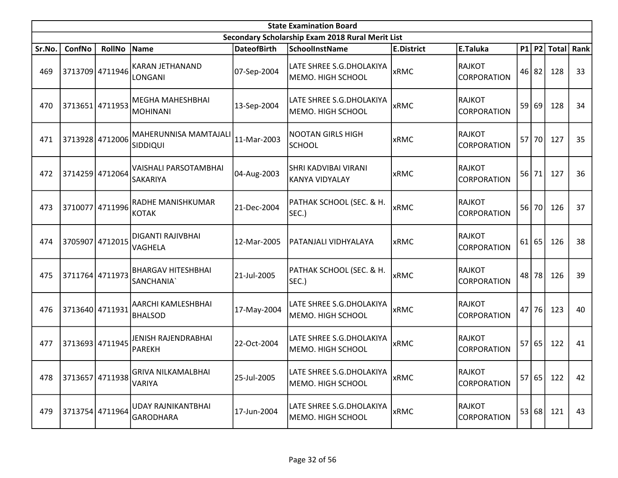|        | <b>State Examination Board</b> |                 |                                                 |                    |                                                  |                   |                                     |    |         |              |      |  |
|--------|--------------------------------|-----------------|-------------------------------------------------|--------------------|--------------------------------------------------|-------------------|-------------------------------------|----|---------|--------------|------|--|
|        |                                |                 |                                                 |                    | Secondary Scholarship Exam 2018 Rural Merit List |                   |                                     |    |         |              |      |  |
| Sr.No. | ConfNo                         | <b>RollNo</b>   | Name                                            | <b>DateofBirth</b> | <b>SchoolInstName</b>                            | <b>E.District</b> | E.Taluka                            |    | $P1$ P2 | <b>Total</b> | Rank |  |
| 469    |                                | 3713709 4711946 | <b>KARAN JETHANAND</b><br>LONGANI               | 07-Sep-2004        | LATE SHREE S.G.DHOLAKIYA<br>MEMO. HIGH SCHOOL    | <b>xRMC</b>       | <b>RAJKOT</b><br><b>CORPORATION</b> |    | 46 82   | 128          | 33   |  |
| 470    |                                | 3713651 4711953 | lMEGHA MAHESHBHAI<br><b>MOHINANI</b>            | 13-Sep-2004        | LATE SHREE S.G.DHOLAKIYA<br>MEMO. HIGH SCHOOL    | <b>xRMC</b>       | <b>RAJKOT</b><br>CORPORATION        |    | 59 69   | 128          | 34   |  |
| 471    | 3713928 4712006                |                 | MAHERUNNISA MAMTAJALI<br><b>SIDDIQUI</b>        | 11-Mar-2003        | <b>NOOTAN GIRLS HIGH</b><br><b>SCHOOL</b>        | xRMC              | RAJKOT<br>CORPORATION               |    | 57 70   | 127          | 35   |  |
| 472    |                                | 3714259 4712064 | <b>VAISHALI PARSOTAMBHAI</b><br><b>SAKARIYA</b> | 04-Aug-2003        | ISHRI KADVIBAI VIRANI<br>KANYA VIDYALAY          | <b>xRMC</b>       | RAJKOT<br><b>CORPORATION</b>        | 56 | 71      | 127          | 36   |  |
| 473    |                                | 3710077 4711996 | RADHE MANISHKUMAR<br>KOTAK                      | 21-Dec-2004        | PATHAK SCHOOL (SEC. & H.<br>SEC.)                | <b>xRMC</b>       | RAJKOT<br>CORPORATION               |    | 56 70   | 126          | 37   |  |
| 474    | 3705907 4712015                |                 | DIGANTI RAJIVBHAI<br>VAGHELA                    | 12-Mar-2005        | PATANJALI VIDHYALAYA                             | <b>xRMC</b>       | RAJKOT<br>CORPORATION               | 61 | 65      | 126          | 38   |  |
| 475    | 3711764 4711973                |                 | <b>BHARGAV HITESHBHAI</b><br> SANCHANIA`        | 21-Jul-2005        | PATHAK SCHOOL (SEC. & H.<br>SEC.)                | <b>xRMC</b>       | RAJKOT<br>CORPORATION               |    | 48 78   | 126          | 39   |  |
| 476    |                                | 3713640 4711931 | AARCHI KAMLESHBHAI<br><b>BHALSOD</b>            | 17-May-2004        | LATE SHREE S.G.DHOLAKIYA<br>MEMO. HIGH SCHOOL    | <b>xRMC</b>       | RAJKOT<br>CORPORATION               | 47 | 76      | 123          | 40   |  |
| 477    | 3713693 4711945                |                 | JENISH RAJENDRABHAI<br>PAREKH                   | 22-Oct-2004        | LATE SHREE S.G.DHOLAKIYA<br>MEMO. HIGH SCHOOL    | <b>xRMC</b>       | RAJKOT<br><b>CORPORATION</b>        |    | 57 65   | 122          | 41   |  |
| 478    | 3713657 4711938                |                 | <b>GRIVA NILKAMALBHAI</b><br>VARIYA             | 25-Jul-2005        | LATE SHREE S.G.DHOLAKIYA<br>MEMO. HIGH SCHOOL    | <b>xRMC</b>       | RAJKOT<br>CORPORATION               |    | 57 65   | 122          | 42   |  |
| 479    | 3713754 4711964                |                 | UDAY RAJNIKANTBHAI<br> GARODHARA                | 17-Jun-2004        | LATE SHREE S.G.DHOLAKIYA<br>MEMO. HIGH SCHOOL    | xRMC              | RAJKOT<br>CORPORATION               |    | 53 68   | 121          | 43   |  |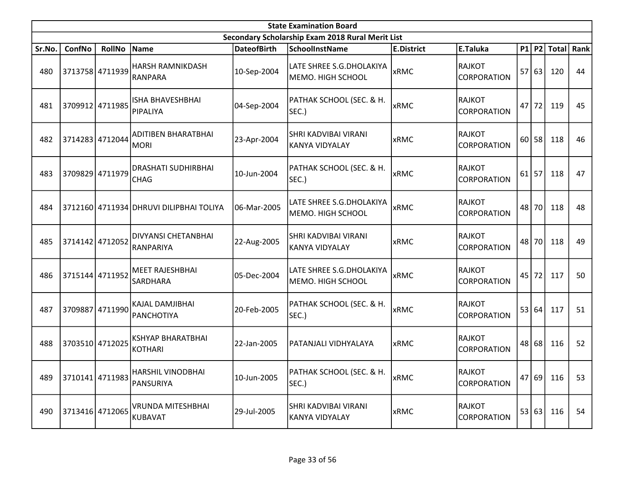|        | <b>State Examination Board</b> |                 |                                            |                    |                                                      |                   |                                     |    |           |              |      |  |
|--------|--------------------------------|-----------------|--------------------------------------------|--------------------|------------------------------------------------------|-------------------|-------------------------------------|----|-----------|--------------|------|--|
|        |                                |                 |                                            |                    | Secondary Scholarship Exam 2018 Rural Merit List     |                   |                                     |    |           |              |      |  |
| Sr.No. | ConfNo                         | <b>RollNo</b>   | Name                                       | <b>DateofBirth</b> | <b>SchoolInstName</b>                                | <b>E.District</b> | E.Taluka                            |    | $P1$ P2   | <b>Total</b> | Rank |  |
| 480    |                                | 3713758 4711939 | <b>HARSH RAMNIKDASH</b><br><b>RANPARA</b>  | 10-Sep-2004        | LATE SHREE S.G.DHOLAKIYA<br> MEMO. HIGH SCHOOL       | <b>xRMC</b>       | <b>RAJKOT</b><br><b>CORPORATION</b> |    | 57 63     | 120          | 44   |  |
| 481    |                                | 3709912 4711985 | <b>ISHA BHAVESHBHAI</b><br>PIPALIYA        | 04-Sep-2004        | PATHAK SCHOOL (SEC. & H.<br>SEC.)                    | <b>xRMC</b>       | RAJKOT<br><b>CORPORATION</b>        | 47 | 72        | 119          | 45   |  |
| 482    |                                | 3714283 4712044 | ADITIBEN BHARATBHAI<br><b>MORI</b>         | 23-Apr-2004        | SHRI KADVIBAI VIRANI<br>KANYA VIDYALAY               | <b>xRMC</b>       | RAJKOT<br><b>CORPORATION</b>        |    | $60$   58 | 118          | 46   |  |
| 483    |                                | 3709829 4711979 | <b>DRASHATI SUDHIRBHAI</b><br><b>CHAG</b>  | 10-Jun-2004        | PATHAK SCHOOL (SEC. & H.<br>SEC.)                    | <b>xRMC</b>       | <b>RAJKOT</b><br><b>CORPORATION</b> | 61 | 57        | 118          | 47   |  |
| 484    |                                |                 | 3712160 4711934 DHRUVI DILIPBHAI TOLIYA    | 06-Mar-2005        | LATE SHREE S.G.DHOLAKIYA<br> MEMO. HIGH SCHOOL       | <b>xRMC</b>       | RAJKOT<br><b>CORPORATION</b>        |    | 48 70     | 118          | 48   |  |
| 485    |                                | 3714142 4712052 | <b>DIVYANSI CHETANBHAI</b><br>RANPARIYA    | 22-Aug-2005        | <b>SHRI KADVIBAI VIRANI</b><br><b>KANYA VIDYALAY</b> | <b>xRMC</b>       | RAJKOT<br><b>CORPORATION</b>        |    | 48 70     | 118          | 49   |  |
| 486    |                                | 3715144 4711952 | <b>MEET RAJESHBHAI</b><br><b>SARDHARA</b>  | 05-Dec-2004        | LATE SHREE S.G.DHOLAKIYA<br>MEMO. HIGH SCHOOL        | <b>xRMC</b>       | <b>RAJKOT</b><br><b>CORPORATION</b> |    | 45 72     | 117          | 50   |  |
| 487    | 3709887                        | 4711990         | KAJAL DAMJIBHAI<br>PANCHOTIYA              | 20-Feb-2005        | PATHAK SCHOOL (SEC. & H.<br>SEC.)                    | <b>xRMC</b>       | RAJKOT<br><b>CORPORATION</b>        | 53 | 64        | 117          | 51   |  |
| 488    |                                | 3703510 4712025 | <b>KSHYAP BHARATBHAI</b><br><b>KOTHARI</b> | 22-Jan-2005        | PATANJALI VIDHYALAYA                                 | xRMC              | RAJKOT<br><b>CORPORATION</b>        |    | 48 68     | 116          | 52   |  |
| 489    |                                | 3710141 4711983 | <b>HARSHIL VINODBHAI</b><br>PANSURIYA      | 10-Jun-2005        | PATHAK SCHOOL (SEC. & H.<br>SEC.)                    | <b>xRMC</b>       | <b>RAJKOT</b><br><b>CORPORATION</b> |    | 47 69     | 116          | 53   |  |
| 490    |                                | 3713416 4712065 | <b>VRUNDA MITESHBHAI</b><br><b>KUBAVAT</b> | 29-Jul-2005        | SHRI KADVIBAI VIRANI<br><b>KANYA VIDYALAY</b>        | <b>xRMC</b>       | RAJKOT<br><b>CORPORATION</b>        |    | 53 63     | 116          | 54   |  |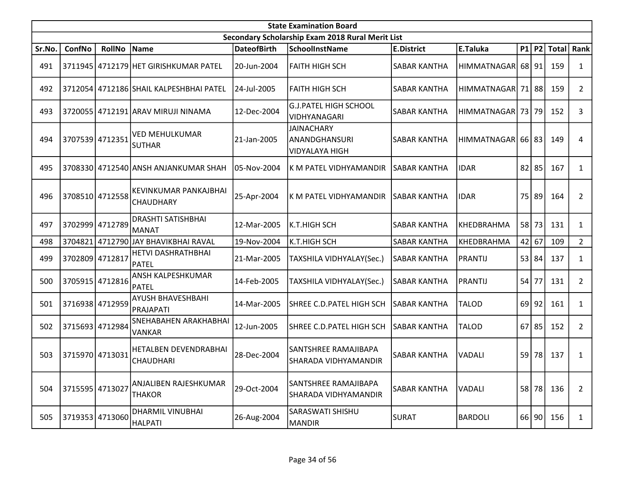|        | <b>State Examination Board</b> |                 |                                           |                    |                                                             |                     |                       |    |           |                 |                |  |  |
|--------|--------------------------------|-----------------|-------------------------------------------|--------------------|-------------------------------------------------------------|---------------------|-----------------------|----|-----------|-----------------|----------------|--|--|
|        |                                |                 |                                           |                    | Secondary Scholarship Exam 2018 Rural Merit List            |                     |                       |    |           |                 |                |  |  |
| Sr.No. | ConfNo                         | <b>RollNo</b>   | Name                                      | <b>DateofBirth</b> | SchoolInstName                                              | <b>E.District</b>   | E.Taluka              |    |           | $ P1 P2 $ Total | Rank           |  |  |
| 491    |                                |                 | 3711945 4712179 HET GIRISHKUMAR PATEL     | 20-Jun-2004        | <b>FAITH HIGH SCH</b>                                       | <b>SABAR KANTHA</b> | HIMMATNAGAR 68 91     |    |           | 159             | $\mathbf{1}$   |  |  |
| 492    |                                |                 | 3712054 4712186 SHAIL KALPESHBHAI PATEL   | 24-Jul-2005        | <b>FAITH HIGH SCH</b>                                       | <b>SABAR KANTHA</b> | HIMMATNAGAR 71 88     |    |           | 159             | $\overline{2}$ |  |  |
| 493    |                                |                 | 3720055 4712191 ARAV MIRUJI NINAMA        | 12-Dec-2004        | <b>G.J.PATEL HIGH SCHOOL</b><br>VIDHYANAGARI                | <b>SABAR KANTHA</b> | HIMMATNAGAR 73 79     |    |           | 152             | 3              |  |  |
| 494    |                                | 3707539 4712351 | <b>VED MEHULKUMAR</b><br><b>SUTHAR</b>    | 21-Jan-2005        | <b>JAINACHARY</b><br>ANANDGHANSURI<br><b>VIDYALAYA HIGH</b> | <b>SABAR KANTHA</b> | HIMMATNAGAR   66   83 |    |           | 149             | 4              |  |  |
| 495    |                                |                 | 3708330 4712540 ANSH ANJANKUMAR SHAH      | 05-Nov-2004        | K M PATEL VIDHYAMANDIR                                      | SABAR KANTHA        | <b>IDAR</b>           |    | 82 85     | 167             | $\mathbf{1}$   |  |  |
| 496    |                                | 3708510 4712558 | KEVINKUMAR PANKAJBHAI<br><b>CHAUDHARY</b> | 25-Apr-2004        | K M PATEL VIDHYAMANDIR                                      | <b>SABAR KANTHA</b> | <b>IDAR</b>           | 75 | 89        | 164             | $\overline{2}$ |  |  |
| 497    |                                | 3702999 4712789 | <b>DRASHTI SATISHBHAI</b><br><b>MANAT</b> | 12-Mar-2005        | <b>K.T.HIGH SCH</b>                                         | <b>SABAR KANTHA</b> | KHEDBRAHMA            |    | 58 73     | 131             | $\mathbf{1}$   |  |  |
| 498    | 3704821                        |                 | 4712790 JAY BHAVIKBHAI RAVAL              | 19-Nov-2004        | K.T.HIGH SCH                                                | <b>SABAR KANTHA</b> | KHEDBRAHMA            |    | 42 67     | 109             | $\overline{2}$ |  |  |
| 499    | 3702809 4712817                |                 | HETVI DASHRATHBHAI<br>PATEL               | 21-Mar-2005        | TAXSHILA VIDHYALAY(Sec.)                                    | <b>SABAR KANTHA</b> | PRANTIJ               |    | 53 84     | 137             | $\mathbf{1}$   |  |  |
| 500    |                                | 3705915 4712816 | ANSH KALPESHKUMAR<br>PATEL                | 14-Feb-2005        | TAXSHILA VIDHYALAY(Sec.)                                    | <b>SABAR KANTHA</b> | PRANTIJ               | 54 | 77        | 131             | $\overline{2}$ |  |  |
| 501    |                                | 3716938 4712959 | AYUSH BHAVESHBAHI<br>PRAJAPATI            | 14-Mar-2005        | SHREE C.D.PATEL HIGH SCH                                    | <b>SABAR KANTHA</b> | <b>TALOD</b>          |    | $69$   92 | 161             | $\mathbf{1}$   |  |  |
| 502    |                                | 3715693 4712984 | SNEHABAHEN ARAKHABHAI<br>VANKAR           | 12-Jun-2005        | SHREE C.D.PATEL HIGH SCH                                    | <b>SABAR KANTHA</b> | <b>TALOD</b>          | 67 | 85        | 152             | $\overline{2}$ |  |  |
| 503    |                                | 3715970 4713031 | HETALBEN DEVENDRABHAI<br><b>CHAUDHARI</b> | 28-Dec-2004        | SANTSHREE RAMAJIBAPA<br>SHARADA VIDHYAMANDIR                | <b>SABAR KANTHA</b> | <b>VADALI</b>         | 59 | 78        | 137             | $\mathbf{1}$   |  |  |
| 504    | 3715595 4713027                |                 | ANJALIBEN RAJESHKUMAR<br><b>THAKOR</b>    | 29-Oct-2004        | SANTSHREE RAMAJIBAPA<br>SHARADA VIDHYAMANDIR                | SABAR KANTHA        | <b>VADALI</b>         | 58 | 78        | 136             | $\overline{2}$ |  |  |
| 505    |                                | 3719353 4713060 | DHARMIL VINUBHAI<br>HALPATI               | 26-Aug-2004        | SARASWATI SHISHU<br><b>MANDIR</b>                           | <b>SURAT</b>        | <b>BARDOLI</b>        |    | 66 90     | 156             | $\mathbf{1}$   |  |  |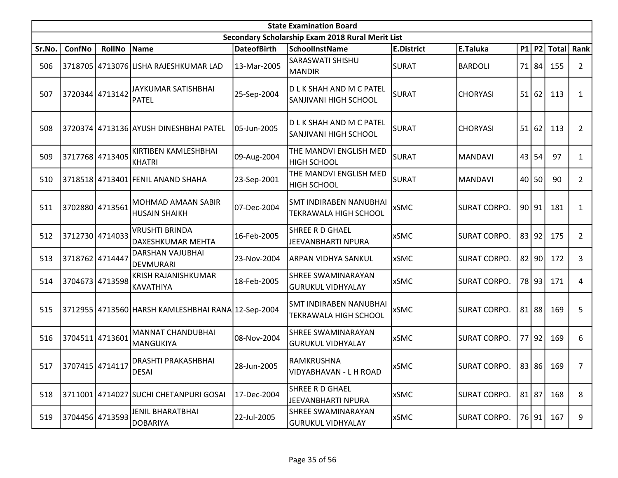|        | <b>State Examination Board</b><br>Secondary Scholarship Exam 2018 Rural Merit List |                 |                                                    |                    |                                                        |                   |                     |    |           |              |                |  |  |
|--------|------------------------------------------------------------------------------------|-----------------|----------------------------------------------------|--------------------|--------------------------------------------------------|-------------------|---------------------|----|-----------|--------------|----------------|--|--|
|        |                                                                                    |                 |                                                    |                    |                                                        |                   |                     |    |           |              |                |  |  |
| Sr.No. | <b>ConfNo</b>                                                                      | <b>RollNo</b>   | Name                                               | <b>DateofBirth</b> | <b>SchoolInstName</b>                                  | <b>E.District</b> | E.Taluka            |    | $P1$ P2   | <b>Total</b> | Rank           |  |  |
| 506    |                                                                                    |                 | 3718705 4713076 LISHA RAJESHKUMAR LAD              | 13-Mar-2005        | SARASWATI SHISHU<br>MANDIR                             | SURAT             | <b>BARDOLI</b>      |    | 71 84     | 155          | $\overline{2}$ |  |  |
| 507    |                                                                                    | 3720344 4713142 | JAYKUMAR SATISHBHAI<br><b>PATEL</b>                | 25-Sep-2004        | D L K SHAH AND M C PATEL<br>SANJIVANI HIGH SCHOOL      | <b>SURAT</b>      | <b>CHORYASI</b>     | 51 | 62        | 113          | 1              |  |  |
| 508    |                                                                                    |                 | 3720374 4713136 AYUSH DINESHBHAI PATEL             | 105-Jun-2005       | D L K SHAH AND M C PATEL<br>SANJIVANI HIGH SCHOOL      | <b>SURAT</b>      | <b>CHORYASI</b>     |    | 51 62     | 113          | $\overline{2}$ |  |  |
| 509    |                                                                                    | 3717768 4713405 | KIRTIBEN KAMLESHBHAI<br><b>KHATRI</b>              | 09-Aug-2004        | THE MANDVI ENGLISH MED<br><b>HIGH SCHOOL</b>           | SURAT             | MANDAVI             |    | 43 54     | 97           | 1              |  |  |
| 510    |                                                                                    |                 | 3718518 4713401 FENIL ANAND SHAHA                  | 23-Sep-2001        | THE MANDVI ENGLISH MED<br><b>HIGH SCHOOL</b>           | <b>SURAT</b>      | MANDAVI             |    | 40 50     | 90           | $\overline{2}$ |  |  |
| 511    | 3702880 4713561                                                                    |                 | MOHMAD AMAAN SABIR<br><b>HUSAIN SHAIKH</b>         | 07-Dec-2004        | SMT INDIRABEN NANUBHAI<br><b>TEKRAWALA HIGH SCHOOL</b> | <b>xSMC</b>       | <b>SURAT CORPO.</b> |    | 90 91     | 181          | $\mathbf{1}$   |  |  |
| 512    |                                                                                    | 3712730 4714033 | <b>VRUSHTI BRINDA</b><br>DAXESHKUMAR MEHTA         | 16-Feb-2005        | SHREE R D GHAEL<br>JEEVANBHARTI NPURA                  | <b>xSMC</b>       | <b>SURAT CORPO.</b> |    | 83 92     | 175          | $\overline{2}$ |  |  |
| 513    | 3718762 4714447                                                                    |                 | DARSHAN VAJUBHAI<br><b>DEVMURARI</b>               | 23-Nov-2004        | ARPAN VIDHYA SANKUL                                    | <b>xSMC</b>       | <b>SURAT CORPO.</b> |    | $82$  90  | 172          | 3              |  |  |
| 514    |                                                                                    | 3704673 4713598 | KRISH RAJANISHKUMAR<br>KAVATHIYA                   | 18-Feb-2005        | <b>SHREE SWAMINARAYAN</b><br>GURUKUL VIDHYALAY         | <b>xSMC</b>       | <b>SURAT CORPO.</b> |    | 78 93     | 171          | 4              |  |  |
| 515    |                                                                                    |                 | 3712955 4713560 HARSH KAMLESHBHAI RANA 12-Sep-2004 |                    | SMT INDIRABEN NANUBHAI<br><b>TEKRAWALA HIGH SCHOOL</b> | <b>xSMC</b>       | <b>SURAT CORPO.</b> |    | $81$   88 | 169          | 5              |  |  |
| 516    | 3704511 4713601                                                                    |                 | <b>MANNAT CHANDUBHAI</b><br>MANGUKIYA              | 08-Nov-2004        | SHREE SWAMINARAYAN<br><b>GURUKUL VIDHYALAY</b>         | <b>xSMC</b>       | <b>SURAT CORPO.</b> |    | 77 92     | 169          | 6              |  |  |
| 517    | 3707415 4714117                                                                    |                 | DRASHTI PRAKASHBHAI<br><b>DESAI</b>                | 28-Jun-2005        | RAMKRUSHNA<br>VIDYABHAVAN - L H ROAD                   | <b>xSMC</b>       | <b>SURAT CORPO.</b> |    |           | 83 86 169    | 7              |  |  |
| 518    |                                                                                    |                 | 3711001 4714027 SUCHI CHETANPURI GOSAI             | 17-Dec-2004        | <b>SHREE R D GHAEL</b><br>JEEVANBHARTI NPURA           | <b>xSMC</b>       | <b>SURAT CORPO.</b> |    | $81$   87 | 168          | 8              |  |  |
| 519    |                                                                                    | 3704456 4713593 | <b>JENIL BHARATBHAI</b><br><b>DOBARIYA</b>         | 22-Jul-2005        | SHREE SWAMINARAYAN<br><b>GURUKUL VIDHYALAY</b>         | <b>xSMC</b>       | <b>SURAT CORPO.</b> |    | 76 91     | 167          | 9              |  |  |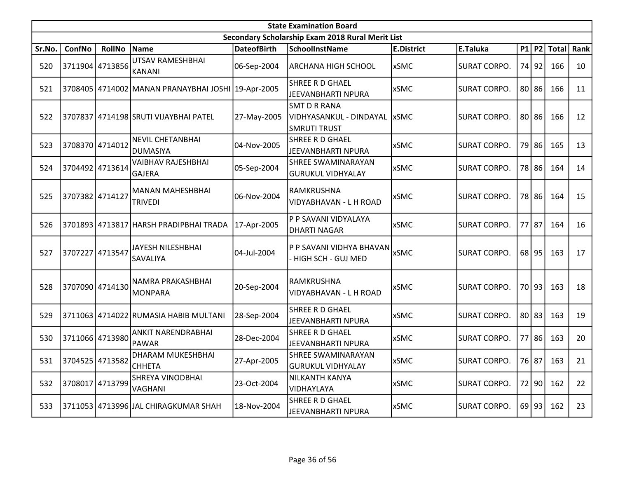|        | <b>State Examination Board</b><br>Secondary Scholarship Exam 2018 Rural Merit List |                 |                                                    |                    |                                                                |                   |                     |    |           |              |      |  |  |  |
|--------|------------------------------------------------------------------------------------|-----------------|----------------------------------------------------|--------------------|----------------------------------------------------------------|-------------------|---------------------|----|-----------|--------------|------|--|--|--|
|        |                                                                                    |                 |                                                    |                    |                                                                |                   |                     |    |           |              |      |  |  |  |
| Sr.No. | ConfNo                                                                             | <b>RollNo</b>   | Name                                               | <b>DateofBirth</b> | <b>SchoolInstName</b>                                          | <b>E.District</b> | E.Taluka            |    | $P1$ P2   | <b>Total</b> | Rank |  |  |  |
| 520    |                                                                                    | 3711904 4713856 | <b>UTSAV RAMESHBHAI</b><br><b>KANANI</b>           | 06-Sep-2004        | <b>ARCHANA HIGH SCHOOL</b>                                     | <b>xSMC</b>       | <b>SURAT CORPO.</b> |    | 74 92     | 166          | 10   |  |  |  |
| 521    |                                                                                    |                 | 3708405 4714002 MANAN PRANAYBHAI JOSHI 19-Apr-2005 |                    | SHREE R D GHAEL<br>JEEVANBHARTI NPURA                          | <b>xSMC</b>       | <b>SURAT CORPO.</b> |    | $80$   86 | 166          | 11   |  |  |  |
| 522    | 3707837                                                                            |                 | 4714198 SRUTI VIJAYBHAI PATEL                      | 27-May-2005        | SMT D R RANA<br>VIDHYASANKUL - DINDAYAL<br><b>SMRUTI TRUST</b> | xSMC              | <b>SURAT CORPO.</b> |    | 80 86     | 166          | 12   |  |  |  |
| 523    | 3708370 4714012                                                                    |                 | <b>NEVIL CHETANBHAI</b><br><b>DUMASIYA</b>         | 04-Nov-2005        | SHREE R D GHAEL<br>JEEVANBHARTI NPURA                          | <b>xSMC</b>       | <b>SURAT CORPO.</b> |    | 79 86     | 165          | 13   |  |  |  |
| 524    |                                                                                    | 3704492 4713614 | <b>VAIBHAV RAJESHBHAI</b><br><b>GAJERA</b>         | 05-Sep-2004        | <b>SHREE SWAMINARAYAN</b><br><b>GURUKUL VIDHYALAY</b>          | <b>xSMC</b>       | <b>SURAT CORPO.</b> |    | 78 86     | 164          | 14   |  |  |  |
| 525    | 3707382 4714127                                                                    |                 | <b>MANAN MAHESHBHAI</b><br><b>TRIVEDI</b>          | 06-Nov-2004        | RAMKRUSHNA<br>VIDYABHAVAN - L H ROAD                           | <b>xSMC</b>       | <b>SURAT CORPO.</b> |    | 78 86     | 164          | 15   |  |  |  |
| 526    |                                                                                    |                 | 3701893 4713817 HARSH PRADIPBHAI TRADA             | 17-Apr-2005        | P P SAVANI VIDYALAYA<br><b>DHARTI NAGAR</b>                    | <b>xSMC</b>       | <b>SURAT CORPO.</b> |    | 77 87     | 164          | 16   |  |  |  |
| 527    | 3707227                                                                            | 4713547         | JAYESH NILESHBHAI<br>SAVALIYA                      | 04-Jul-2004        | P P SAVANI VIDHYA BHAVAN<br>- HIGH SCH - GUJ MED               | <b>xSMC</b>       | <b>SURAT CORPO.</b> |    | 68 95     | 163          | 17   |  |  |  |
| 528    |                                                                                    | 3707090 4714130 | NAMRA PRAKASHBHAI<br><b>MONPARA</b>                | 20-Sep-2004        | RAMKRUSHNA<br>VIDYABHAVAN - L H ROAD                           | <b>xSMC</b>       | <b>SURAT CORPO.</b> |    | 70 93     | 163          | 18   |  |  |  |
| 529    |                                                                                    |                 | 3711063 4714022 RUMASIA HABIB MULTANI              | 28-Sep-2004        | SHREE R D GHAEL<br>JEEVANBHARTI NPURA                          | <b>xSMC</b>       | <b>SURAT CORPO.</b> |    | 80 83     | 163          | 19   |  |  |  |
| 530    |                                                                                    | 3711066 4713980 | ANKIT NARENDRABHAI<br><b>PAWAR</b>                 | 28-Dec-2004        | SHREE R D GHAEL<br>JEEVANBHARTI NPURA                          | <b>xSMC</b>       | <b>SURAT CORPO.</b> |    | 77 86     | 163          | 20   |  |  |  |
| 531    |                                                                                    | 3704525 4713582 | DHARAM MUKESHBHAI<br><b>CHHETA</b>                 | 27-Apr-2005        | <b>SHREE SWAMINARAYAN</b><br><b>GURUKUL VIDHYALAY</b>          | <b>xSMC</b>       | <b>SURAT CORPO.</b> |    | 76 87     | 163          | 21   |  |  |  |
| 532    | 3708017                                                                            | 4713799         | <b>SHREYA VINODBHAI</b><br><b>VAGHANI</b>          | 23-Oct-2004        | <b>NILKANTH KANYA</b><br>VIDHAYLAYA                            | <b>xSMC</b>       | <b>SURAT CORPO.</b> | 72 | 90        | 162          | 22   |  |  |  |
| 533    |                                                                                    |                 | 3711053 4713996 JAL CHIRAGKUMAR SHAH               | 18-Nov-2004        | SHREE R D GHAEL<br>JEEVANBHARTI NPURA                          | <b>xSMC</b>       | <b>SURAT CORPO.</b> |    | 69 93     | 162          | 23   |  |  |  |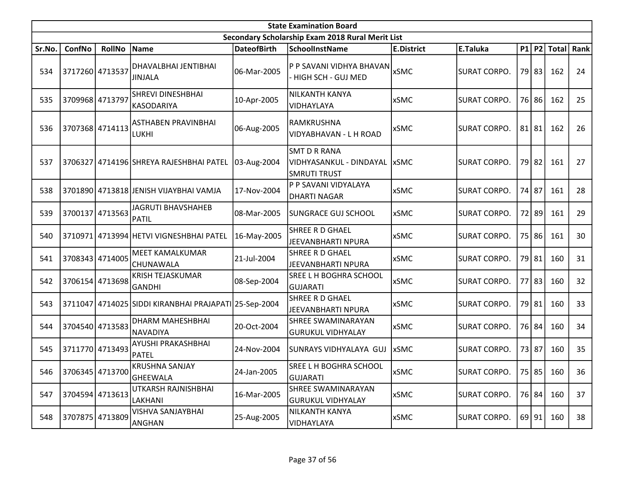|        | <b>State Examination Board</b><br>Secondary Scholarship Exam 2018 Rural Merit List |                 |                                                       |                    |                                                                       |                   |                     |  |           |             |      |  |  |
|--------|------------------------------------------------------------------------------------|-----------------|-------------------------------------------------------|--------------------|-----------------------------------------------------------------------|-------------------|---------------------|--|-----------|-------------|------|--|--|
|        |                                                                                    |                 |                                                       |                    |                                                                       |                   |                     |  |           |             |      |  |  |
| Sr.No. | ConfNo                                                                             | <b>RollNo</b>   | Name                                                  | <b>DateofBirth</b> | <b>SchoolInstName</b>                                                 | <b>E.District</b> | E.Taluka            |  |           | P1 P2 Total | Rank |  |  |
| 534    | 3717260 4713537                                                                    |                 | DHAVALBHAI JENTIBHAI<br><b>JINJALA</b>                | 06-Mar-2005        | P P SAVANI VIDHYA BHAVAN<br>- HIGH SCH - GUJ MED                      | <b>xSMC</b>       | <b>SURAT CORPO.</b> |  | 79 83     | 162         | 24   |  |  |
| 535    | 3709968 4713797                                                                    |                 | <b>SHREVI DINESHBHAI</b><br>KASODARIYA                | 10-Apr-2005        | <b>NILKANTH KANYA</b><br>VIDHAYLAYA                                   | <b>xSMC</b>       | <b>SURAT CORPO.</b> |  | 76 86     | 162         | 25   |  |  |
| 536    | 3707368 4714113                                                                    |                 | <b>ASTHABEN PRAVINBHAI</b><br>LUKHI                   | 06-Aug-2005        | RAMKRUSHNA<br>VIDYABHAVAN - L H ROAD                                  | <b>xSMC</b>       | <b>SURAT CORPO.</b> |  | $81$   81 | 162         | 26   |  |  |
| 537    |                                                                                    |                 | 3706327 4714196 SHREYA RAJESHBHAI PATEL               | 03-Aug-2004        | <b>SMT D R RANA</b><br>VIDHYASANKUL - DINDAYAL<br><b>SMRUTI TRUST</b> | <b>xSMC</b>       | <b>SURAT CORPO.</b> |  | 79 82     | 161         | 27   |  |  |
| 538    |                                                                                    |                 | 3701890 4713818 JENISH VIJAYBHAI VAMJA                | 17-Nov-2004        | P P SAVANI VIDYALAYA<br><b>DHARTI NAGAR</b>                           | <b>xSMC</b>       | <b>SURAT CORPO.</b> |  | 74 87     | 161         | 28   |  |  |
| 539    | 3700137 4713563                                                                    |                 | <b>JAGRUTI BHAVSHAHEB</b><br><b>PATIL</b>             | 08-Mar-2005        | <b>SUNGRACE GUJ SCHOOL</b>                                            | <b>xSMC</b>       | <b>SURAT CORPO.</b> |  | 72 89     | 161         | 29   |  |  |
| 540    |                                                                                    |                 | 3710971 4713994 HETVI VIGNESHBHAI PATEL               | 16-May-2005        | SHREE R D GHAEL<br><b>JEEVANBHARTI NPURA</b>                          | <b>xSMC</b>       | <b>SURAT CORPO.</b> |  | 75 86     | 161         | 30   |  |  |
| 541    | 3708343 4714005                                                                    |                 | MEET KAMALKUMAR<br><b>CHUNAWALA</b>                   | 21-Jul-2004        | SHREE R D GHAEL<br>JEEVANBHARTI NPURA                                 | <b>xSMC</b>       | <b>SURAT CORPO.</b> |  | 79 81     | 160         | 31   |  |  |
| 542    |                                                                                    | 3706154 4713698 | <b>KRISH TEJASKUMAR</b><br>GANDHI                     | 08-Sep-2004        | SREE L H BOGHRA SCHOOL<br><b>GUJARATI</b>                             | <b>xSMC</b>       | <b>SURAT CORPO.</b> |  | 77 83     | 160         | 32   |  |  |
| 543    |                                                                                    |                 | 3711047 4714025 SIDDI KIRANBHAI PRAJAPATI 25-Sep-2004 |                    | SHREE R D GHAEL<br>JEEVANBHARTI NPURA                                 | <b>xSMC</b>       | <b>SURAT CORPO.</b> |  | 79 81     | 160         | 33   |  |  |
| 544    |                                                                                    | 3704540 4713583 | DHARM MAHESHBHAI<br>NAVADIYA                          | 20-Oct-2004        | <b>SHREE SWAMINARAYAN</b><br><b>GURUKUL VIDHYALAY</b>                 | <b>xSMC</b>       | <b>SURAT CORPO.</b> |  | 76 84     | 160         | 34   |  |  |
| 545    | 3711770 4713493                                                                    |                 | <b>AYUSHI PRAKASHBHAI</b><br>PATEL                    | 24-Nov-2004        | SUNRAYS VIDHYALAYA GUJ                                                | xSMC              | <b>SURAT CORPO.</b> |  | 73 87     | 160         | 35   |  |  |
| 546    |                                                                                    | 3706345 4713700 | <b>KRUSHNA SANJAY</b><br>GHEEWALA                     | 24-Jan-2005        | SREE L H BOGHRA SCHOOL<br><b>GUJARATI</b>                             | <b>xSMC</b>       | <b>SURAT CORPO.</b> |  |           | 75 85 160   | 36   |  |  |
| 547    | 3704594 4713613                                                                    |                 | UTKARSH RAJNISHBHAI<br>LAKHANI                        | 16-Mar-2005        | SHREE SWAMINARAYAN<br><b>GURUKUL VIDHYALAY</b>                        | xSMC              | <b>SURAT CORPO.</b> |  | 76 84     | 160         | 37   |  |  |
| 548    | 3707875 4713809                                                                    |                 | VISHVA SANJAYBHAI<br>ANGHAN                           | 25-Aug-2005        | NILKANTH KANYA<br>VIDHAYLAYA                                          | xSMC              | <b>SURAT CORPO.</b> |  | 69 91     | 160         | 38   |  |  |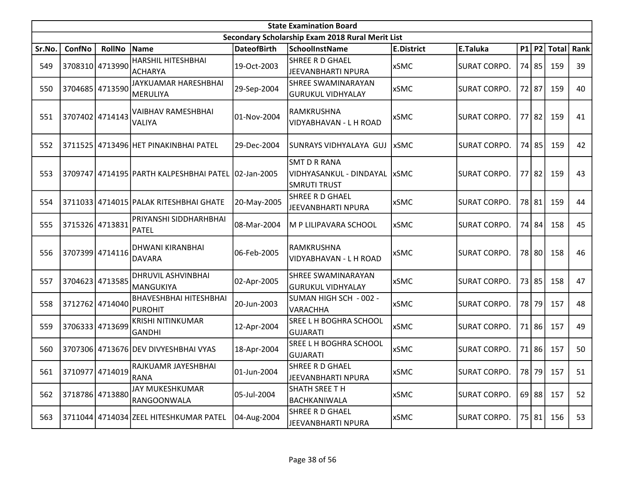|        | <b>State Examination Board</b> |                 |                                                     |                    |                                                                       |                   |                     |    |           |              |      |  |  |
|--------|--------------------------------|-----------------|-----------------------------------------------------|--------------------|-----------------------------------------------------------------------|-------------------|---------------------|----|-----------|--------------|------|--|--|
|        |                                |                 |                                                     |                    | Secondary Scholarship Exam 2018 Rural Merit List                      |                   |                     |    |           |              |      |  |  |
| Sr.No. | ConfNo                         | <b>RollNo</b>   | Name                                                | <b>DateofBirth</b> | <b>SchoolInstName</b>                                                 | <b>E.District</b> | E.Taluka            |    | P1 P2     | <b>Total</b> | Rank |  |  |
| 549    |                                | 3708310 4713990 | HARSHIL HITESHBHAI<br><b>ACHARYA</b>                | 19-Oct-2003        | <b>SHREE R D GHAEL</b><br>JEEVANBHARTI NPURA                          | <b>xSMC</b>       | <b>SURAT CORPO.</b> |    | 74 85     | 159          | 39   |  |  |
| 550    |                                | 3704685 4713590 | JAYKUAMAR HARESHBHAI<br><b>MERULIYA</b>             | 29-Sep-2004        | <b>SHREE SWAMINARAYAN</b><br><b>GURUKUL VIDHYALAY</b>                 | <b>xSMC</b>       | <b>SURAT CORPO.</b> |    | 72 87     | 159          | 40   |  |  |
| 551    |                                | 3707402 4714143 | <b>VAIBHAV RAMESHBHAI</b><br>VALIYA                 | 01-Nov-2004        | RAMKRUSHNA<br>VIDYABHAVAN - L H ROAD                                  | <b>xSMC</b>       | <b>SURAT CORPO.</b> | 77 | 82        | 159          | 41   |  |  |
| 552    |                                |                 | 3711525 4713496 HET PINAKINBHAI PATEL               | 29-Dec-2004        | SUNRAYS VIDHYALAYA GUJ                                                | <b>xSMC</b>       | <b>SURAT CORPO.</b> |    | 74 85     | 159          | 42   |  |  |
| 553    |                                |                 | 3709747 4714195 PARTH KALPESHBHAI PATEL 02-Jan-2005 |                    | <b>SMT D R RANA</b><br>VIDHYASANKUL - DINDAYAL<br><b>SMRUTI TRUST</b> | <b>IxSMC</b>      | <b>SURAT CORPO.</b> | 77 | 82        | 159          | 43   |  |  |
| 554    |                                |                 | 3711033 4714015 PALAK RITESHBHAI GHATE              | 20-May-2005        | SHREE R D GHAEL<br>JEEVANBHARTI NPURA                                 | <b>xSMC</b>       | <b>SURAT CORPO.</b> |    | 78 81     | 159          | 44   |  |  |
| 555    |                                | 3715326 4713831 | PRIYANSHI SIDDHARHBHAI<br><b>PATEL</b>              | 08-Mar-2004        | M P LILIPAVARA SCHOOL                                                 | xSMC              | <b>SURAT CORPO.</b> |    | 74 84     | 158          | 45   |  |  |
| 556    |                                | 3707399 4714116 | DHWANI KIRANBHAI<br><b>DAVARA</b>                   | 06-Feb-2005        | RAMKRUSHNA<br>VIDYABHAVAN - L H ROAD                                  | <b>xSMC</b>       | <b>SURAT CORPO.</b> | 78 | 80        | 158          | 46   |  |  |
| 557    |                                | 3704623 4713585 | DHRUVIL ASHVINBHAI<br><b>MANGUKIYA</b>              | 02-Apr-2005        | <b>SHREE SWAMINARAYAN</b><br><b>GURUKUL VIDHYALAY</b>                 | <b>xSMC</b>       | <b>SURAT CORPO.</b> | 73 | 85        | 158          | 47   |  |  |
| 558    |                                | 3712762 4714040 | <b>BHAVESHBHAI HITESHBHAI</b><br><b>PUROHIT</b>     | 20-Jun-2003        | SUMAN HIGH SCH - 002 -<br><b>VARACHHA</b>                             | <b>xSMC</b>       | <b>SURAT CORPO.</b> |    | 78 79     | 157          | 48   |  |  |
| 559    |                                | 3706333 4713699 | <b>KRISHI NITINKUMAR</b><br><b>GANDHI</b>           | 12-Apr-2004        | SREE L H BOGHRA SCHOOL<br>GUJARATI                                    | <b>xSMC</b>       | <b>SURAT CORPO.</b> | 71 | 86        | 157          | 49   |  |  |
| 560    |                                |                 | 3707306 4713676 DEV DIVYESHBHAI VYAS                | 18-Apr-2004        | <b>SREE L H BOGHRA SCHOOL</b><br>GUJARATI                             | <b>xSMC</b>       | <b>SURAT CORPO.</b> | 71 | 86        | 157          | 50   |  |  |
| 561    |                                | 3710977 4714019 | RAJKUAMR JAYESHBHAI<br><b>RANA</b>                  | 01-Jun-2004        | <b>SHREE R D GHAEL</b><br>JEEVANBHARTI NPURA                          | <b>xSMC</b>       | <b>SURAT CORPO.</b> |    |           | 78 79 157    | 51   |  |  |
| 562    |                                | 3718786 4713880 | JAY MUKESHKUMAR<br>RANGOONWALA                      | 05-Jul-2004        | SHATH SREE TH<br>BACHKANIWALA                                         | xSMC              | <b>SURAT CORPO.</b> |    | $69$   88 | 157          | 52   |  |  |
| 563    |                                |                 | 3711044 4714034 ZEEL HITESHKUMAR PATEL              | 04-Aug-2004        | SHREE R D GHAEL<br>JEEVANBHARTI NPURA                                 | <b>xSMC</b>       | <b>SURAT CORPO.</b> |    | 75 81     | 156          | 53   |  |  |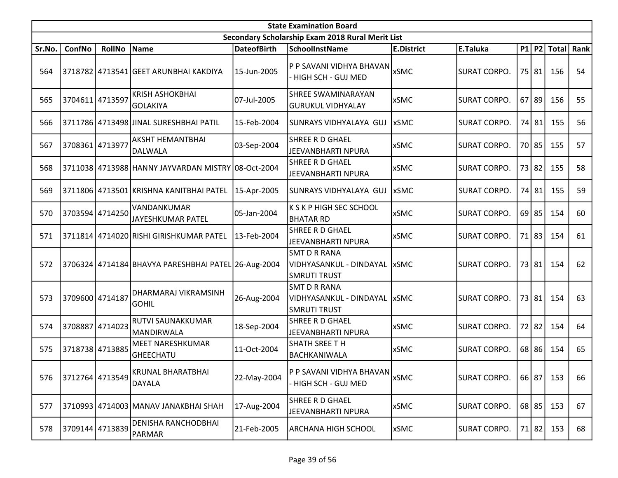| <b>State Examination Board</b> |                 |                 |                                                     |                    |                                                                              |                   |                     |           |           |               |      |  |
|--------------------------------|-----------------|-----------------|-----------------------------------------------------|--------------------|------------------------------------------------------------------------------|-------------------|---------------------|-----------|-----------|---------------|------|--|
|                                |                 |                 |                                                     |                    | Secondary Scholarship Exam 2018 Rural Merit List                             |                   |                     |           |           |               |      |  |
| Sr.No.                         | <b>ConfNo</b>   | <b>RollNo</b>   | Name                                                | <b>DateofBirth</b> | <b>SchoolInstName</b>                                                        | <b>E.District</b> | E.Taluka            |           |           | $P1$ P2 Total | Rank |  |
| 564                            |                 |                 | 3718782 4713541 GEET ARUNBHAI KAKDIYA               | 15-Jun-2005        | P P SAVANI VIDHYA BHAVAN<br>HIGH SCH - GUJ MED                               | <b>xSMC</b>       | <b>SURAT CORPO.</b> |           | 75 81     | 156           | 54   |  |
| 565                            | 3704611 4713597 |                 | <b>KRISH ASHOKBHAI</b><br>GOLAKIYA                  | 07-Jul-2005        | <b>SHREE SWAMINARAYAN</b><br><b>GURUKUL VIDHYALAY</b>                        | <b>xSMC</b>       | <b>SURAT CORPO.</b> | $67$   89 |           | 156           | 55   |  |
| 566                            |                 |                 | 3711786 4713498 JINAL SURESHBHAI PATIL              | 15-Feb-2004        | SUNRAYS VIDHYALAYA GUJ                                                       | <b>xSMC</b>       | <b>SURAT CORPO.</b> |           | 74 81     | 155           | 56   |  |
| 567                            | 3708361         | 4713977         | <b>AKSHT HEMANTBHAI</b><br>DALWALA                  | 03-Sep-2004        | SHREE R D GHAEL<br><b>JEEVANBHARTI NPURA</b>                                 | <b>xSMC</b>       | <b>SURAT CORPO.</b> |           | 70 85     | 155           | 57   |  |
| 568                            |                 |                 | 3711038 4713988 HANNY JAYVARDAN MISTRY 08-Oct-2004  |                    | SHREE R D GHAEL<br><b>JEEVANBHARTI NPURA</b>                                 | <b>xSMC</b>       | <b>SURAT CORPO.</b> |           | 73 82     | 155           | 58   |  |
| 569                            |                 |                 | 3711806 4713501 KRISHNA KANITBHAI PATEL             | 15-Apr-2005        | SUNRAYS VIDHYALAYA GUJ                                                       | <b>xSMC</b>       | <b>SURAT CORPO.</b> |           | 74 81     | 155           | 59   |  |
| 570                            |                 | 3703594 4714250 | VANDANKUMAR<br>JAYESHKUMAR PATEL                    | 05-Jan-2004        | K S K P HIGH SEC SCHOOL<br><b>BHATAR RD</b>                                  | <b>xSMC</b>       | <b>SURAT CORPO.</b> |           | $69$   85 | 154           | 60   |  |
| 571                            |                 |                 | 3711814 4714020 RISHI GIRISHKUMAR PATEL             | l 13-Feb-2004      | <b>SHREE R D GHAEL</b><br><b>JEEVANBHARTI NPURA</b>                          | <b>xSMC</b>       | ISURAT CORPO.       |           | 71 83     | 154           | 61   |  |
| 572                            |                 |                 | 3706324 4714184 BHAVYA PARESHBHAI PATEL 26-Aug-2004 |                    | <b>SMT D R RANA</b><br>VIDHYASANKUL - DINDAYAL<br><b>SMRUTI TRUST</b>        | <b>xSMC</b>       | <b>SURAT CORPO.</b> |           | 73 81     | 154           | 62   |  |
| 573                            | 3709600 4714187 |                 | DHARMARAJ VIKRAMSINH<br><b>GOHIL</b>                | 26-Aug-2004        | <b>SMT D R RANA</b><br>VIDHYASANKUL - DINDAYAL   xSMC<br><b>SMRUTI TRUST</b> |                   | <b>SURAT CORPO.</b> |           | 73 81     | 154           | 63   |  |
| 574                            | 3708887         | 4714023         | RUTVI SAUNAKKUMAR<br>MANDIRWALA                     | 18-Sep-2004        | SHREE R D GHAEL<br>JEEVANBHARTI NPURA                                        | <b>xSMC</b>       | <b>SURAT CORPO.</b> | 72        | 82        | 154           | 64   |  |
| 575                            |                 | 3718738 4713885 | MEET NARESHKUMAR<br>GHEECHATU                       | 11-Oct-2004        | SHATH SREE TH<br>BACHKANIWALA                                                | <b>xSMC</b>       | <b>SURAT CORPO.</b> |           | 68 86     | 154           | 65   |  |
| 576                            |                 | 3712764 4713549 | KRUNAL BHARATBHAI<br><b>DAYALA</b>                  | 22-May-2004        | P P SAVANI VIDHYA BHAVAN<br>HIGH SCH - GUJ MED                               | <b>xSMC</b>       | <b>SURAT CORPO.</b> |           | $66$   87 | 153           | 66   |  |
| 577                            |                 |                 | 3710993 4714003 MANAV JANAKBHAI SHAH                | 17-Aug-2004        | SHREE R D GHAEL<br>JEEVANBHARTI NPURA                                        | <b>xSMC</b>       | <b>SURAT CORPO.</b> |           | 68 85     | 153           | 67   |  |
| 578                            | 3709144 4713839 |                 | DENISHA RANCHODBHAI<br>PARMAR                       | 21-Feb-2005        | <b>ARCHANA HIGH SCHOOL</b>                                                   | xSMC              | <b>SURAT CORPO.</b> |           | 71 82     | 153           | 68   |  |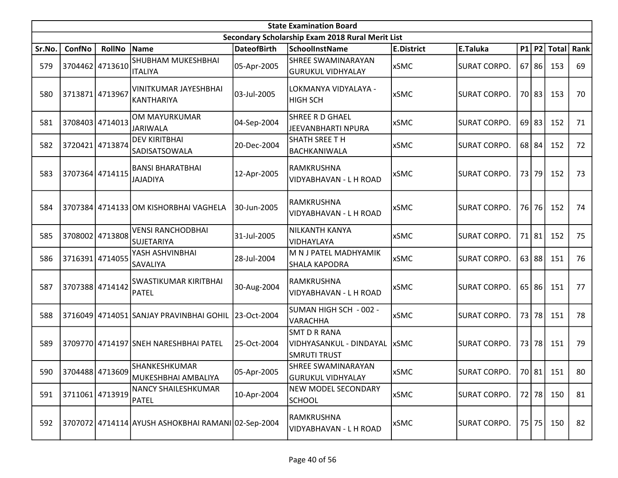|        | <b>State Examination Board</b> |                 |                                                     |                    |                                                                       |                   |                     |  |           |               |      |  |  |  |
|--------|--------------------------------|-----------------|-----------------------------------------------------|--------------------|-----------------------------------------------------------------------|-------------------|---------------------|--|-----------|---------------|------|--|--|--|
|        |                                |                 |                                                     |                    | Secondary Scholarship Exam 2018 Rural Merit List                      |                   |                     |  |           |               |      |  |  |  |
| Sr.No. | ConfNo                         | RollNo          | Name                                                | <b>DateofBirth</b> | <b>SchoolInstName</b>                                                 | <b>E.District</b> | E.Taluka            |  |           | $P1$ P2 Total | Rank |  |  |  |
| 579    | 3704462                        | 4713610         | <b>SHUBHAM MUKESHBHAI</b><br><b>ITALIYA</b>         | 05-Apr-2005        | <b>SHREE SWAMINARAYAN</b><br><b>GURUKUL VIDHYALAY</b>                 | <b>xSMC</b>       | <b>SURAT CORPO.</b> |  | $67$   86 | 153           | 69   |  |  |  |
| 580    | 3713871                        | 4713967         | VINITKUMAR JAYESHBHAI<br>KANTHARIYA                 | 03-Jul-2005        | LOKMANYA VIDYALAYA -<br><b>HIGH SCH</b>                               | <b>xSMC</b>       | <b>SURAT CORPO.</b> |  | 70 83     | 153           | 70   |  |  |  |
| 581    |                                | 3708403 4714013 | OM MAYURKUMAR<br><b>JARIWALA</b>                    | 04-Sep-2004        | SHREE R D GHAEL<br><b>JEEVANBHARTI NPURA</b>                          | <b>xSMC</b>       | <b>SURAT CORPO.</b> |  | $69$   83 | 152           | 71   |  |  |  |
| 582    |                                | 3720421 4713874 | <b>DEV KIRITBHAI</b><br><b>SADISATSOWALA</b>        | 20-Dec-2004        | <b>SHATH SREE TH</b><br><b>BACHKANIWALA</b>                           | <b>xSMC</b>       | <b>SURAT CORPO.</b> |  | 68 84     | 152           | 72   |  |  |  |
| 583    | 3707364 4714115                |                 | <b>BANSI BHARATBHAI</b><br><b>AYIQALAL</b>          | 12-Apr-2005        | RAMKRUSHNA<br>VIDYABHAVAN - L H ROAD                                  | <b>xSMC</b>       | <b>SURAT CORPO.</b> |  | 73 79     | 152           | 73   |  |  |  |
| 584    |                                |                 | 3707384 4714133 OM KISHORBHAI VAGHELA               | 30-Jun-2005        | RAMKRUSHNA<br>VIDYABHAVAN - L H ROAD                                  | <b>xSMC</b>       | <b>SURAT CORPO.</b> |  | 76 76     | 152           | 74   |  |  |  |
| 585    |                                | 3708002 4713808 | <b>VENSI RANCHODBHAI</b><br><b>SUJETARIYA</b>       | 31-Jul-2005        | <b>NILKANTH KANYA</b><br>VIDHAYLAYA                                   | <b>xSMC</b>       | <b>SURAT CORPO.</b> |  | 71 81     | 152           | 75   |  |  |  |
| 586    |                                | 3716391 4714055 | YASH ASHVINBHAI<br><b>SAVALIYA</b>                  | 28-Jul-2004        | M N J PATEL MADHYAMIK<br><b>SHALA KAPODRA</b>                         | <b>xSMC</b>       | <b>SURAT CORPO.</b> |  | 63 88     | 151           | 76   |  |  |  |
| 587    | 3707388 4714142                |                 | SWASTIKUMAR KIRITBHAI<br>PATEL                      | 30-Aug-2004        | RAMKRUSHNA<br>VIDYABHAVAN - L H ROAD                                  | <b>xSMC</b>       | <b>SURAT CORPO.</b> |  | 65 86     | 151           | 77   |  |  |  |
| 588    |                                |                 | 3716049 4714051 SANJAY PRAVINBHAI GOHIL 23-Oct-2004 |                    | SUMAN HIGH SCH - 002 -<br><b>VARACHHA</b>                             | <b>xSMC</b>       | <b>SURAT CORPO.</b> |  | 73 78     | 151           | 78   |  |  |  |
| 589    |                                |                 | 3709770 4714197 SNEH NARESHBHAI PATEL               | 25-Oct-2004        | <b>SMT D R RANA</b><br>VIDHYASANKUL - DINDAYAL<br><b>SMRUTI TRUST</b> | <b>xSMC</b>       | <b>SURAT CORPO.</b> |  | 73 78     | 151           | 79   |  |  |  |
| 590    |                                | 3704488 4713609 | SHANKESHKUMAR<br>MUKESHBHAI AMBALIYA                | 05-Apr-2005        | SHREE SWAMINARAYAN<br><b>GURUKUL VIDHYALAY</b>                        | <b>xSMC</b>       | <b>SURAT CORPO.</b> |  | 70 81     | 151           | 80   |  |  |  |
| 591    |                                | 3711061 4713919 | <b>NANCY SHAILESHKUMAR</b><br>PATEL                 | 10-Apr-2004        | <b>NEW MODEL SECONDARY</b><br><b>SCHOOL</b>                           | <b>xSMC</b>       | <b>SURAT CORPO.</b> |  | 72 78     | 150           | 81   |  |  |  |
| 592    |                                |                 | 3707072 4714114 AYUSH ASHOKBHAI RAMANI 02-Sep-2004  |                    | RAMKRUSHNA<br>VIDYABHAVAN - L H ROAD                                  | xSMC              | <b>SURAT CORPO.</b> |  | 75 75     | 150           | 82   |  |  |  |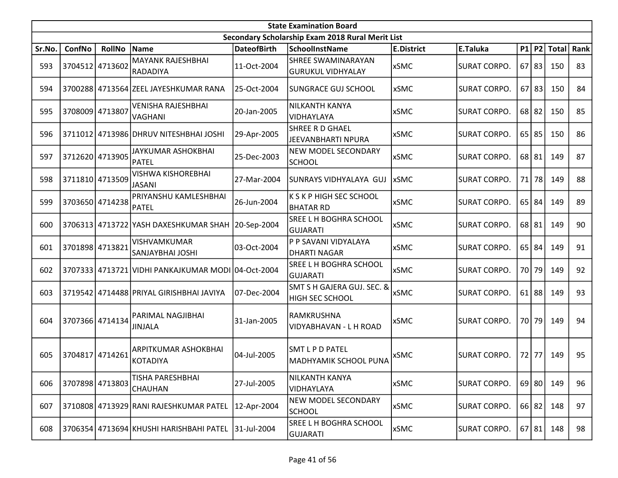|        | <b>State Examination Board</b> |                 |                                                    |                    |                                                  |                   |                     |       |           |              |      |  |  |  |
|--------|--------------------------------|-----------------|----------------------------------------------------|--------------------|--------------------------------------------------|-------------------|---------------------|-------|-----------|--------------|------|--|--|--|
|        |                                |                 |                                                    |                    | Secondary Scholarship Exam 2018 Rural Merit List |                   |                     |       |           |              |      |  |  |  |
| Sr.No. | ConfNo                         | <b>RollNo</b>   | Name                                               | <b>DateofBirth</b> | <b>SchoolInstName</b>                            | <b>E.District</b> | E.Taluka            |       | P1 P2     | <b>Total</b> | Rank |  |  |  |
| 593    | 3704512 4713602                |                 | <b>MAYANK RAJESHBHAI</b><br>RADADIYA               | 11-Oct-2004        | <b>SHREE SWAMINARAYAN</b><br>GURUKUL VIDHYALAY   | <b>xSMC</b>       | <b>SURAT CORPO.</b> |       | $67$   83 | 150          | 83   |  |  |  |
| 594    |                                |                 | 3700288 4713564 ZEEL JAYESHKUMAR RANA              | 25-Oct-2004        | <b>SUNGRACE GUJ SCHOOL</b>                       | <b>xSMC</b>       | <b>SURAT CORPO.</b> |       | $67$   83 | 150          | 84   |  |  |  |
| 595    | 3708009 4713807                |                 | VENISHA RAJESHBHAI<br>VAGHANI                      | 20-Jan-2005        | NILKANTH KANYA<br>VIDHAYLAYA                     | <b>xSMC</b>       | <b>SURAT CORPO.</b> |       | $68$   82 | 150          | 85   |  |  |  |
| 596    |                                |                 | 3711012 4713986 DHRUV NITESHBHAI JOSHI             | 29-Apr-2005        | SHREE R D GHAEL<br>JEEVANBHARTI NPURA            | <b>xSMC</b>       | <b>SURAT CORPO.</b> |       | $65$   85 | 150          | 86   |  |  |  |
| 597    |                                | 3712620 4713905 | JAYKUMAR ASHOKBHAI<br><b>PATEL</b>                 | 25-Dec-2003        | NEW MODEL SECONDARY<br><b>SCHOOL</b>             | <b>xSMC</b>       | <b>SURAT CORPO.</b> |       | 68 81     | 149          | 87   |  |  |  |
| 598    |                                | 3711810 4713509 | <b>VISHWA KISHOREBHAI</b><br><b>JASANI</b>         | 27-Mar-2004        | SUNRAYS VIDHYALAYA GUJ                           | <b>xSMC</b>       | <b>SURAT CORPO.</b> |       | 71 78     | 149          | 88   |  |  |  |
| 599    |                                | 3703650 4714238 | PRIYANSHU KAMLESHBHAI<br><b>PATEL</b>              | 26-Jun-2004        | K S K P HIGH SEC SCHOOL<br> BHATAR RD            | <b>xSMC</b>       | <b>SURAT CORPO.</b> |       | $65$   84 | 149          | 89   |  |  |  |
| 600    |                                |                 | 3706313 4713722 YASH DAXESHKUMAR SHAH 20-Sep-2004  |                    | <b>SREE L H BOGHRA SCHOOL</b><br>lgujarati       | <b>xSMC</b>       | <b>SURAT CORPO.</b> |       | 68 81     | 149          | 90   |  |  |  |
| 601    | 3701898 4713821                |                 | <b>VISHVAMKUMAR</b><br>SANJAYBHAI JOSHI            | 03-Oct-2004        | P P SAVANI VIDYALAYA<br><b>DHARTI NAGAR</b>      | <b>xSMC</b>       | <b>SURAT CORPO.</b> |       | $65$ 84   | 149          | 91   |  |  |  |
| 602    |                                |                 | 3707333 4713721 VIDHI PANKAJKUMAR MODI 04-Oct-2004 |                    | SREE L H BOGHRA SCHOOL<br> GUJARATI              | <b>xSMC</b>       | <b>SURAT CORPO.</b> |       | 70 79     | 149          | 92   |  |  |  |
| 603    |                                |                 | 3719542 4714488 PRIYAL GIRISHBHAI JAVIYA           | 07-Dec-2004        | SMT S H GAJERA GUJ. SEC. &<br>HIGH SEC SCHOOL    | <b>xSMC</b>       | <b>SURAT CORPO.</b> |       | $61$   88 | 149          | 93   |  |  |  |
| 604    |                                | 3707366 4714134 | PARIMAL NAGJIBHAI<br><b>JINJALA</b>                | 31-Jan-2005        | RAMKRUSHNA<br>VIDYABHAVAN - L H ROAD             | xSMC              | <b>SURAT CORPO.</b> |       | 70 79     | 149          | 94   |  |  |  |
| 605    | 3704817 4714261                |                 | ARPITKUMAR ASHOKBHAI<br><b>KOTADIYA</b>            | 04-Jul-2005        | lSMT L P D PATEL<br>MADHYAMIK SCHOOL PUNA        | xSMC              | <b>SURAT CORPO.</b> | 72 77 |           | 149          | 95   |  |  |  |
| 606    |                                | 3707898 4713803 | TISHA PARESHBHAI<br>CHAUHAN                        | 27-Jul-2005        | NILKANTH KANYA<br>VIDHAYLAYA                     | <b>xSMC</b>       | <b>SURAT CORPO.</b> |       | $69$ 80   | 149          | 96   |  |  |  |
| 607    |                                |                 | 3710808 4713929 RANI RAJESHKUMAR PATEL             | 12-Apr-2004        | NEW MODEL SECONDARY<br><b>SCHOOL</b>             | <b>xSMC</b>       | <b>SURAT CORPO.</b> |       | 66 82     | 148          | 97   |  |  |  |
| 608    |                                |                 | 3706354 4713694 KHUSHI HARISHBAHI PATEL            | 31-Jul-2004        | SREE L H BOGHRA SCHOOL<br>GUJARATI               | <b>xSMC</b>       | SURAT CORPO.        |       | 67 81     | 148          | 98   |  |  |  |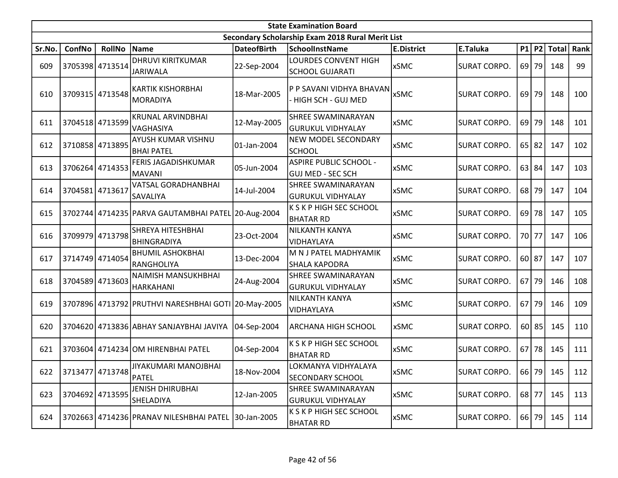|        | <b>State Examination Board</b> |                 |                                                     |                    |                                                           |                   |                     |           |           |               |      |  |  |
|--------|--------------------------------|-----------------|-----------------------------------------------------|--------------------|-----------------------------------------------------------|-------------------|---------------------|-----------|-----------|---------------|------|--|--|
|        |                                |                 |                                                     |                    | Secondary Scholarship Exam 2018 Rural Merit List          |                   |                     |           |           |               |      |  |  |
| Sr.No. | ConfNo                         | <b>RollNo</b>   | Name                                                | <b>DateofBirth</b> | <b>SchoolInstName</b>                                     | <b>E.District</b> | E.Taluka            |           |           | $P1$ P2 Total | Rank |  |  |
| 609    |                                | 3705398 4713514 | <b>DHRUVI KIRITKUMAR</b><br><b>JARIWALA</b>         | 22-Sep-2004        | LOURDES CONVENT HIGH<br><b>SCHOOL GUJARATI</b>            | <b>xSMC</b>       | <b>SURAT CORPO.</b> |           | $69$   79 | 148           | 99   |  |  |
| 610    |                                | 3709315 4713548 | <b>KARTIK KISHORBHAI</b><br>MORADIYA                | 18-Mar-2005        | P P SAVANI VIDHYA BHAVAN<br>- HIGH SCH - GUJ MED          | <b>xSMC</b>       | <b>SURAT CORPO.</b> | 69        | 79        | 148           | 100  |  |  |
| 611    |                                | 3704518 4713599 | <b>KRUNAL ARVINDBHAI</b><br>VAGHASIYA               | 12-May-2005        | SHREE SWAMINARAYAN<br><b>GURUKUL VIDHYALAY</b>            | <b>xSMC</b>       | <b>SURAT CORPO.</b> |           | $69$ 79   | 148           | 101  |  |  |
| 612    |                                | 3710858 4713895 | <b>AYUSH KUMAR VISHNU</b><br><b>BHAI PATEL</b>      | 01-Jan-2004        | <b>NEW MODEL SECONDARY</b><br><b>SCHOOL</b>               | <b>xSMC</b>       | <b>SURAT CORPO.</b> |           | $65$   82 | 147           | 102  |  |  |
| 613    |                                | 3706264 4714353 | FERIS JAGADISHKUMAR<br>MAVANI                       | 05-Jun-2004        | <b>ASPIRE PUBLIC SCHOOL -</b><br><b>GUJ MED - SEC SCH</b> | <b>xSMC</b>       | <b>SURAT CORPO.</b> |           | 63 84     | 147           | 103  |  |  |
| 614    | 3704581 4713617                |                 | <b>VATSAL GORADHANBHAI</b><br>SAVALIYA              | 14-Jul-2004        | <b>SHREE SWAMINARAYAN</b><br><b>GURUKUL VIDHYALAY</b>     | <b>xSMC</b>       | <b>SURAT CORPO.</b> |           | $68$ 79   | 147           | 104  |  |  |
| 615    |                                |                 | 3702744 4714235 PARVA GAUTAMBHAI PATEL 20-Aug-2004  |                    | K S K P HIGH SEC SCHOOL<br><b>BHATAR RD</b>               | <b>xSMC</b>       | <b>SURAT CORPO.</b> |           | $69$ 78   | 147           | 105  |  |  |
| 616    | 3709979                        | 4713798         | <b>SHREYA HITESHBHAI</b><br><b>BHINGRADIYA</b>      | 23-Oct-2004        | <b>NILKANTH KANYA</b><br>VIDHAYLAYA                       | <b>xSMC</b>       | <b>SURAT CORPO.</b> | 70 77     |           | 147           | 106  |  |  |
| 617    |                                | 3714749 4714054 | <b>BHUMIL ASHOKBHAI</b><br>RANGHOLIYA               | 13-Dec-2004        | M N J PATEL MADHYAMIK<br><b>SHALA KAPODRA</b>             | <b>xSMC</b>       | <b>SURAT CORPO.</b> | $60$   87 |           | 147           | 107  |  |  |
| 618    |                                | 3704589 4713603 | NAIMISH MANSUKHBHAI<br>HARKAHANI                    | 24-Aug-2004        | <b>SHREE SWAMINARAYAN</b><br><b>GURUKUL VIDHYALAY</b>     | <b>xSMC</b>       | <b>SURAT CORPO.</b> |           | $67$ 79   | 146           | 108  |  |  |
| 619    |                                |                 | 3707896 4713792 PRUTHVI NARESHBHAI GOTI 20-May-2005 |                    | <b>NILKANTH KANYA</b><br>VIDHAYLAYA                       | <b>xSMC</b>       | <b>SURAT CORPO.</b> | $67$   79 |           | 146           | 109  |  |  |
| 620    |                                |                 | 3704620 4713836 ABHAY SANJAYBHAI JAVIYA             | 04-Sep-2004        | <b>ARCHANA HIGH SCHOOL</b>                                | xSMC              | <b>SURAT CORPO.</b> |           | $60$   85 | 145           | 110  |  |  |
| 621    |                                |                 | 3703604 4714234 OM HIRENBHAI PATEL                  | 04-Sep-2004        | K S K P HIGH SEC SCHOOL<br><b>BHATAR RD</b>               | <b>xSMC</b>       | <b>SURAT CORPO.</b> |           | $67$ 78   | 145           | 111  |  |  |
| 622    |                                | 3713477 4713748 | JIYAKUMARI MANOJBHAI<br><b>PATEL</b>                | 18-Nov-2004        | LOKMANYA VIDHYALAYA<br><b>SECONDARY SCHOOL</b>            | <b>xSMC</b>       | <b>SURAT CORPO.</b> |           | 66 79     | 145           | 112  |  |  |
| 623    |                                | 3704692 4713595 | JENISH DHIRUBHAI<br>SHELADIYA                       | 12-Jan-2005        | SHREE SWAMINARAYAN<br><b>GURUKUL VIDHYALAY</b>            | <b>xSMC</b>       | <b>SURAT CORPO.</b> | 68 77     |           | 145           | 113  |  |  |
| 624    |                                |                 | 3702663 4714236 PRANAV NILESHBHAI PATEL 30-Jan-2005 |                    | K S K P HIGH SEC SCHOOL<br><b>BHATAR RD</b>               | xSMC              | <b>SURAT CORPO.</b> |           | 66 79     | 145           | 114  |  |  |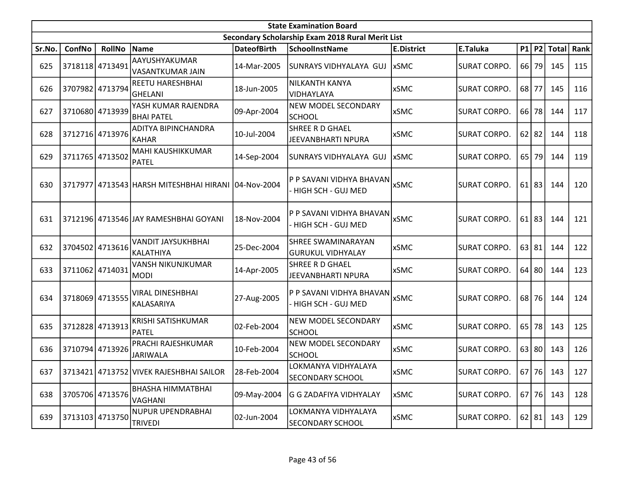|        | <b>State Examination Board</b><br>Secondary Scholarship Exam 2018 Rural Merit List |                 |                                                     |                    |                                                       |                   |                     |    |           |               |      |  |  |  |
|--------|------------------------------------------------------------------------------------|-----------------|-----------------------------------------------------|--------------------|-------------------------------------------------------|-------------------|---------------------|----|-----------|---------------|------|--|--|--|
|        |                                                                                    |                 |                                                     |                    |                                                       |                   |                     |    |           |               |      |  |  |  |
| Sr.No. | ConfNo                                                                             | <b>RollNo</b>   | Name                                                | <b>DateofBirth</b> | SchoolInstName                                        | <b>E.District</b> | E.Taluka            |    | P1 P2     | <b>Total</b>  | Rank |  |  |  |
| 625    | 3718118 4713491                                                                    |                 | AAYUSHYAKUMAR<br>VASANTKUMAR JAIN                   | 14-Mar-2005        | SUNRAYS VIDHYALAYA GUJ                                | <b>xSMC</b>       | <b>SURAT CORPO.</b> | 66 | 79        | 145           | 115  |  |  |  |
| 626    | 3707982 4713794                                                                    |                 | REETU HARESHBHAI<br><b>GHELANI</b>                  | 18-Jun-2005        | <b>NILKANTH KANYA</b><br>VIDHAYLAYA                   | <b>xSMC</b>       | <b>SURAT CORPO.</b> |    | 68 77     | 145           | 116  |  |  |  |
| 627    |                                                                                    | 3710680 4713939 | YASH KUMAR RAJENDRA<br><b>BHAI PATEL</b>            | 09-Apr-2004        | <b>NEW MODEL SECONDARY</b><br><b>SCHOOL</b>           | <b>xSMC</b>       | <b>SURAT CORPO.</b> | 66 | 78        | 144           | 117  |  |  |  |
| 628    | 3712716 4713976                                                                    |                 | ADITYA BIPINCHANDRA<br><b>KAHAR</b>                 | 10-Jul-2004        | SHREE R D GHAEL<br>JEEVANBHARTI NPURA                 | <b>xSMC</b>       | <b>SURAT CORPO.</b> | 62 | 82        | 144           | 118  |  |  |  |
| 629    | 3711765 4713502                                                                    |                 | MAHI KAUSHIKKUMAR<br><b>PATEL</b>                   | 14-Sep-2004        | SUNRAYS VIDHYALAYA GUJ                                | <b>xSMC</b>       | <b>SURAT CORPO.</b> | 65 | 79        | 144           | 119  |  |  |  |
| 630    |                                                                                    |                 | 3717977 4713543 HARSH MITESHBHAI HIRANI 04-Nov-2004 |                    | P P SAVANI VIDHYA BHAVAN<br>- HIGH SCH - GUJ MED      | <b>xSMC</b>       | <b>SURAT CORPO.</b> |    | $61$   83 | 144           | 120  |  |  |  |
| 631    |                                                                                    |                 | 3712196 4713546 JAY RAMESHBHAI GOYANI               | 18-Nov-2004        | P P SAVANI VIDHYA BHAVAN<br>- HIGH SCH - GUJ MED      | <b>xSMC</b>       | <b>SURAT CORPO.</b> | 61 | 83        | 144           | 121  |  |  |  |
| 632    | 3704502 4713616                                                                    |                 | <b>VANDIT JAYSUKHBHAI</b><br>KALATHIYA              | 25-Dec-2004        | <b>SHREE SWAMINARAYAN</b><br><b>GURUKUL VIDHYALAY</b> | <b>xSMC</b>       | <b>SURAT CORPO.</b> | 63 | 81        | 144           | 122  |  |  |  |
| 633    | 3711062 4714031                                                                    |                 | <b>VANSH NIKUNJKUMAR</b><br><b>MODI</b>             | 14-Apr-2005        | SHREE R D GHAEL<br>JEEVANBHARTI NPURA                 | <b>xSMC</b>       | <b>SURAT CORPO.</b> | 64 | 80        | 144           | 123  |  |  |  |
| 634    | 3718069 4713555                                                                    |                 | <b>VIRAL DINESHBHAI</b><br>KALASARIYA               | 27-Aug-2005        | P P SAVANI VIDHYA BHAVAN<br>- HIGH SCH - GUJ MED      | <b>xSMC</b>       | <b>SURAT CORPO.</b> | 68 | 76        | 144           | 124  |  |  |  |
| 635    | 3712828 4713913                                                                    |                 | KRISHI SATISHKUMAR<br><b>PATEL</b>                  | 02-Feb-2004        | NEW MODEL SECONDARY<br><b>SCHOOL</b>                  | <b>xSMC</b>       | <b>SURAT CORPO.</b> | 65 | 78        | 143           | 125  |  |  |  |
| 636    | 3710794 4713926                                                                    |                 | PRACHI RAJESHKUMAR<br><b>JARIWALA</b>               | 10-Feb-2004        | <b>NEW MODEL SECONDARY</b><br><b>SCHOOL</b>           | <b>xSMC</b>       | <b>SURAT CORPO.</b> |    | 63 80     | 143           | 126  |  |  |  |
| 637    |                                                                                    |                 | 3713421 4713752 VIVEK RAJESHBHAI SAILOR             | 28-Feb-2004        | LOKMANYA VIDHYALAYA<br><b>SECONDARY SCHOOL</b>        | <b>xSMC</b>       | <b>SURAT CORPO.</b> |    |           | 67   76   143 | 127  |  |  |  |
| 638    | 3705706 4713576                                                                    |                 | BHASHA HIMMATBHAI<br>VAGHANI                        | 09-May-2004        | G G ZADAFIYA VIDHYALAY                                | <b>xSMC</b>       | <b>SURAT CORPO.</b> |    | 67 76     | 143           | 128  |  |  |  |
| 639    |                                                                                    | 3713103 4713750 | NUPUR UPENDRABHAI<br><b>TRIVEDI</b>                 | 02-Jun-2004        | LOKMANYA VIDHYALAYA<br><b>SECONDARY SCHOOL</b>        | <b>xSMC</b>       | <b>SURAT CORPO.</b> |    | 62 81     | 143           | 129  |  |  |  |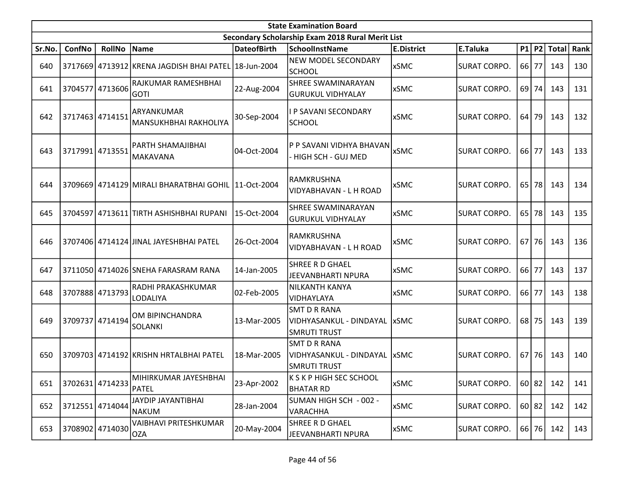|        | <b>State Examination Board</b> |                 |                                                     |                    |                                                                       |                   |                     |       |           |               |      |  |  |  |
|--------|--------------------------------|-----------------|-----------------------------------------------------|--------------------|-----------------------------------------------------------------------|-------------------|---------------------|-------|-----------|---------------|------|--|--|--|
|        |                                |                 |                                                     |                    | Secondary Scholarship Exam 2018 Rural Merit List                      |                   |                     |       |           |               |      |  |  |  |
| Sr.No. | ConfNo                         | <b>RollNo</b>   | Name                                                | <b>DateofBirth</b> | <b>SchoolInstName</b>                                                 | <b>E.District</b> | E.Taluka            |       |           | $P1$ P2 Total | Rank |  |  |  |
| 640    | 3717669                        |                 | 4713912 KRENA JAGDISH BHAI PATEL 18-Jun-2004        |                    | <b>NEW MODEL SECONDARY</b><br><b>SCHOOL</b>                           | <b>xSMC</b>       | <b>SURAT CORPO.</b> | 66 77 |           | 143           | 130  |  |  |  |
| 641    | 3704577                        | 4713606         | RAJKUMAR RAMESHBHAI<br><b>GOTI</b>                  | 22-Aug-2004        | <b>SHREE SWAMINARAYAN</b><br><b>GURUKUL VIDHYALAY</b>                 | <b>xSMC</b>       | <b>SURAT CORPO.</b> |       | 69 74     | 143           | 131  |  |  |  |
| 642    |                                | 3717463 4714151 | ARYANKUMAR<br>MANSUKHBHAI RAKHOLIYA                 | 30-Sep-2004        | I P SAVANI SECONDARY<br><b>SCHOOL</b>                                 | <b>xSMC</b>       | <b>SURAT CORPO.</b> |       | 64 79     | 143           | 132  |  |  |  |
| 643    | 3717991 4713551                |                 | PARTH SHAMAJIBHAI<br>MAKAVANA                       | 04-Oct-2004        | P P SAVANI VIDHYA BHAVAN<br>- HIGH SCH - GUJ MED                      | <b>xSMC</b>       | <b>SURAT CORPO.</b> | 66 77 |           | 143           | 133  |  |  |  |
| 644    |                                |                 | 3709669 4714129 MIRALI BHARATBHAI GOHIL 11-Oct-2004 |                    | RAMKRUSHNA<br><b>VIDYABHAVAN - L H ROAD</b>                           | <b>xSMC</b>       | <b>SURAT CORPO.</b> |       | 65 78     | 143           | 134  |  |  |  |
| 645    | 3704597                        |                 | 4713611 TIRTH ASHISHBHAI RUPANI                     | 15-Oct-2004        | <b>SHREE SWAMINARAYAN</b><br><b>GURUKUL VIDHYALAY</b>                 | <b>xSMC</b>       | <b>SURAT CORPO.</b> | 65    | 78        | 143           | 135  |  |  |  |
| 646    |                                |                 | 3707406 4714124 JINAL JAYESHBHAI PATEL              | 26-Oct-2004        | RAMKRUSHNA<br>VIDYABHAVAN - L H ROAD                                  | <b>xSMC</b>       | <b>SURAT CORPO.</b> |       | $67$   76 | 143           | 136  |  |  |  |
| 647    |                                |                 | 3711050 4714026 SNEHA FARASRAM RANA                 | 14-Jan-2005        | SHREE R D GHAEL<br><b>JEEVANBHARTI NPURA</b>                          | <b>xSMC</b>       | <b>SURAT CORPO.</b> | 66    | 77        | 143           | 137  |  |  |  |
| 648    |                                | 3707888 4713793 | RADHI PRAKASHKUMAR<br>LODALIYA                      | 02-Feb-2005        | <b>NILKANTH KANYA</b><br>VIDHAYLAYA                                   | <b>xSMC</b>       | <b>SURAT CORPO.</b> | 66 77 |           | 143           | 138  |  |  |  |
| 649    | 3709737                        | 4714194         | OM BIPINCHANDRA<br>SOLANKI                          | 13-Mar-2005        | <b>SMT D R RANA</b><br>VIDHYASANKUL - DINDAYAL<br><b>SMRUTI TRUST</b> | <b>xSMC</b>       | <b>SURAT CORPO.</b> |       | $68$ 75   | 143           | 139  |  |  |  |
| 650    |                                |                 | 3709703 4714192 KRISHN HRTALBHAI PATEL              | 18-Mar-2005        | <b>SMT D R RANA</b><br>VIDHYASANKUL - DINDAYAL<br><b>SMRUTI TRUST</b> | <b>xSMC</b>       | <b>SURAT CORPO.</b> |       | $67$   76 | 143           | 140  |  |  |  |
| 651    |                                | 3702631 4714233 | MIHIRKUMAR JAYESHBHAI<br>PATEL                      | 23-Apr-2002        | K S K P HIGH SEC SCHOOL<br><b>BHATAR RD</b>                           | <b>xSMC</b>       | <b>SURAT CORPO.</b> |       | 60 82     | 142           | 141  |  |  |  |
| 652    |                                | 3712551 4714044 | JAYDIP JAYANTIBHAI<br>NAKUM                         | 28-Jan-2004        | SUMAN HIGH SCH - 002 -<br><b>VARACHHA</b>                             | <b>xSMC</b>       | <b>SURAT CORPO.</b> |       | 60 82     | 142           | 142  |  |  |  |
| 653    |                                | 3708902 4714030 | <b>VAIBHAVI PRITESHKUMAR</b><br>OZA                 | 20-May-2004        | SHREE R D GHAEL<br>JEEVANBHARTI NPURA                                 | <b>xSMC</b>       | <b>SURAT CORPO.</b> |       | 66 76     | 142           | 143  |  |  |  |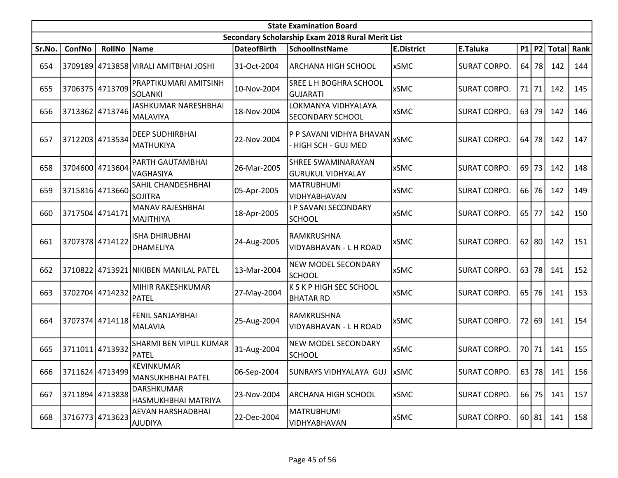|        | <b>State Examination Board</b> |                 |                                            |                    |                                                  |                   |                     |       |         |             |      |  |  |  |
|--------|--------------------------------|-----------------|--------------------------------------------|--------------------|--------------------------------------------------|-------------------|---------------------|-------|---------|-------------|------|--|--|--|
|        |                                |                 |                                            |                    | Secondary Scholarship Exam 2018 Rural Merit List |                   |                     |       |         |             |      |  |  |  |
| Sr.No. | ConfNo                         | <b>RollNo</b>   | Name                                       | <b>DateofBirth</b> | <b>SchoolInstName</b>                            | <b>E.District</b> | E.Taluka            |       |         | P1 P2 Total | Rank |  |  |  |
| 654    |                                |                 | 3709189 4713858 VIRALI AMITBHAI JOSHI      | 31-Oct-2004        | ARCHANA HIGH SCHOOL                              | xSMC              | <b>SURAT CORPO.</b> |       | $64$ 78 | 142         | 144  |  |  |  |
| 655    |                                | 3706375 4713709 | PRAPTIKUMARI AMITSINH<br><b>SOLANKI</b>    | 10-Nov-2004        | SREE L H BOGHRA SCHOOL<br><b>GUJARATI</b>        | <b>xSMC</b>       | <b>SURAT CORPO.</b> | 71    | 71      | 142         | 145  |  |  |  |
| 656    |                                | 3713362 4713746 | JASHKUMAR NARESHBHAI<br>MALAVIYA           | 18-Nov-2004        | LOKMANYA VIDHYALAYA<br><b>SECONDARY SCHOOL</b>   | <b>xSMC</b>       | <b>SURAT CORPO.</b> | 63    | 79      | 142         | 146  |  |  |  |
| 657    |                                | 3712203 4713534 | <b>DEEP SUDHIRBHAI</b><br><b>MATHUKIYA</b> | 22-Nov-2004        | P P SAVANI VIDHYA BHAVAN<br>- HIGH SCH - GUJ MED | <b>xSMC</b>       | <b>SURAT CORPO.</b> | 64    | 78      | 142         | 147  |  |  |  |
| 658    |                                | 3704600 4713604 | PARTH GAUTAMBHAI<br>VAGHASIYA              | 26-Mar-2005        | SHREE SWAMINARAYAN<br><b>GURUKUL VIDHYALAY</b>   | <b>xSMC</b>       | <b>SURAT CORPO.</b> | 69    | 73      | 142         | 148  |  |  |  |
| 659    |                                | 3715816 4713660 | SAHIL CHANDESHBHAI<br><b>SOJITRA</b>       | 05-Apr-2005        | MATRUBHUMI<br>VIDHYABHAVAN                       | <b>xSMC</b>       | <b>SURAT CORPO.</b> | 66    | 76      | 142         | 149  |  |  |  |
| 660    | 3717504 4714171                |                 | MANAV RAJESHBHAI<br><b>MAJITHIYA</b>       | 18-Apr-2005        | <b>I P SAVANI SECONDARY</b><br><b>SCHOOL</b>     | <b>xSMC</b>       | <b>SURAT CORPO.</b> | 65    | 77      | 142         | 150  |  |  |  |
| 661    | 3707378 4714122                |                 | <b>ISHA DHIRUBHAI</b><br>DHAMELIYA         | 24-Aug-2005        | RAMKRUSHNA<br>VIDYABHAVAN - L H ROAD             | <b>xSMC</b>       | <b>SURAT CORPO.</b> |       | $62$ 80 | 142         | 151  |  |  |  |
| 662    |                                |                 | 3710822 4713921 NIKIBEN MANILAL PATEL      | 13-Mar-2004        | <b>NEW MODEL SECONDARY</b><br><b>SCHOOL</b>      | <b>xSMC</b>       | <b>SURAT CORPO.</b> | 63    | 78      | 141         | 152  |  |  |  |
| 663    |                                | 3702704 4714232 | MIHIR RAKESHKUMAR<br><b>PATEL</b>          | 27-May-2004        | K S K P HIGH SEC SCHOOL<br><b>BHATAR RD</b>      | <b>xSMC</b>       | <b>SURAT CORPO.</b> | 65    | 76      | 141         | 153  |  |  |  |
| 664    |                                | 3707374 4714118 | <b>FENIL SANJAYBHAI</b><br><b>MALAVIA</b>  | 25-Aug-2004        | RAMKRUSHNA<br>VIDYABHAVAN - L H ROAD             | <b>xSMC</b>       | <b>SURAT CORPO.</b> |       | 72 69   | 141         | 154  |  |  |  |
| 665    | 3711011 4713932                |                 | SHARMI BEN VIPUL KUMAR<br><b>PATEL</b>     | 31-Aug-2004        | <b>NEW MODEL SECONDARY</b><br><b>SCHOOL</b>      | <b>xSMC</b>       | <b>SURAT CORPO.</b> | 70 71 |         | 141         | 155  |  |  |  |
| 666    |                                | 3711624 4713499 | KEVINKUMAR<br>MANSUKHBHAI PATEL            | 06-Sep-2004        | SUNRAYS VIDHYALAYA GUJ   xSMC                    |                   | <b>SURAT CORPO.</b> |       |         | 63 78 141   | 156  |  |  |  |
| 667    |                                | 3711894 4713838 | DARSHKUMAR<br>HASMUKHBHAI MATRIYA          | 23-Nov-2004        | ARCHANA HIGH SCHOOL                              | xSMC              | <b>SURAT CORPO.</b> |       | 66 75   | 141         | 157  |  |  |  |
| 668    |                                | 3716773 4713623 | AEVAN HARSHADBHAI<br>AJUDIYA               | 22-Dec-2004        | MATRUBHUMI<br>VIDHYABHAVAN                       | xSMC              | <b>SURAT CORPO.</b> |       | 60 81   | 141         | 158  |  |  |  |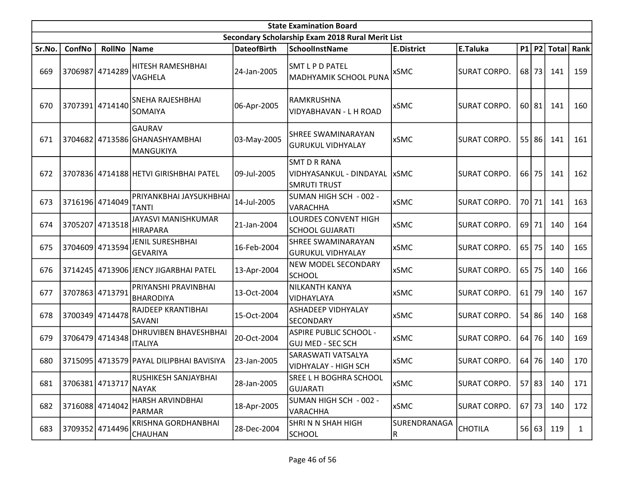|        | <b>State Examination Board</b> |                 |                                                       |                    |                                                                       |                    |                     |         |         |             |              |  |  |
|--------|--------------------------------|-----------------|-------------------------------------------------------|--------------------|-----------------------------------------------------------------------|--------------------|---------------------|---------|---------|-------------|--------------|--|--|
|        |                                |                 |                                                       |                    | Secondary Scholarship Exam 2018 Rural Merit List                      |                    |                     |         |         |             |              |  |  |
| Sr.No. | ConfNo                         | <b>RollNo</b>   | <b>Name</b>                                           | <b>DateofBirth</b> | <b>SchoolInstName</b>                                                 | <b>E.District</b>  | E.Taluka            |         |         | P1 P2 Total | Rank         |  |  |
| 669    |                                | 3706987 4714289 | HITESH RAMESHBHAI<br>VAGHELA                          | 24-Jan-2005        | SMT L P D PATEL<br>MADHYAMIK SCHOOL PUNA                              | <b>xSMC</b>        | <b>SURAT CORPO.</b> | 68      | 73      | 141         | 159          |  |  |
| 670    | 3707391                        | 4714140         | SNEHA RAJESHBHAI<br><b>SOMAIYA</b>                    | 06-Apr-2005        | RAMKRUSHNA<br>VIDYABHAVAN - L H ROAD                                  | <b>xSMC</b>        | <b>SURAT CORPO.</b> |         | 60 81   | 141         | 160          |  |  |
| 671    |                                |                 | GAURAV<br>3704682 4713586 GHANASHYAMBHAI<br>MANGUKIYA | 03-May-2005        | <b>SHREE SWAMINARAYAN</b><br><b>GURUKUL VIDHYALAY</b>                 | <b>xSMC</b>        | <b>SURAT CORPO.</b> | 55      | 86      | 141         | 161          |  |  |
| 672    |                                |                 | 3707836 4714188 HETVI GIRISHBHAI PATEL                | 09-Jul-2005        | <b>SMT D R RANA</b><br>VIDHYASANKUL - DINDAYAL<br><b>SMRUTI TRUST</b> | <b>xSMC</b>        | <b>SURAT CORPO.</b> | 66      | 75      | 141         | 162          |  |  |
| 673    |                                | 3716196 4714049 | PRIYANKBHAI JAYSUKHBHAI<br><b>TANTI</b>               | 14-Jul-2005        | SUMAN HIGH SCH - 002 -<br><b>VARACHHA</b>                             | <b>xSMC</b>        | <b>SURAT CORPO.</b> | 70 l    | 71      | 141         | 163          |  |  |
| 674    | 3705207                        | 4713518         | JAYASVI MANISHKUMAR<br>HIRAPARA                       | 21-Jan-2004        | LOURDES CONVENT HIGH<br><b>SCHOOL GUJARATI</b>                        | <b>xSMC</b>        | <b>SURAT CORPO.</b> |         | 69 71   | 140         | 164          |  |  |
| 675    | 3704609                        | 4713594         | <b>JENIL SURESHBHAI</b><br>GEVARIYA                   | 16-Feb-2004        | <b>SHREE SWAMINARAYAN</b><br><b>GURUKUL VIDHYALAY</b>                 | <b>xSMC</b>        | <b>SURAT CORPO.</b> | 65      | 75      | 140         | 165          |  |  |
| 676    |                                |                 | 3714245 4713906 JENCY JIGARBHAI PATEL                 | 13-Apr-2004        | <b>NEW MODEL SECONDARY</b><br><b>SCHOOL</b>                           | <b>xSMC</b>        | <b>SURAT CORPO.</b> | $65$ 75 |         | 140         | 166          |  |  |
| 677    |                                | 3707863 4713791 | PRIYANSHI PRAVINBHAI<br><b>BHARODIYA</b>              | 13-Oct-2004        | NILKANTH KANYA<br>VIDHAYLAYA                                          | <b>xSMC</b>        | <b>SURAT CORPO.</b> | $61$ 79 |         | 140         | 167          |  |  |
| 678    |                                | 3700349 4714478 | RAJDEEP KRANTIBHAI<br><b>SAVANI</b>                   | 15-Oct-2004        | <b>ASHADEEP VIDHYALAY</b><br><b>SECONDARY</b>                         | <b>xSMC</b>        | <b>SURAT CORPO.</b> | 54      | 86      | 140         | 168          |  |  |
| 679    |                                | 3706479 4714348 | <b>DHRUVIBEN BHAVESHBHAI</b><br><b>ITALIYA</b>        | 20-Oct-2004        | <b>ASPIRE PUBLIC SCHOOL -</b><br>GUJ MED - SEC SCH                    | <b>xSMC</b>        | <b>SURAT CORPO.</b> | 64      | 76      | 140         | 169          |  |  |
| 680    |                                |                 | 3715095 4713579 PAYAL DILIPBHAI BAVISIYA              | 23-Jan-2005        | SARASWATI VATSALYA<br>VIDHYALAY - HIGH SCH                            | <b>xSMC</b>        | <b>SURAT CORPO.</b> | 64      | 76      | 140         | 170          |  |  |
| 681    | 3706381 4713717                |                 | RUSHIKESH SANJAYBHAI<br><b>NAYAK</b>                  | 28-Jan-2005        | SREE L H BOGHRA SCHOOL<br><b>GUJARATI</b>                             | xSMC               | <b>SURAT CORPO.</b> |         | 57 83   | 140         | 171          |  |  |
| 682    |                                | 3716088 4714042 | HARSH ARVINDBHAI<br>PARMAR                            | 18-Apr-2005        | SUMAN HIGH SCH - 002 -<br><b>VARACHHA</b>                             | <b>xSMC</b>        | <b>SURAT CORPO.</b> |         | $67$ 73 | 140         | 172          |  |  |
| 683    |                                | 3709352 4714496 | <b>KRISHNA GORDHANBHAI</b><br><b>CHAUHAN</b>          | 28-Dec-2004        | SHRINN SHAH HIGH<br><b>SCHOOL</b>                                     | SURENDRANAGA<br> R | <b>CHOTILA</b>      |         | 56 63   | 119         | $\mathbf{1}$ |  |  |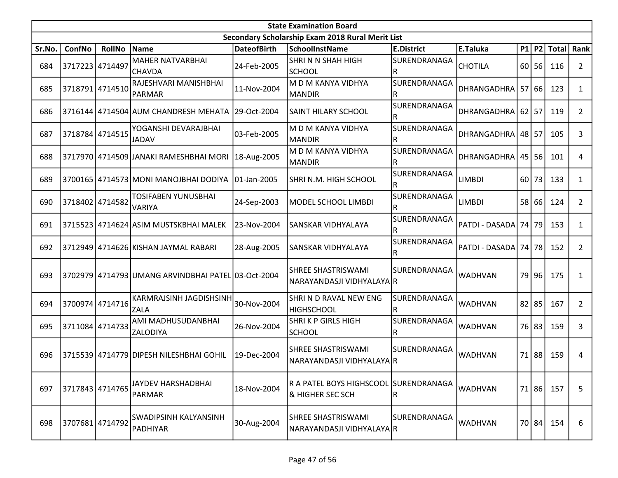|        | <b>State Examination Board</b> |                 |                                                    |                    |                                                                      |                   |                        |       |           |             |                |  |  |
|--------|--------------------------------|-----------------|----------------------------------------------------|--------------------|----------------------------------------------------------------------|-------------------|------------------------|-------|-----------|-------------|----------------|--|--|
|        |                                |                 |                                                    |                    | Secondary Scholarship Exam 2018 Rural Merit List                     |                   |                        |       |           |             |                |  |  |
| Sr.No. | ConfNo                         | <b>RollNo</b>   | Name                                               | <b>DateofBirth</b> | <b>SchoolInstName</b>                                                | <b>E.District</b> | E.Taluka               |       |           | P1 P2 Total | Rank           |  |  |
| 684    | 3717223 4714497                |                 | <b>MAHER NATVARBHAI</b><br>lCHAVDA                 | 24-Feb-2005        | ISHRI N N SHAH HIGH<br><b>SCHOOL</b>                                 | SURENDRANAGA<br>R | <b>CHOTILA</b>         | 60    | 56        | 116         | $\overline{2}$ |  |  |
| 685    |                                | 3718791 4714510 | RAJESHVARI MANISHBHAI<br><b>PARMAR</b>             | 11-Nov-2004        | M D M KANYA VIDHYA<br><b>MANDIR</b>                                  | SURENDRANAGA<br>R | DHRANGADHRA 57 66      |       |           | 123         | 1              |  |  |
| 686    |                                |                 | 3716144 4714504 AUM CHANDRESH MEHATA               | 29-Oct-2004        | <b>SAINT HILARY SCHOOL</b>                                           | SURENDRANAGA<br>R | DHRANGADHRA            | 62    | 57        | 119         | $\overline{2}$ |  |  |
| 687    |                                | 3718784 4714515 | YOGANSHI DEVARAJBHAI<br><b>JADAV</b>               | 03-Feb-2005        | M D M KANYA VIDHYA<br><b>MANDIR</b>                                  | SURENDRANAGA<br>R | <b>DHRANGADHRA</b>     | 48 57 |           | 105         | 3              |  |  |
| 688    |                                |                 | 3717970 4714509 JANAKI RAMESHBHAI MORI             | 18-Aug-2005        | M D M KANYA VIDHYA<br><b>MANDIR</b>                                  | SURENDRANAGA<br>R | DHRANGADHRA            |       | $45$   56 | 101         | 4              |  |  |
| 689    | 3700165                        |                 | 4714573   MONI MANOJBHAI DODIYA                    | 01-Jan-2005        | SHRI N.M. HIGH SCHOOL                                                | SURENDRANAGA<br>R | <b>LIMBDI</b>          | 60    | 73        | 133         | $\mathbf{1}$   |  |  |
| 690    | 3718402 4714582                |                 | <b>TOSIFABEN YUNUSBHAI</b><br><b>VARIYA</b>        | 24-Sep-2003        | MODEL SCHOOL LIMBDI                                                  | SURENDRANAGA<br>R | <b>LIMBDI</b>          | 58    | 66        | 124         | $\overline{2}$ |  |  |
| 691    |                                |                 | 3715523 4714624 ASIM MUSTSKBHAI MALEK              | 23-Nov-2004        | SANSKAR VIDHYALAYA                                                   | SURENDRANAGA<br>R | PATDI - DASADA 74      |       | 79        | 153         | 1              |  |  |
| 692    |                                |                 | 3712949 4714626 KISHAN JAYMAL RABARI               | 28-Aug-2005        | <b>SANSKAR VIDHYALAYA</b>                                            | SURENDRANAGA<br>R | PATDI - DASADA 74   78 |       |           | 152         | $\overline{2}$ |  |  |
| 693    |                                |                 | 3702979 4714793 UMANG ARVINDBHAI PATEL 03-Oct-2004 |                    | SHREE SHASTRISWAMI<br>NARAYANDASJI VIDHYALAYA R                      | SURENDRANAGA      | <b>WADHVAN</b>         |       | 79 96     | 175         | 1              |  |  |
| 694    |                                | 3700974 4714716 | KARMRAJSINH JAGDISHSINH<br><b>ZALA</b>             | 30-Nov-2004        | SHRI N D RAVAL NEW ENG<br><b>HIGHSCHOOL</b>                          | SURENDRANAGA<br>R | <b>WADHVAN</b>         |       | $82$   85 | 167         | $\overline{2}$ |  |  |
| 695    | 3711084 4714733                |                 | AMI MADHUSUDANBHAI<br>ZALODIYA                     | 26-Nov-2004        | <b>SHRIKP GIRLS HIGH</b><br><b>SCHOOL</b>                            | SURENDRANAGA<br>R | <b>WADHVAN</b>         | 76 l  | 83        | 159         | 3              |  |  |
| 696    |                                |                 | 3715539 4714779 DIPESH NILESHBHAI GOHIL            | 19-Dec-2004        | <b>SHREE SHASTRISWAMI</b><br> NARAYANDASJI VIDHYALAYA R              | SURENDRANAGA      | <b>WADHVAN</b>         | 71    | 88        | 159         | 4              |  |  |
| 697    |                                | 3717843 4714765 | JAYDEV HARSHADBHAI<br>PARMAR                       | 18-Nov-2004        | R A PATEL BOYS HIGHSCOOL SURENDRANAGA<br><b>&amp; HIGHER SEC SCH</b> | R                 | <b>WADHVAN</b>         |       | 71 86     | 157         | 5              |  |  |
| 698    | 3707681 4714792                |                 | <b>SWADIPSINH KALYANSINH</b><br>PADHIYAR           | 30-Aug-2004        | <b>SHREE SHASTRISWAMI</b><br> NARAYANDASJI VIDHYALAYA R              | SURENDRANAGA      | <b>WADHVAN</b>         |       | 70 84     | 154         | 6              |  |  |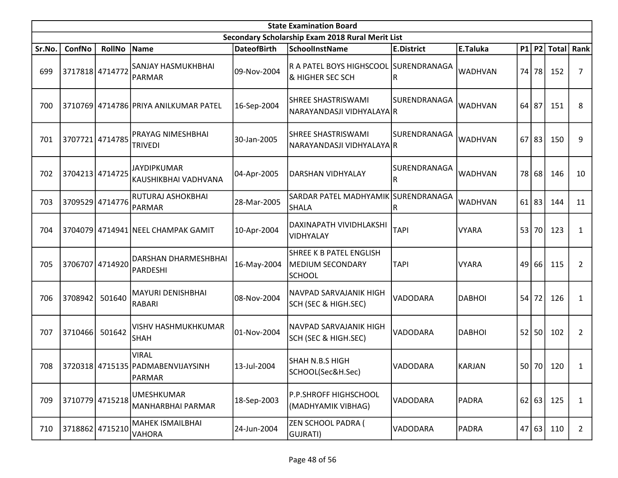|        | <b>State Examination Board</b> |                 |                                                                   |                    |                                                                            |                          |                |    |         |           |                  |  |  |
|--------|--------------------------------|-----------------|-------------------------------------------------------------------|--------------------|----------------------------------------------------------------------------|--------------------------|----------------|----|---------|-----------|------------------|--|--|
|        |                                |                 |                                                                   |                    | Secondary Scholarship Exam 2018 Rural Merit List                           |                          |                |    |         |           |                  |  |  |
| Sr.No. | ConfNo                         | <b>RollNo</b>   | Name                                                              | <b>DateofBirth</b> | <b>SchoolInstName</b>                                                      | <b>E.District</b>        | E.Taluka       |    |         |           | P1 P2 Total Rank |  |  |
| 699    | 3717818 4714772                |                 | <b>SANJAY HASMUKHBHAI</b><br>PARMAR                               | 09-Nov-2004        | R A PATEL BOYS HIGHSCOOL SURENDRANAGA<br><b>&amp; HIGHER SEC SCH</b>       | lR.                      | <b>WADHVAN</b> |    | 74 78   | 152       | 7                |  |  |
| 700    |                                |                 | 3710769 4714786 PRIYA ANILKUMAR PATEL                             | 16-Sep-2004        | SHREE SHASTRISWAMI<br>NARAYANDASJI VIDHYALAYA R                            | SURENDRANAGA             | WADHVAN        |    | $64$ 87 | 151       | 8                |  |  |
| 701    | 3707721 4714785                |                 | PRAYAG NIMESHBHAI<br><b>TRIVEDI</b>                               | 30-Jan-2005        | <b>SHREE SHASTRISWAMI</b><br>NARAYANDASJI VIDHYALAYA R                     | SURENDRANAGA             | <b>WADHVAN</b> | 67 | 83      | 150       | 9                |  |  |
| 702    |                                | 3704213 4714725 | <b>JAYDIPKUMAR</b><br>KAUSHIKBHAI VADHVANA                        | 04-Apr-2005        | DARSHAN VIDHYALAY                                                          | <b>SURENDRANAGA</b><br>R | <b>WADHVAN</b> | 78 | 68      | 146       | 10               |  |  |
| 703    |                                | 3709529 4714776 | RUTURAJ ASHOKBHAI<br>PARMAR                                       | 28-Mar-2005        | SARDAR PATEL MADHYAMIK SURENDRANAGA<br>SHALA                               | R                        | <b>WADHVAN</b> | 61 | 83      | 144       | 11               |  |  |
| 704    |                                |                 | 3704079 4714941 NEEL CHAMPAK GAMIT                                | 10-Apr-2004        | DAXINAPATH VIVIDHLAKSHI<br>VIDHYALAY                                       | <b>TAPI</b>              | <b>VYARA</b>   | 53 | 70      | 123       | $\mathbf{1}$     |  |  |
| 705    |                                | 3706707 4714920 | DARSHAN DHARMESHBHAI<br>PARDESHI                                  | 16-May-2004        | <b>SHREE K B PATEL ENGLISH</b><br><b>MEDIUM SECONDARY</b><br><b>SCHOOL</b> | <b>TAPI</b>              | <b>VYARA</b>   |    | 49 66   | 115       | $\overline{2}$   |  |  |
| 706    | 3708942                        | 501640          | <b>MAYURI DENISHBHAI</b><br>RABARI                                | 08-Nov-2004        | NAVPAD SARVAJANIK HIGH<br>SCH (SEC & HIGH.SEC)                             | VADODARA                 | <b>DABHOI</b>  | 54 | 72      | 126       | $\mathbf{1}$     |  |  |
| 707    | 3710466                        | 501642          | VISHV HASHMUKHKUMAR<br><b>SHAH</b>                                | 01-Nov-2004        | NAVPAD SARVAJANIK HIGH<br>SCH (SEC & HIGH.SEC)                             | <b>VADODARA</b>          | <b>DABHOI</b>  |    | $52$ 50 | 102       | $\overline{2}$   |  |  |
| 708    |                                |                 | <b>VIRAL</b><br>  3720318   4715135   PADMABENVIJAYSINH<br>PARMAR | 13-Jul-2004        | SHAH N.B.S HIGH<br>SCHOOL(Sec&H.Sec)                                       | VADODARA                 | KARJAN         |    |         | 50 70 120 | 1                |  |  |
| 709    | 3710779 4715218                |                 | <b>UMESHKUMAR</b><br>MANHARBHAI PARMAR                            | 18-Sep-2003        | P.P.SHROFF HIGHSCHOOL<br>(MADHYAMIK VIBHAG)                                | VADODARA                 | PADRA          |    | 62 63   | 125       | $\mathbf{1}$     |  |  |
| 710    |                                | 3718862 4715210 | <b>MAHEK ISMAILBHAI</b><br>VAHORA                                 | 24-Jun-2004        | ZEN SCHOOL PADRA (<br>GUJRATI)                                             | <b>VADODARA</b>          | PADRA          |    | 47 63   | 110       | $\overline{2}$   |  |  |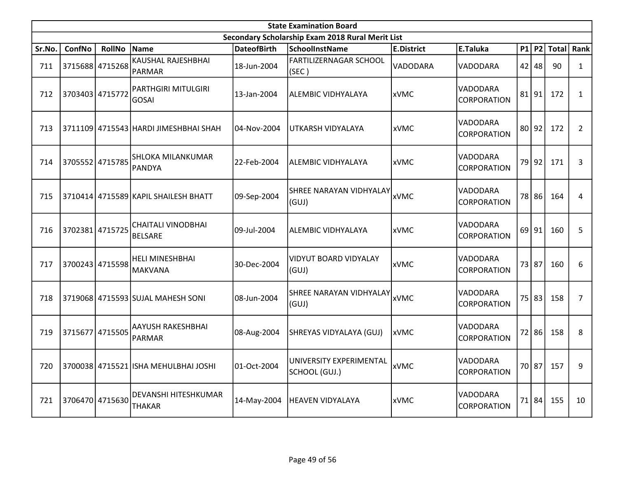|        |                 |                 |                                          |                    | <b>State Examination Board</b>                   |                   |                                |    |           |              |                |
|--------|-----------------|-----------------|------------------------------------------|--------------------|--------------------------------------------------|-------------------|--------------------------------|----|-----------|--------------|----------------|
|        |                 |                 |                                          |                    | Secondary Scholarship Exam 2018 Rural Merit List |                   |                                |    |           |              |                |
| Sr.No. | <b>ConfNo</b>   | <b>RollNo</b>   | Name                                     | <b>DateofBirth</b> | <b>SchoolInstName</b>                            | <b>E.District</b> | E.Taluka                       |    | $P1$ $P2$ | <b>Total</b> | Rank           |
| 711    |                 | 3715688 4715268 | KAUSHAL RAJESHBHAI<br>PARMAR             | 18-Jun-2004        | <b>FARTILIZERNAGAR SCHOOL</b><br>(SEC)           | VADODARA          | VADODARA                       |    | $42$ 48   | 90           | $\mathbf{1}$   |
| 712    |                 | 3703403 4715772 | PARTHGIRI MITULGIRI<br><b>GOSAI</b>      | 13-Jan-2004        | ALEMBIC VIDHYALAYA                               | <b>xVMC</b>       | VADODARA<br><b>CORPORATION</b> | 81 | 91        | 172          | $\mathbf{1}$   |
| 713    |                 |                 | 3711109 4715543 HARDI JIMESHBHAI SHAH    | 04-Nov-2004        | UTKARSH VIDYALAYA                                | <b>xVMC</b>       | VADODARA<br><b>CORPORATION</b> |    | 80 92     | 172          | $\overline{2}$ |
| 714    |                 | 3705552 4715785 | <b>SHLOKA MILANKUMAR</b><br>PANDYA       | 22-Feb-2004        | ALEMBIC VIDHYALAYA                               | xVMC              | VADODARA<br>CORPORATION        |    | 79 92     | 171          | 3              |
| 715    |                 |                 | 3710414 4715589 KAPIL SHAILESH BHATT     | 09-Sep-2004        | SHREE NARAYAN VIDHYALAY<br>(GUI)                 | xVMC              | VADODARA<br><b>CORPORATION</b> |    | 78 86     | 164          | 4              |
| 716    | 3702381 4715725 |                 | CHAITALI VINODBHAI<br><b>BELSARE</b>     | 09-Jul-2004        | ALEMBIC VIDHYALAYA                               | xVMC              | VADODARA<br><b>CORPORATION</b> |    | $69$   91 | 160          | 5              |
| 717    |                 | 3700243 4715598 | <b>HELI MINESHBHAI</b><br><b>MAKVANA</b> | 30-Dec-2004        | VIDYUT BOARD VIDYALAY<br>(GUI)                   | <b>xVMC</b>       | VADODARA<br>CORPORATION        |    | 73 87     | 160          | 6              |
| 718    |                 |                 | 3719068 4715593 SUJAL MAHESH SONI        | 08-Jun-2004        | <b>SHREE NARAYAN VIDHYALAY</b><br>(GUI)          | <b>xVMC</b>       | VADODARA<br><b>CORPORATION</b> |    | 75 83     | 158          | $\overline{7}$ |
| 719    | 3715677         | 4715505         | AAYUSH RAKESHBHAI<br><b>PARMAR</b>       | 08-Aug-2004        | SHREYAS VIDYALAYA (GUJ)                          | lxVMC             | VADODARA<br><b>CORPORATION</b> |    | 72 86     | 158          | 8              |
| 720    |                 |                 | 3700038 4715521 ISHA MEHULBHAI JOSHI     | 01-Oct-2004        | UNIVERSITY EXPERIMENTAL<br>SCHOOL (GUJ.)         | xVMC              | VADODARA<br>CORPORATION        |    | 70 87     | 157          | 9              |
| 721    |                 | 3706470 4715630 | DEVANSHI HITESHKUMAR<br><b>THAKAR</b>    | 14-May-2004        | <b>HEAVEN VIDYALAYA</b>                          | <b>xVMC</b>       | VADODARA<br>CORPORATION        |    | 71 84     | 155          | 10             |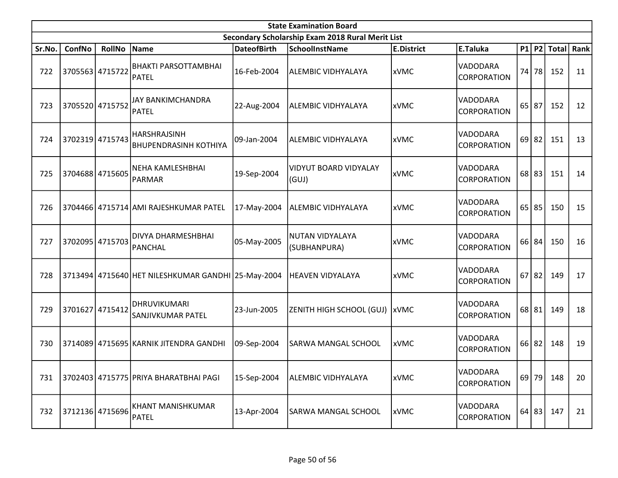|        |                 |                 |                                                     |                    | <b>State Examination Board</b>                   |                   |                                |           |              |      |
|--------|-----------------|-----------------|-----------------------------------------------------|--------------------|--------------------------------------------------|-------------------|--------------------------------|-----------|--------------|------|
|        |                 |                 |                                                     |                    | Secondary Scholarship Exam 2018 Rural Merit List |                   |                                |           |              |      |
| Sr.No. | ConfNo          | <b>RollNo</b>   | Name                                                | <b>DateofBirth</b> | <b>SchoolInstName</b>                            | <b>E.District</b> | E.Taluka                       | $P1$ P2   | <b>Total</b> | Rank |
| 722    |                 | 3705563 4715722 | <b>BHAKTI PARSOTTAMBHAI</b><br>PATEL                | 16-Feb-2004        | <b>ALEMBIC VIDHYALAYA</b>                        | <b>xVMC</b>       | VADODARA<br>CORPORATION        | 74 78     | 152          | 11   |
| 723    | 3705520 4715752 |                 | <b>JAY BANKIMCHANDRA</b><br>PATEL                   | 22-Aug-2004        | <b>ALEMBIC VIDHYALAYA</b>                        | <b>xVMC</b>       | VADODARA<br><b>CORPORATION</b> | $65$ 87   | 152          | 12   |
| 724    | 3702319 4715743 |                 | <b>HARSHRAJSINH</b><br><b>BHUPENDRASINH KOTHIYA</b> | 09-Jan-2004        | <b>ALEMBIC VIDHYALAYA</b>                        | <b>xVMC</b>       | VADODARA<br>CORPORATION        | $69$   82 | 151          | 13   |
| 725    |                 | 3704688 4715605 | NEHA KAMLESHBHAI<br>PARMAR                          | 19-Sep-2004        | VIDYUT BOARD VIDYALAY<br>(GUI)                   | xVMC              | VADODARA<br>CORPORATION        | $68$ 83   | 151          | 14   |
| 726    |                 |                 | 3704466 4715714 AMI RAJESHKUMAR PATEL               | 17-May-2004        | ALEMBIC VIDHYALAYA                               | <b>xVMC</b>       | VADODARA<br>CORPORATION        | $65$ 85   | 150          | 15   |
| 727    | 3702095 4715703 |                 | DIVYA DHARMESHBHAI<br>PANCHAL                       | 05-May-2005        | NUTAN VIDYALAYA<br>(SUBHANPURA)                  | <b>xVMC</b>       | VADODARA<br>CORPORATION        | 66 84     | 150          | 16   |
| 728    |                 |                 | 3713494 4715640 HET NILESHKUMAR GANDHI 25-May-2004  |                    | <b>HEAVEN VIDYALAYA</b>                          | xVMC              | VADODARA<br>CORPORATION        | $67$   82 | 149          | 17   |
| 729    | 3701627         | 4715412         | DHRUVIKUMARI<br>SANJIVKUMAR PATEL                   | 23-Jun-2005        | ZENITH HIGH SCHOOL (GUJ)   xVMC                  |                   | VADODARA<br><b>CORPORATION</b> | $68$   81 | 149          | 18   |
| 730    |                 |                 | 3714089 4715695 KARNIK JITENDRA GANDHI              | 09-Sep-2004        | <b>SARWA MANGAL SCHOOL</b>                       | <b>xVMC</b>       | VADODARA<br>CORPORATION        | 66 82     | 148          | 19   |
| 731    |                 |                 | 3702403 4715775 PRIYA BHARATBHAI PAGI               | 15-Sep-2004        | <b>ALEMBIC VIDHYALAYA</b>                        | xVMC              | VADODARA<br><b>CORPORATION</b> | $69$ 79   | 148          | 20   |
| 732    | 3712136 4715696 |                 | KHANT MANISHKUMAR<br><b>PATEL</b>                   | 13-Apr-2004        | SARWA MANGAL SCHOOL                              | xVMC              | VADODARA<br>CORPORATION        | 64 83     | 147          | 21   |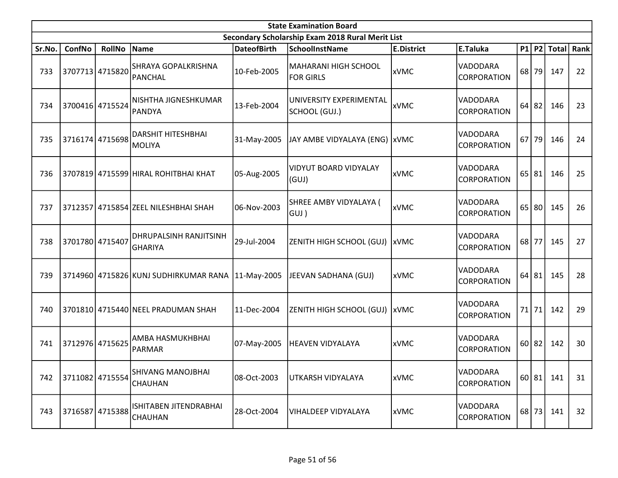|        |                 |                 |                                                   |                    | <b>State Examination Board</b>                   |                   |                                       |    |           |                  |      |
|--------|-----------------|-----------------|---------------------------------------------------|--------------------|--------------------------------------------------|-------------------|---------------------------------------|----|-----------|------------------|------|
|        |                 |                 |                                                   |                    | Secondary Scholarship Exam 2018 Rural Merit List |                   |                                       |    |           |                  |      |
| Sr.No. | ConfNo          | <b>RollNo</b>   | Name                                              | <b>DateofBirth</b> | <b>SchoolInstName</b>                            | <b>E.District</b> | E.Taluka                              |    |           | $P1$   P2  Total | Rank |
| 733    |                 | 3707713 4715820 | <b>SHRAYA GOPALKRISHNA</b><br>PANCHAL             | 10-Feb-2005        | MAHARANI HIGH SCHOOL<br><b>FOR GIRLS</b>         | <b>xVMC</b>       | VADODARA<br><b>CORPORATION</b>        |    | 68 79     | 147              | 22   |
| 734    |                 | 3700416 4715524 | NISHTHA JIGNESHKUMAR<br>PANDYA                    | 13-Feb-2004        | UNIVERSITY EXPERIMENTAL<br>SCHOOL (GUJ.)         | xVMC              | VADODARA<br><b>CORPORATION</b>        |    | $64$ 82   | 146              | 23   |
| 735    |                 | 3716174 4715698 | <b>DARSHIT HITESHBHAI</b><br><b>MOLIYA</b>        | 31-May-2005        | JAY AMBE VIDYALAYA (ENG)   xVMC                  |                   | VADODARA<br><b>CORPORATION</b>        | 67 | 79        | 146              | 24   |
| 736    |                 |                 | 3707819 4715599 HIRAL ROHITBHAI KHAT              | 05-Aug-2005        | <b>VIDYUT BOARD VIDYALAY</b><br>(GUI)            | <b>xVMC</b>       | VADODARA<br><b>CORPORATION</b>        |    | 65 81     | 146              | 25   |
| 737    |                 |                 | 3712357 4715854 ZEEL NILESHBHAI SHAH              | 06-Nov-2003        | SHREE AMBY VIDYALAYA (<br>(GUJ                   | <b>xVMC</b>       | VADODARA<br><b>CORPORATION</b>        |    | $65$   80 | 145              | 26   |
| 738    | 3701780 4715407 |                 | <b>DHRUPALSINH RANJITSINH</b><br>GHARIYA          | 29-Jul-2004        | ZENITH HIGH SCHOOL (GUJ)  xVMC                   |                   | VADODARA<br><i><b>CORPORATION</b></i> |    | $68$ 77   | 145              | 27   |
| 739    |                 |                 | 3714960 4715826 KUNJ SUDHIRKUMAR RANA 11-May-2005 |                    | JEEVAN SADHANA (GUJ)                             | <b>xVMC</b>       | VADODARA<br><b>CORPORATION</b>        |    | 64 81     | 145              | 28   |
| 740    |                 |                 | 3701810 4715440 NEEL PRADUMAN SHAH                | 11-Dec-2004        | ZENITH HIGH SCHOOL (GUJ)   xVMC                  |                   | VADODARA<br><b>CORPORATION</b>        | 71 | 71        | 142              | 29   |
| 741    |                 | 3712976 4715625 | AMBA HASMUKHBHAI<br>PARMAR                        | 07-May-2005        | HEAVEN VIDYALAYA                                 | <b>xVMC</b>       | VADODARA<br><i><b>CORPORATION</b></i> |    | 60 82     | 142              | 30   |
| 742    |                 | 3711082 4715554 | <b>SHIVANG MANOJBHAI</b><br><b>CHAUHAN</b>        | 08-Oct-2003        | UTKARSH VIDYALAYA                                | xVMC              | VADODARA<br><i><b>CORPORATION</b></i> |    | 60 81     | 141              | 31   |
| 743    |                 | 3716587 4715388 | ISHITABEN JITENDRABHAI<br><b>CHAUHAN</b>          | 28-Oct-2004        | <b>VIHALDEEP VIDYALAYA</b>                       | xVMC              | VADODARA<br><b>CORPORATION</b>        |    | 68 73     | 141              | 32   |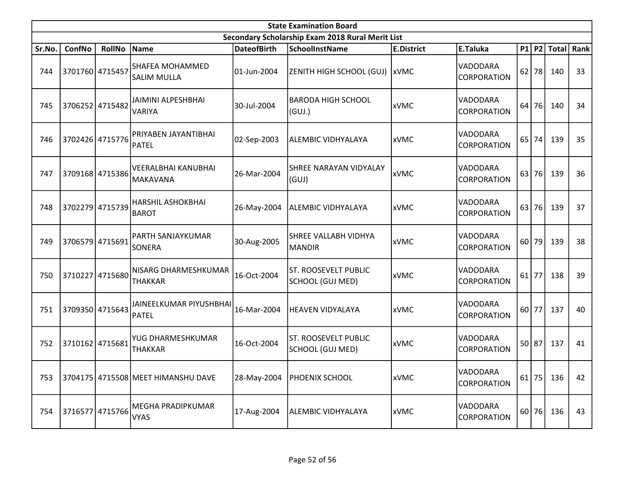|        |                 |                 |                                               |                    | <b>State Examination Board</b>                   |                   |                                |    |         |              |      |
|--------|-----------------|-----------------|-----------------------------------------------|--------------------|--------------------------------------------------|-------------------|--------------------------------|----|---------|--------------|------|
|        |                 |                 |                                               |                    | Secondary Scholarship Exam 2018 Rural Merit List |                   |                                |    |         |              |      |
| Sr.No. | ConfNo          | <b>RollNo</b>   | Name                                          | <b>DateofBirth</b> | <b>SchoolInstName</b>                            | <b>E.District</b> | E.Taluka                       |    | $P1$ P2 | <b>Total</b> | Rank |
| 744    | 3701760 4715457 |                 | <b>SHAFEA MOHAMMED</b><br> SALIM MULLA        | 01-Jun-2004        | ZENITH HIGH SCHOOL (GUJ)   xVMC                  |                   | VADODARA<br><b>CORPORATION</b> |    | $62$ 78 | 140          | 33   |
| 745    |                 | 3706252 4715482 | JAIMINI ALPESHBHAI<br>VARIYA                  | 30-Jul-2004        | <b>BARODA HIGH SCHOOL</b><br>(GUI.)              | <b>xVMC</b>       | VADODARA<br>CORPORATION        | 64 | 76      | 140          | 34   |
| 746    |                 | 3702426 4715776 | PRIYABEN JAYANTIBHAI<br>PATEL                 | 02-Sep-2003        | ALEMBIC VIDHYALAYA                               | <b>xVMC</b>       | VADODARA<br>CORPORATION        |    | 65 74   | 139          | 35   |
| 747    |                 | 3709168 4715386 | <b>VEERALBHAI KANUBHAI</b><br><b>MAKAVANA</b> | 26-Mar-2004        | <b>SHREE NARAYAN VIDYALAY</b><br>(GUI)           | xVMC              | VADODARA<br>CORPORATION        | 63 | 76      | 139          | 36   |
| 748    |                 | 3702279 4715739 | <b>HARSHIL ASHOKBHAI</b><br><b>BAROT</b>      | 26-May-2004        | <b>ALEMBIC VIDHYALAYA</b>                        | <b>xVMC</b>       | VADODARA<br><b>CORPORATION</b> |    | 63 76   | 139          | 37   |
| 749    | 3706579 4715691 |                 | <b>PARTH SANJAYKUMAR</b><br>lsonera           | 30-Aug-2005        | <b>SHREE VALLABH VIDHYA</b><br><b>MANDIR</b>     | xVMC              | VADODARA<br><b>CORPORATION</b> | 60 | 79      | 139          | 38   |
| 750    |                 | 3710227 4715680 | NISARG DHARMESHKUMAR<br> THAKKAR              | 16-Oct-2004        | <b>ST. ROOSEVELT PUBLIC</b><br>SCHOOL (GUJ MED)  | xVMC              | VADODARA<br><b>CORPORATION</b> | 61 | 77      | 138          | 39   |
| 751    |                 | 3709350 4715643 | JAINEELKUMAR PIYUSHBHAI<br>PATEL              | 16-Mar-2004        | <b>HEAVEN VIDYALAYA</b>                          | <b>xVMC</b>       | VADODARA<br>CORPORATION        | 60 | 77      | 137          | 40   |
| 752    |                 | 3710162 4715681 | YUG DHARMESHKUMAR<br><b>THAKKAR</b>           | 16-Oct-2004        | <b>ST. ROOSEVELT PUBLIC</b><br>SCHOOL (GUJ MED)  | <b>xVMC</b>       | VADODARA<br><b>CORPORATION</b> |    | 50 87   | 137          | 41   |
| 753    |                 |                 | 3704175 4715508 MEET HIMANSHU DAVE            | 28-May-2004        | <b>PHOENIX SCHOOL</b>                            | xVMC              | VADODARA<br>CORPORATION        |    | $61$ 75 | 136          | 42   |
| 754    |                 | 3716577 4715766 | MEGHA PRADIPKUMAR<br><b>VYAS</b>              | 17-Aug-2004        | <b>ALEMBIC VIDHYALAYA</b>                        | <b>xVMC</b>       | VADODARA<br>CORPORATION        |    | 60 76   | 136          | 43   |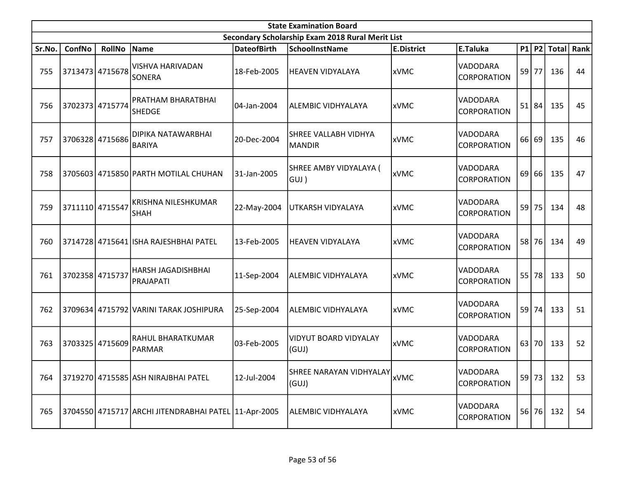|        |                 |                 |                                                      |                    | <b>State Examination Board</b>                   |                   |                                       |       |                  |      |
|--------|-----------------|-----------------|------------------------------------------------------|--------------------|--------------------------------------------------|-------------------|---------------------------------------|-------|------------------|------|
|        |                 |                 |                                                      |                    | Secondary Scholarship Exam 2018 Rural Merit List |                   |                                       |       |                  |      |
| Sr.No. | ConfNo          | <b>RollNo</b>   | Name                                                 | <b>DateofBirth</b> | <b>SchoolInstName</b>                            | <b>E.District</b> | E.Taluka                              |       | $P1$   P2  Total | Rank |
| 755    |                 | 3713473 4715678 | <b>VISHVA HARIVADAN</b><br><b>SONERA</b>             | 18-Feb-2005        | HEAVEN VIDYALAYA                                 | xVMC              | VADODARA<br><b>CORPORATION</b>        | 59 77 | 136              | 44   |
| 756    |                 | 3702373 4715774 | PRATHAM BHARATBHAI<br><b>SHEDGE</b>                  | 104-Jan-2004       | ALEMBIC VIDHYALAYA                               | <b>xVMC</b>       | VADODARA<br><b>CORPORATION</b>        | 51 84 | 135              | 45   |
| 757    |                 | 3706328 4715686 | DIPIKA NATAWARBHAI<br><b>BARIYA</b>                  | 20-Dec-2004        | SHREE VALLABH VIDHYA<br>MANDIR                   | <b>xVMC</b>       | VADODARA<br><b>CORPORATION</b>        | 66 69 | 135              | 46   |
| 758    |                 |                 | 3705603 4715850 PARTH MOTILAL CHUHAN                 | 31-Jan-2005        | SHREE AMBY VIDYALAYA (<br> GUJ )                 | <b>xVMC</b>       | VADODARA<br><b>CORPORATION</b>        | 69 66 | 135              | 47   |
| 759    | 3711110 4715547 |                 | KRISHNA NILESHKUMAR<br><b>SHAH</b>                   | 22-May-2004        | UTKARSH VIDYALAYA                                | xVMC              | VADODARA<br><b>CORPORATION</b>        | 59 75 | 134              | 48   |
| 760    |                 |                 | 3714728 4715641 ISHA RAJESHBHAI PATEL                | l13-Feb-2005       | HEAVEN VIDYALAYA                                 | xVMC              | VADODARA<br><i><b>CORPORATION</b></i> | 58 76 | 134              | 49   |
| 761    |                 | 3702358 4715737 | <b>HARSH JAGADISHBHAI</b><br>PRAJAPATI               | 11-Sep-2004        | ALEMBIC VIDHYALAYA                               | xVMC              | VADODARA<br><b>CORPORATION</b>        | 55 78 | 133              | 50   |
| 762    |                 |                 | 3709634 4715792 VARINI TARAK JOSHIPURA               | 25-Sep-2004        | ALEMBIC VIDHYALAYA                               | xVMC              | VADODARA<br><b>CORPORATION</b>        | 59 74 | 133              | 51   |
| 763    |                 | 3703325 4715609 | RAHUL BHARATKUMAR<br>PARMAR                          | l03-Feb-2005       | VIDYUT BOARD VIDYALAY<br>(GUJ)                   | <b>xVMC</b>       | VADODARA<br><b>CORPORATION</b>        | 63 70 | 133              | 52   |
| 764    |                 |                 | 3719270 4715585 ASH NIRAJBHAI PATEL                  | 12-Jul-2004        | SHREE NARAYAN VIDHYALAY xVMC<br>(GUI)            |                   | VADODARA<br><b>CORPORATION</b>        | 59 73 | 132              | 53   |
| 765    |                 |                 | 3704550 4715717 ARCHI JITENDRABHAI PATEL 11-Apr-2005 |                    | ALEMBIC VIDHYALAYA                               | xVMC              | VADODARA<br><b>CORPORATION</b>        | 56 76 | 132              | 54   |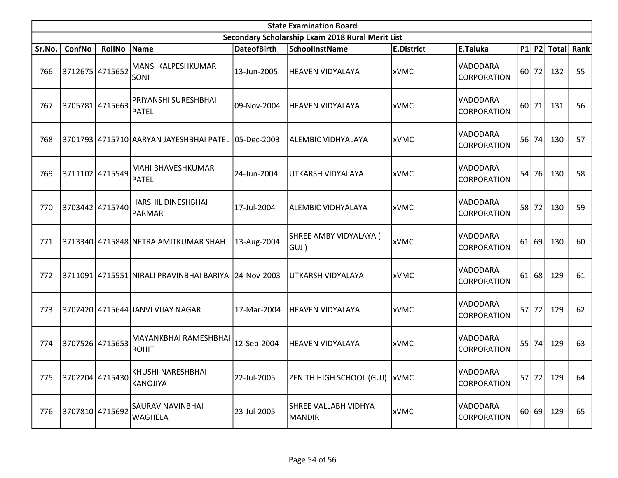|        |        |                 |                                                        |                    | <b>State Examination Board</b>                   |                   |                                       |           |                  |      |
|--------|--------|-----------------|--------------------------------------------------------|--------------------|--------------------------------------------------|-------------------|---------------------------------------|-----------|------------------|------|
|        |        |                 |                                                        |                    | Secondary Scholarship Exam 2018 Rural Merit List |                   |                                       |           |                  |      |
| Sr.No. | ConfNo | <b>RollNo</b>   | Name                                                   | <b>DateofBirth</b> | <b>SchoolInstName</b>                            | <b>E.District</b> | E.Taluka                              |           | $P1$   P2  Total | Rank |
| 766    |        | 3712675 4715652 | MANSI KALPESHKUMAR<br><b>SONI</b>                      | 13-Jun-2005        | <b>HEAVEN VIDYALAYA</b>                          | xVMC              | VADODARA<br><b>CORPORATION</b>        | 60 72     | 132              | 55   |
| 767    |        | 3705781 4715663 | PRIYANSHI SURESHBHAI<br>PATEL                          | 09-Nov-2004        | HEAVEN VIDYALAYA                                 | xVMC              | VADODARA<br><b>CORPORATION</b>        | $60$   71 | 131              | 56   |
| 768    |        |                 | 3701793 4715710 AARYAN JAYESHBHAI PATEL 05-Dec-2003    |                    | ALEMBIC VIDHYALAYA                               | xVMC              | VADODARA<br><b>CORPORATION</b>        | 56 74     | 130              | 57   |
| 769    |        | 3711102 4715549 | MAHI BHAVESHKUMAR<br><b>PATEL</b>                      | 24-Jun-2004        | UTKARSH VIDYALAYA                                | xVMC              | VADODARA<br><b>CORPORATION</b>        | 54 76     | 130              | 58   |
| 770    |        | 3703442 4715740 | <b>HARSHIL DINESHBHAI</b><br>PARMAR                    | 17-Jul-2004        | ALEMBIC VIDHYALAYA                               | xVMC              | <b>VADODARA</b><br><b>CORPORATION</b> | 58 72     | 130              | 59   |
| 771    |        |                 | 3713340 4715848 NETRA AMITKUMAR SHAH                   | 13-Aug-2004        | SHREE AMBY VIDYALAYA (<br> GUJ )                 | xVMC              | VADODARA<br><i><b>CORPORATION</b></i> | 61 69     | 130              | 60   |
| 772    |        |                 | 3711091 4715551 NIRALI PRAVINBHAI BARIYA   24-Nov-2003 |                    | UTKARSH VIDYALAYA                                | xVMC              | VADODARA<br><b>CORPORATION</b>        | $61$ 68   | 129              | 61   |
| 773    |        |                 | 3707420 4715644 JANVI VIJAY NAGAR                      | 17-Mar-2004        | HEAVEN VIDYALAYA                                 | xVMC              | VADODARA<br><b>CORPORATION</b>        | 57 72     | 129              | 62   |
| 774    |        | 3707526 4715653 | MAYANKBHAI RAMESHBHAI<br><b>ROHIT</b>                  | 12-Sep-2004        | HEAVEN VIDYALAYA                                 | xVMC              | VADODARA<br><b>CORPORATION</b>        | 55 74     | 129              | 63   |
| 775    |        | 3702204 4715430 | KHUSHI NARESHBHAI<br><b>KANOJIYA</b>                   | 22-Jul-2005        | ZENITH HIGH SCHOOL (GUJ)  xVMC                   |                   | VADODARA<br><b>CORPORATION</b>        | 57 72     | 129              | 64   |
| 776    |        | 3707810 4715692 | <b>SAURAV NAVINBHAI</b><br><b>WAGHELA</b>              | 23-Jul-2005        | SHREE VALLABH VIDHYA<br><b>MANDIR</b>            | xVMC              | VADODARA<br><b>CORPORATION</b>        | 60 69     | 129              | 65   |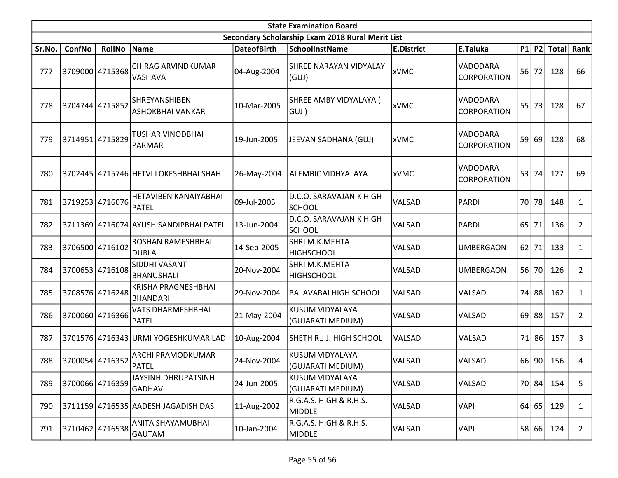|        |                 |                 |                                               |                    | <b>State Examination Board</b>                   |                   |                                |    |         |               |                |
|--------|-----------------|-----------------|-----------------------------------------------|--------------------|--------------------------------------------------|-------------------|--------------------------------|----|---------|---------------|----------------|
|        |                 |                 |                                               |                    | Secondary Scholarship Exam 2018 Rural Merit List |                   |                                |    |         |               |                |
| Sr.No. | ConfNo          | <b>RollNo</b>   | Name                                          | <b>DateofBirth</b> | <b>SchoolInstName</b>                            | <b>E.District</b> | E.Taluka                       |    |         | $P1$ P2 Total | Rank           |
| 777    | 3709000 4715368 |                 | <b>CHIRAG ARVINDKUMAR</b><br><b>VASHAVA</b>   | 04-Aug-2004        | SHREE NARAYAN VIDYALAY<br>(GUI)                  | <b>xVMC</b>       | VADODARA<br>CORPORATION        |    | $56$ 72 | 128           | 66             |
| 778    |                 | 3704744 4715852 | SHREYANSHIBEN<br><b>ASHOKBHAI VANKAR</b>      | 10-Mar-2005        | SHREE AMBY VIDYALAYA (<br>GUJ)                   | xVMC              | VADODARA<br><b>CORPORATION</b> |    | 55 73   | 128           | 67             |
| 779    | 3714951         | 4715829         | <b>TUSHAR VINODBHAI</b><br>PARMAR             | 19-Jun-2005        | JEEVAN SADHANA (GUJ)                             | xVMC              | VADODARA<br>CORPORATION        |    | 59 69   | 128           | 68             |
| 780    |                 |                 | 3702445 4715746 HETVI LOKESHBHAI SHAH         | 26-May-2004        | ALEMBIC VIDHYALAYA                               | xVMC              | VADODARA<br>CORPORATION        |    | 53 74   | 127           | 69             |
| 781    |                 | 3719253 4716076 | HETAVIBEN KANAIYABHAI<br>PATEL                | 09-Jul-2005        | D.C.O. SARAVAJANIK HIGH<br><b>SCHOOL</b>         | <b>VALSAD</b>     | PARDI                          | 70 | 78      | 148           | $\mathbf{1}$   |
| 782    |                 |                 | 3711369 4716074 AYUSH SANDIPBHAI PATEL        | 13-Jun-2004        | D.C.O. SARAVAJANIK HIGH<br><b>SCHOOL</b>         | VALSAD            | PARDI                          | 65 | 71      | 136           | $\overline{2}$ |
| 783    | 3706500 4716102 |                 | <b>ROSHAN RAMESHBHAI</b><br><b>DUBLA</b>      | 14-Sep-2005        | SHRI M.K.MEHTA<br><b>HIGHSCHOOL</b>              | <b>VALSAD</b>     | <b>UMBERGAON</b>               |    | $62$ 71 | 133           | $\mathbf{1}$   |
| 784    |                 | 3700653 4716108 | <b>SIDDHI VASANT</b><br> BHANUSHALI           | 20-Nov-2004        | <b>SHRI M.K.MEHTA</b><br><b>HIGHSCHOOL</b>       | <b>VALSAD</b>     | <b>UMBERGAON</b>               |    | 56 70   | 126           | $\overline{2}$ |
| 785    |                 | 3708576 4716248 | <b>KRISHA PRAGNESHBHAI</b><br><b>BHANDARI</b> | 29-Nov-2004        | <b>BAI AVABAI HIGH SCHOOL</b>                    | VALSAD            | VALSAD                         |    | 74 88   | 162           | $\mathbf{1}$   |
| 786    |                 | 3700060 4716366 | <b>VATS DHARMESHBHAI</b><br><b>PATEL</b>      | 21-May-2004        | KUSUM VIDYALAYA<br>(GUJARATI MEDIUM)             | VALSAD            | VALSAD                         | 69 | 88      | 157           | $\overline{2}$ |
| 787    |                 |                 | 3701576 4716343 URMI YOGESHKUMAR LAD          | 10-Aug-2004        | SHETH R.J.J. HIGH SCHOOL                         | VALSAD            | VALSAD                         | 71 | 86      | 157           | 3              |
| 788    | 3700054 4716352 |                 | <b>ARCHI PRAMODKUMAR</b><br><b>PATEL</b>      | 24-Nov-2004        | KUSUM VIDYALAYA<br>(GUJARATI MEDIUM)             | VALSAD            | VALSAD                         |    | 66 90   | 156           | 4              |
| 789    |                 | 3700066 4716359 | JAYSINH DHRUPATSINH<br>GADHAVI                | 24-Jun-2005        | KUSUM VIDYALAYA<br>(GUJARATI MEDIUM)             | VALSAD            | VALSAD                         |    | 70 84   | 154           | 5              |
| 790    |                 |                 | 3711159 4716535 AADESH JAGADISH DAS           | 11-Aug-2002        | R.G.A.S. HIGH & R.H.S.<br>MIDDLE                 | <b>VALSAD</b>     | <b>VAPI</b>                    |    | 64 65   | 129           | $\mathbf{1}$   |
| 791    |                 | 3710462 4716538 | ANITA SHAYAMUBHAI<br>GAUTAM                   | 10-Jan-2004        | R.G.A.S. HIGH & R.H.S.<br>MIDDLE                 | VALSAD            | <b>VAPI</b>                    |    | 58 66   | 124           | $\overline{2}$ |